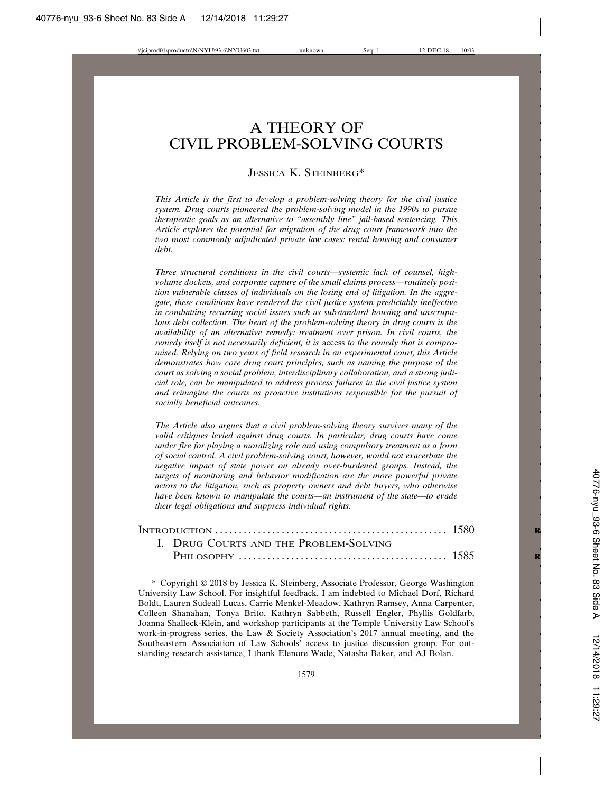# A THEORY OF CIVIL PROBLEM-SOLVING COURTS

#### JESSICA K. STEINBERG\*

*This Article is the first to develop a problem-solving theory for the civil justice system. Drug courts pioneered the problem-solving model in the 1990s to pursue therapeutic goals as an alternative to "assembly line" jail-based sentencing. This Article explores the potential for migration of the drug court framework into the two most commonly adjudicated private law cases: rental housing and consumer debt.*

*Three structural conditions in the civil courts—systemic lack of counsel, highvolume dockets, and corporate capture of the small claims process—routinely position vulnerable classes of individuals on the losing end of litigation. In the aggregate, these conditions have rendered the civil justice system predictably ineffective in combatting recurring social issues such as substandard housing and unscrupulous debt collection. The heart of the problem-solving theory in drug courts is the availability of an alternative remedy: treatment over prison. In civil courts, the remedy itself is not necessarily deficient; it is* access *to the remedy that is compromised. Relying on two years of field research in an experimental court, this Article demonstrates how core drug court principles, such as naming the purpose of the court as solving a social problem, interdisciplinary collaboration, and a strong judicial role, can be manipulated to address process failures in the civil justice system and reimagine the courts as proactive institutions responsible for the pursuit of socially beneficial outcomes.*

*The Article also argues that a civil problem-solving theory survives many of the valid critiques levied against drug courts. In particular, drug courts have come under fire for playing a moralizing role and using compulsory treatment as a form of social control. A civil problem-solving court, however, would not exacerbate the negative impact of state power on already over-burdened groups. Instead, the targets of monitoring and behavior modification are the more powerful private actors to the litigation, such as property owners and debt buyers, who otherwise have been known to manipulate the courts—an instrument of the state—to evade their legal obligations and suppress individual rights.*

|  | I. DRUG COURTS AND THE PROBLEM-SOLVING |  |
|--|----------------------------------------|--|
|  |                                        |  |

\* Copyright © 2018 by Jessica K. Steinberg, Associate Professor, George Washington University Law School. For insightful feedback, I am indebted to Michael Dorf, Richard Boldt, Lauren Sudeall Lucas, Carrie Menkel-Meadow, Kathryn Ramsey, Anna Carpenter, Colleen Shanahan, Tonya Brito, Kathryn Sabbeth, Russell Engler, Phyllis Goldfarb, Joanna Shalleck-Klein, and workshop participants at the Temple University Law School's work-in-progress series, the Law & Society Association's 2017 annual meeting, and the Southeastern Association of Law Schools' access to justice discussion group. For outstanding research assistance, I thank Elenore Wade, Natasha Baker, and AJ Bolan.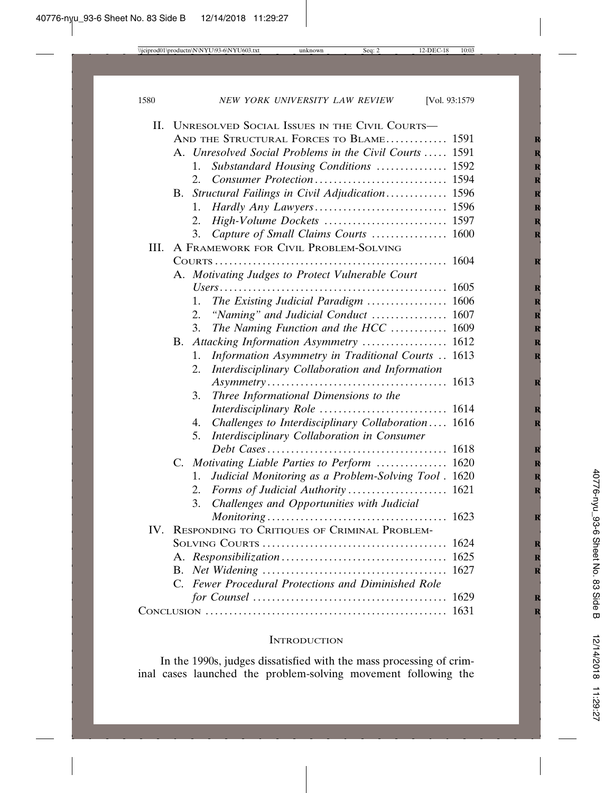| II.  |             | UNRESOLVED SOCIAL ISSUES IN THE CIVIL COURTS-              |  |
|------|-------------|------------------------------------------------------------|--|
|      |             | AND THE STRUCTURAL FORCES TO BLAME 1591                    |  |
|      |             | A. Unresolved Social Problems in the Civil Courts  1591    |  |
|      |             | $1_{-}$<br>Substandard Housing Conditions  1592            |  |
|      |             | 2.                                                         |  |
|      |             | B. Structural Failings in Civil Adjudication 1596          |  |
|      |             | 1.                                                         |  |
|      |             | 2.                                                         |  |
|      |             | Capture of Small Claims Courts  1600<br>3.                 |  |
| III. |             | A FRAMEWORK FOR CIVIL PROBLEM-SOLVING                      |  |
|      |             |                                                            |  |
|      |             | A. Motivating Judges to Protect Vulnerable Court           |  |
|      |             |                                                            |  |
|      |             | The Existing Judicial Paradigm  1606<br>1.                 |  |
|      |             | 2.<br>"Naming" and Judicial Conduct  1607                  |  |
|      |             | The Naming Function and the HCC  1609<br>3.                |  |
|      | В.          | Attacking Information Asymmetry  1612                      |  |
|      |             | Information Asymmetry in Traditional Courts  1613<br>1.    |  |
|      |             | Interdisciplinary Collaboration and Information<br>2.      |  |
|      |             |                                                            |  |
|      |             | Three Informational Dimensions to the<br>3.                |  |
|      |             |                                                            |  |
|      |             | Challenges to Interdisciplinary Collaboration 1616<br>4.   |  |
|      |             | Interdisciplinary Collaboration in Consumer<br>5.          |  |
|      |             |                                                            |  |
|      | $C_{\cdot}$ | Motivating Liable Parties to Perform  1620                 |  |
|      |             | Judicial Monitoring as a Problem-Solving Tool . 1620<br>1. |  |
|      |             | 2.                                                         |  |
|      |             | Challenges and Opportunities with Judicial<br>3.           |  |
|      |             |                                                            |  |
| IV.  |             | RESPONDING TO CRITIQUES OF CRIMINAL PROBLEM-               |  |
|      |             |                                                            |  |
|      |             |                                                            |  |
|      |             | C. Fewer Procedural Protections and Diminished Role        |  |
|      |             |                                                            |  |
|      |             |                                                            |  |
|      |             |                                                            |  |

#### **INTRODUCTION**

In the 1990s, judges dissatisfied with the mass processing of criminal cases launched the problem-solving movement following the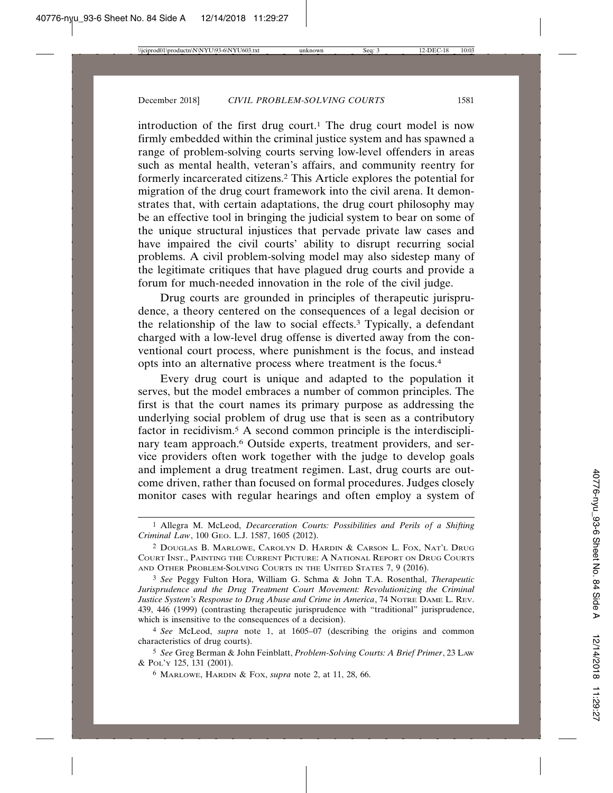introduction of the first drug court.<sup>1</sup> The drug court model is now firmly embedded within the criminal justice system and has spawned a range of problem-solving courts serving low-level offenders in areas such as mental health, veteran's affairs, and community reentry for formerly incarcerated citizens.2 This Article explores the potential for migration of the drug court framework into the civil arena. It demonstrates that, with certain adaptations, the drug court philosophy may be an effective tool in bringing the judicial system to bear on some of the unique structural injustices that pervade private law cases and have impaired the civil courts' ability to disrupt recurring social problems. A civil problem-solving model may also sidestep many of the legitimate critiques that have plagued drug courts and provide a forum for much-needed innovation in the role of the civil judge.

Drug courts are grounded in principles of therapeutic jurisprudence, a theory centered on the consequences of a legal decision or the relationship of the law to social effects.3 Typically, a defendant charged with a low-level drug offense is diverted away from the conventional court process, where punishment is the focus, and instead opts into an alternative process where treatment is the focus.4

Every drug court is unique and adapted to the population it serves, but the model embraces a number of common principles. The first is that the court names its primary purpose as addressing the underlying social problem of drug use that is seen as a contributory factor in recidivism.5 A second common principle is the interdisciplinary team approach.<sup>6</sup> Outside experts, treatment providers, and service providers often work together with the judge to develop goals and implement a drug treatment regimen. Last, drug courts are outcome driven, rather than focused on formal procedures. Judges closely monitor cases with regular hearings and often employ a system of

3 *See* Peggy Fulton Hora, William G. Schma & John T.A. Rosenthal, *Therapeutic Jurisprudence and the Drug Treatment Court Movement: Revolutionizing the Criminal Justice System's Response to Drug Abuse and Crime in America*, 74 NOTRE DAME L. REV. 439, 446 (1999) (contrasting therapeutic jurisprudence with "traditional" jurisprudence, which is insensitive to the consequences of a decision).

<sup>1</sup> Allegra M. McLeod, *Decarceration Courts: Possibilities and Perils of a Shifting Criminal Law*, 100 GEO. L.J. 1587, 1605 (2012).

<sup>2</sup> DOUGLAS B. MARLOWE, CAROLYN D. HARDIN & CARSON L. FOX, NAT'L DRUG COURT INST., PAINTING THE CURRENT PICTURE: A NATIONAL REPORT ON DRUG COURTS AND OTHER PROBLEM-SOLVING COURTS IN THE UNITED STATES 7, 9 (2016).

<sup>4</sup> *See* McLeod, *supra* note 1, at 1605–07 (describing the origins and common characteristics of drug courts).

<sup>5</sup> *See* Greg Berman & John Feinblatt, *Problem-Solving Courts: A Brief Primer*, 23 LAW & POL'Y 125, 131 (2001).

<sup>6</sup> MARLOWE, HARDIN & FOX, *supra* note 2, at 11, 28, 66.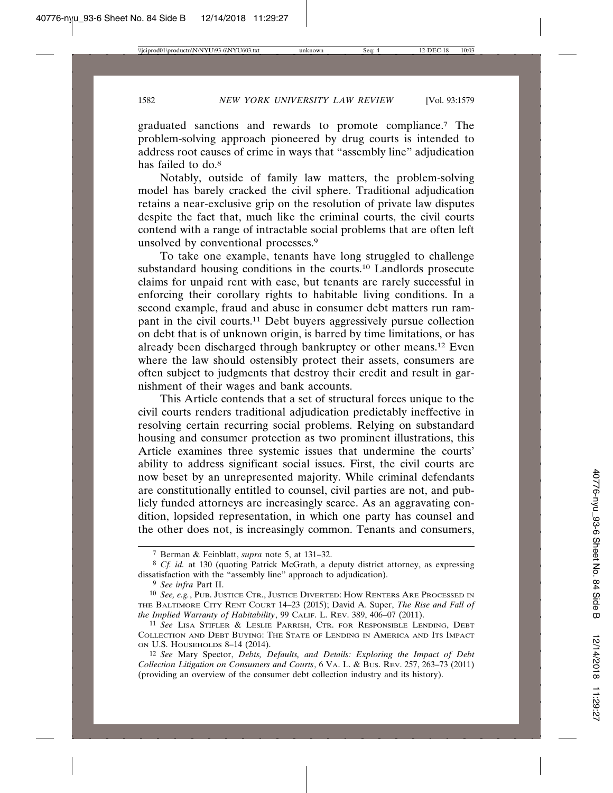graduated sanctions and rewards to promote compliance.7 The problem-solving approach pioneered by drug courts is intended to address root causes of crime in ways that "assembly line" adjudication has failed to do.<sup>8</sup>

Notably, outside of family law matters, the problem-solving model has barely cracked the civil sphere. Traditional adjudication retains a near-exclusive grip on the resolution of private law disputes despite the fact that, much like the criminal courts, the civil courts contend with a range of intractable social problems that are often left unsolved by conventional processes.9

To take one example, tenants have long struggled to challenge substandard housing conditions in the courts.10 Landlords prosecute claims for unpaid rent with ease, but tenants are rarely successful in enforcing their corollary rights to habitable living conditions. In a second example, fraud and abuse in consumer debt matters run rampant in the civil courts.11 Debt buyers aggressively pursue collection on debt that is of unknown origin, is barred by time limitations, or has already been discharged through bankruptcy or other means.12 Even where the law should ostensibly protect their assets, consumers are often subject to judgments that destroy their credit and result in garnishment of their wages and bank accounts.

This Article contends that a set of structural forces unique to the civil courts renders traditional adjudication predictably ineffective in resolving certain recurring social problems. Relying on substandard housing and consumer protection as two prominent illustrations, this Article examines three systemic issues that undermine the courts' ability to address significant social issues. First, the civil courts are now beset by an unrepresented majority. While criminal defendants are constitutionally entitled to counsel, civil parties are not, and publicly funded attorneys are increasingly scarce. As an aggravating condition, lopsided representation, in which one party has counsel and the other does not, is increasingly common. Tenants and consumers,

<sup>7</sup> Berman & Feinblatt, *supra* note 5, at 131–32.

<sup>8</sup> *Cf. id.* at 130 (quoting Patrick McGrath, a deputy district attorney, as expressing dissatisfaction with the "assembly line" approach to adjudication).

<sup>9</sup> *See infra* Part II.

<sup>10</sup> *See, e.g.*, PUB. JUSTICE CTR., JUSTICE DIVERTED: HOW RENTERS ARE PROCESSED IN THE BALTIMORE CITY RENT COURT 14–23 (2015); David A. Super, *The Rise and Fall of the Implied Warranty of Habitability*, 99 CALIF. L. REV. 389, 406–07 (2011).

<sup>11</sup> *See* LISA STIFLER & LESLIE PARRISH, CTR. FOR RESPONSIBLE LENDING, DEBT COLLECTION AND DEBT BUYING: THE STATE OF LENDING IN AMERICA AND ITS IMPACT ON U.S. HOUSEHOLDS 8–14 (2014).

<sup>12</sup> *See* Mary Spector, *Debts, Defaults, and Details: Exploring the Impact of Debt Collection Litigation on Consumers and Courts*, 6 VA. L. & BUS. REV. 257, 263–73 (2011) (providing an overview of the consumer debt collection industry and its history).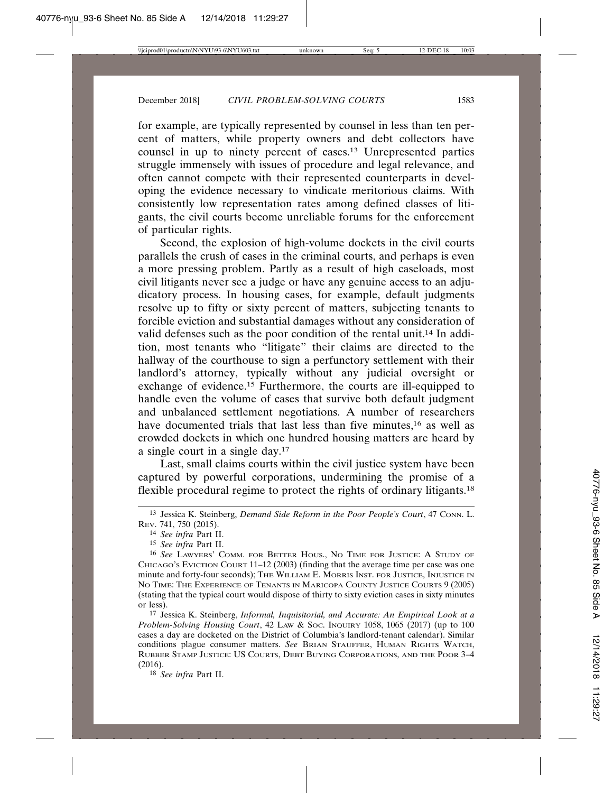for example, are typically represented by counsel in less than ten percent of matters, while property owners and debt collectors have counsel in up to ninety percent of cases.13 Unrepresented parties struggle immensely with issues of procedure and legal relevance, and often cannot compete with their represented counterparts in developing the evidence necessary to vindicate meritorious claims. With consistently low representation rates among defined classes of litigants, the civil courts become unreliable forums for the enforcement of particular rights.

Second, the explosion of high-volume dockets in the civil courts parallels the crush of cases in the criminal courts, and perhaps is even a more pressing problem. Partly as a result of high caseloads, most civil litigants never see a judge or have any genuine access to an adjudicatory process. In housing cases, for example, default judgments resolve up to fifty or sixty percent of matters, subjecting tenants to forcible eviction and substantial damages without any consideration of valid defenses such as the poor condition of the rental unit.14 In addition, most tenants who "litigate" their claims are directed to the hallway of the courthouse to sign a perfunctory settlement with their landlord's attorney, typically without any judicial oversight or exchange of evidence.15 Furthermore, the courts are ill-equipped to handle even the volume of cases that survive both default judgment and unbalanced settlement negotiations. A number of researchers have documented trials that last less than five minutes,<sup>16</sup> as well as crowded dockets in which one hundred housing matters are heard by a single court in a single day.17

Last, small claims courts within the civil justice system have been captured by powerful corporations, undermining the promise of a flexible procedural regime to protect the rights of ordinary litigants.18

<sup>13</sup> Jessica K. Steinberg, *Demand Side Reform in the Poor People's Court*, 47 CONN. L. REV. 741, 750 (2015).

<sup>14</sup> *See infra* Part II.

<sup>15</sup> *See infra* Part II.

<sup>16</sup> *See* LAWYERS' COMM. FOR BETTER HOUS., NO TIME FOR JUSTICE: A STUDY OF CHICAGO'S EVICTION COURT 11–12 (2003) (finding that the average time per case was one minute and forty-four seconds); THE WILLIAM E. MORRIS INST. FOR JUSTICE, INJUSTICE IN NO TIME: THE EXPERIENCE OF TENANTS IN MARICOPA COUNTY JUSTICE COURTS 9 (2005) (stating that the typical court would dispose of thirty to sixty eviction cases in sixty minutes or less).

<sup>17</sup> Jessica K. Steinberg, *Informal, Inquisitorial, and Accurate: An Empirical Look at a Problem-Solving Housing Court*, 42 LAW & SOC. INQUIRY 1058, 1065 (2017) (up to 100 cases a day are docketed on the District of Columbia's landlord-tenant calendar). Similar conditions plague consumer matters. *See* BRIAN STAUFFER, HUMAN RIGHTS WATCH, RUBBER STAMP JUSTICE: US COURTS, DEBT BUYING CORPORATIONS, AND THE POOR 3–4 (2016).

<sup>18</sup> *See infra* Part II.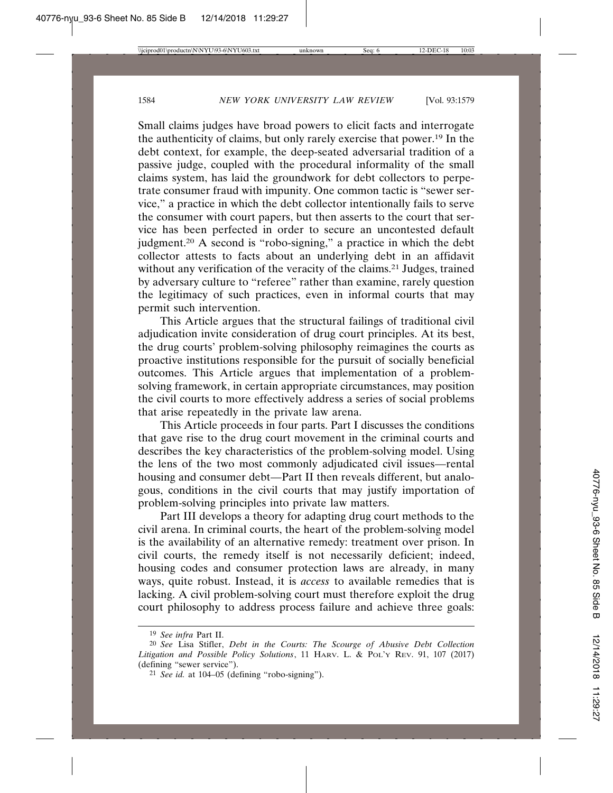Small claims judges have broad powers to elicit facts and interrogate the authenticity of claims, but only rarely exercise that power.19 In the debt context, for example, the deep-seated adversarial tradition of a passive judge, coupled with the procedural informality of the small claims system, has laid the groundwork for debt collectors to perpetrate consumer fraud with impunity. One common tactic is "sewer service," a practice in which the debt collector intentionally fails to serve the consumer with court papers, but then asserts to the court that service has been perfected in order to secure an uncontested default judgment.20 A second is "robo-signing," a practice in which the debt collector attests to facts about an underlying debt in an affidavit without any verification of the veracity of the claims.<sup>21</sup> Judges, trained by adversary culture to "referee" rather than examine, rarely question the legitimacy of such practices, even in informal courts that may permit such intervention.

This Article argues that the structural failings of traditional civil adjudication invite consideration of drug court principles. At its best, the drug courts' problem-solving philosophy reimagines the courts as proactive institutions responsible for the pursuit of socially beneficial outcomes. This Article argues that implementation of a problemsolving framework, in certain appropriate circumstances, may position the civil courts to more effectively address a series of social problems that arise repeatedly in the private law arena.

This Article proceeds in four parts. Part I discusses the conditions that gave rise to the drug court movement in the criminal courts and describes the key characteristics of the problem-solving model. Using the lens of the two most commonly adjudicated civil issues—rental housing and consumer debt—Part II then reveals different, but analogous, conditions in the civil courts that may justify importation of problem-solving principles into private law matters.

Part III develops a theory for adapting drug court methods to the civil arena. In criminal courts, the heart of the problem-solving model is the availability of an alternative remedy: treatment over prison. In civil courts, the remedy itself is not necessarily deficient; indeed, housing codes and consumer protection laws are already, in many ways, quite robust. Instead, it is *access* to available remedies that is lacking. A civil problem-solving court must therefore exploit the drug court philosophy to address process failure and achieve three goals:

<sup>19</sup> *See infra* Part II.

<sup>20</sup> *See* Lisa Stifler, *Debt in the Courts: The Scourge of Abusive Debt Collection Litigation and Possible Policy Solutions*, 11 HARV. L. & POL'Y REV. 91, 107 (2017) (defining "sewer service").

<sup>21</sup> *See id.* at 104–05 (defining "robo-signing").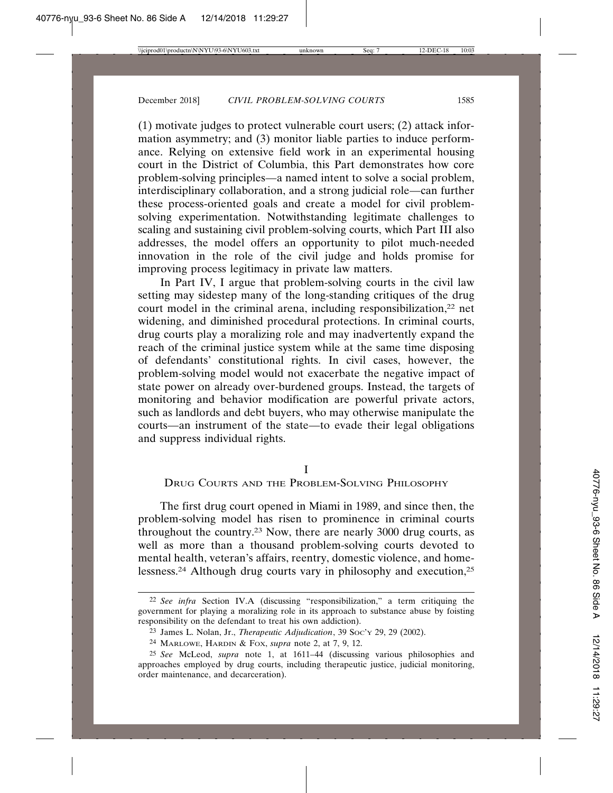(1) motivate judges to protect vulnerable court users; (2) attack information asymmetry; and (3) monitor liable parties to induce performance. Relying on extensive field work in an experimental housing court in the District of Columbia, this Part demonstrates how core problem-solving principles—a named intent to solve a social problem, interdisciplinary collaboration, and a strong judicial role—can further these process-oriented goals and create a model for civil problemsolving experimentation. Notwithstanding legitimate challenges to scaling and sustaining civil problem-solving courts, which Part III also addresses, the model offers an opportunity to pilot much-needed innovation in the role of the civil judge and holds promise for improving process legitimacy in private law matters.

In Part IV, I argue that problem-solving courts in the civil law setting may sidestep many of the long-standing critiques of the drug court model in the criminal arena, including responsibilization,<sup>22</sup> net widening, and diminished procedural protections. In criminal courts, drug courts play a moralizing role and may inadvertently expand the reach of the criminal justice system while at the same time disposing of defendants' constitutional rights. In civil cases, however, the problem-solving model would not exacerbate the negative impact of state power on already over-burdened groups. Instead, the targets of monitoring and behavior modification are powerful private actors, such as landlords and debt buyers, who may otherwise manipulate the courts—an instrument of the state—to evade their legal obligations and suppress individual rights.

I

DRUG COURTS AND THE PROBLEM-SOLVING PHILOSOPHY

The first drug court opened in Miami in 1989, and since then, the problem-solving model has risen to prominence in criminal courts throughout the country.23 Now, there are nearly 3000 drug courts, as well as more than a thousand problem-solving courts devoted to mental health, veteran's affairs, reentry, domestic violence, and homelessness.24 Although drug courts vary in philosophy and execution,25

<sup>22</sup> *See infra* Section IV.A (discussing "responsibilization," a term critiquing the government for playing a moralizing role in its approach to substance abuse by foisting responsibility on the defendant to treat his own addiction).

<sup>23</sup> James L. Nolan, Jr., *Therapeutic Adjudication*, 39 SOC'Y 29, 29 (2002).

<sup>24</sup> MARLOWE, HARDIN & FOX, *supra* note 2, at 7, 9, 12.

<sup>25</sup> *See* McLeod, *supra* note 1, at 1611–44 (discussing various philosophies and approaches employed by drug courts, including therapeutic justice, judicial monitoring, order maintenance, and decarceration).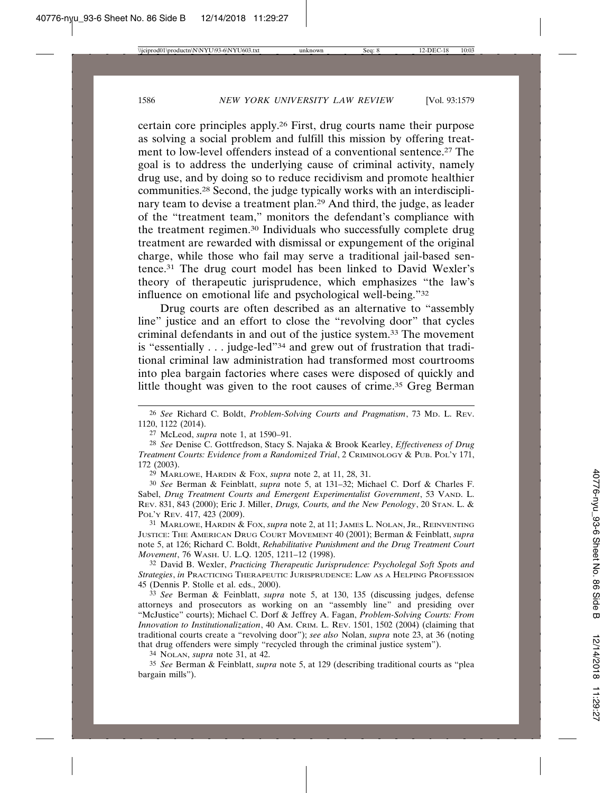certain core principles apply.26 First, drug courts name their purpose as solving a social problem and fulfill this mission by offering treatment to low-level offenders instead of a conventional sentence.27 The goal is to address the underlying cause of criminal activity, namely drug use, and by doing so to reduce recidivism and promote healthier communities.28 Second, the judge typically works with an interdisciplinary team to devise a treatment plan.29 And third, the judge, as leader of the "treatment team," monitors the defendant's compliance with the treatment regimen.30 Individuals who successfully complete drug treatment are rewarded with dismissal or expungement of the original charge, while those who fail may serve a traditional jail-based sentence.31 The drug court model has been linked to David Wexler's theory of therapeutic jurisprudence, which emphasizes "the law's influence on emotional life and psychological well-being."32

Drug courts are often described as an alternative to "assembly line" justice and an effort to close the "revolving door" that cycles criminal defendants in and out of the justice system.33 The movement is "essentially . . . judge-led"<sup>34</sup> and grew out of frustration that traditional criminal law administration had transformed most courtrooms into plea bargain factories where cases were disposed of quickly and little thought was given to the root causes of crime.35 Greg Berman

29 MARLOWE, HARDIN & FOX, *supra* note 2, at 11, 28, 31.

30 *See* Berman & Feinblatt, *supra* note 5, at 131–32; Michael C. Dorf & Charles F. Sabel, *Drug Treatment Courts and Emergent Experimentalist Government*, 53 VAND. L. REV. 831, 843 (2000); Eric J. Miller, *Drugs, Courts, and the New Penology*, 20 STAN. L. & POL'Y REV. 417, 423 (2009).

31 MARLOWE, HARDIN & FOX, *supra* note 2, at 11; JAMES L. NOLAN, JR., REINVENTING JUSTICE: THE AMERICAN DRUG COURT MOVEMENT 40 (2001); Berman & Feinblatt, *supra* note 5, at 126; Richard C. Boldt, *Rehabilitative Punishment and the Drug Treatment Court Movement*, 76 WASH. U. L.Q. 1205, 1211–12 (1998).

32 David B. Wexler, *Practicing Therapeutic Jurisprudence: Psycholegal Soft Spots and Strategies*, *in* PRACTICING THERAPEUTIC JURISPRUDENCE: LAW AS A HELPING PROFESSION 45 (Dennis P. Stolle et al. eds., 2000).

33 *See* Berman & Feinblatt, *supra* note 5, at 130, 135 (discussing judges, defense attorneys and prosecutors as working on an "assembly line" and presiding over "McJustice" courts); Michael C. Dorf & Jeffrey A. Fagan, *Problem-Solving Courts: From Innovation to Institutionalization*, 40 AM. CRIM. L. REV. 1501, 1502 (2004) (claiming that traditional courts create a "revolving door"); *see also* Nolan, *supra* note 23, at 36 (noting that drug offenders were simply "recycled through the criminal justice system").

34 NOLAN, *supra* note 31, at 42.

35 *See* Berman & Feinblatt, *supra* note 5, at 129 (describing traditional courts as "plea bargain mills").

<sup>26</sup> *See* Richard C. Boldt, *Problem-Solving Courts and Pragmatism*, 73 MD. L. REV. 1120, 1122 (2014).

<sup>27</sup> McLeod, *supra* note 1, at 1590–91.

<sup>28</sup> *See* Denise C. Gottfredson, Stacy S. Najaka & Brook Kearley, *Effectiveness of Drug Treatment Courts: Evidence from a Randomized Trial*, 2 CRIMINOLOGY & PUB. POL'Y 171, 172 (2003).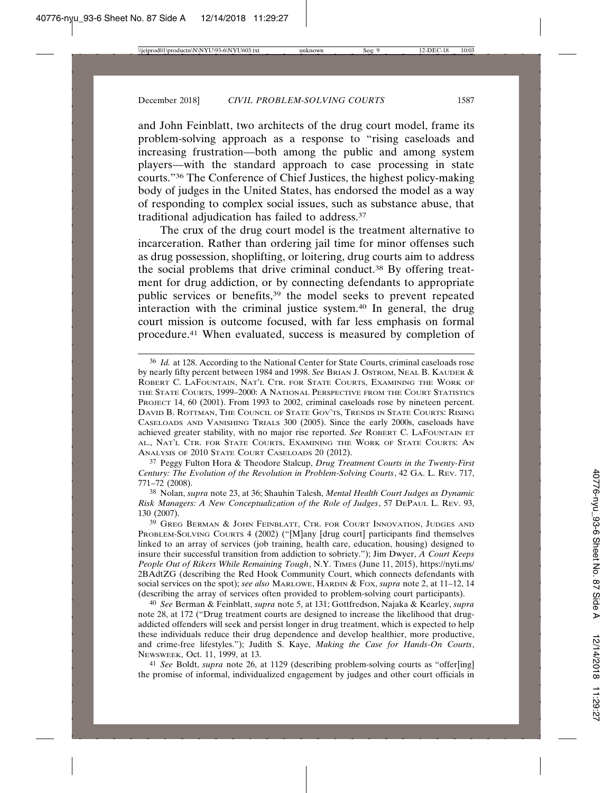and John Feinblatt, two architects of the drug court model, frame its problem-solving approach as a response to "rising caseloads and increasing frustration—both among the public and among system players—with the standard approach to case processing in state courts."36 The Conference of Chief Justices, the highest policy-making body of judges in the United States, has endorsed the model as a way of responding to complex social issues, such as substance abuse, that traditional adjudication has failed to address.37

The crux of the drug court model is the treatment alternative to incarceration. Rather than ordering jail time for minor offenses such as drug possession, shoplifting, or loitering, drug courts aim to address the social problems that drive criminal conduct.38 By offering treatment for drug addiction, or by connecting defendants to appropriate public services or benefits,39 the model seeks to prevent repeated interaction with the criminal justice system.40 In general, the drug court mission is outcome focused, with far less emphasis on formal procedure.41 When evaluated, success is measured by completion of

37 Peggy Fulton Hora & Theodore Stalcup, *Drug Treatment Courts in the Twenty-First Century: The Evolution of the Revolution in Problem-Solving Courts*, 42 GA. L. REV. 717, 771–72 (2008).

38 Nolan, *supra* note 23, at 36; Shauhin Talesh, *Mental Health Court Judges as Dynamic Risk Managers: A New Conceptualization of the Role of Judges*, 57 DEPAUL L. REV. 93, 130 (2007).

39 GREG BERMAN & JOHN FEINBLATT, CTR. FOR COURT INNOVATION, JUDGES AND PROBLEM-SOLVING COURTS 4 (2002) ("[M]any [drug court] participants find themselves linked to an array of services (job training, health care, education, housing) designed to insure their successful transition from addiction to sobriety."); Jim Dwyer, *A Court Keeps People Out of Rikers While Remaining Tough*, N.Y. TIMES (June 11, 2015), https://nyti.ms/ 2BAdtZG (describing the Red Hook Community Court, which connects defendants with social services on the spot); *see also* MARLOWE, HARDIN & FOX, *supra* note 2, at 11–12, 14 (describing the array of services often provided to problem-solving court participants).

40 *See* Berman & Feinblatt, *supra* note 5, at 131; Gottfredson, Najaka & Kearley, *supra* note 28, at 172 ("Drug treatment courts are designed to increase the likelihood that drugaddicted offenders will seek and persist longer in drug treatment, which is expected to help these individuals reduce their drug dependence and develop healthier, more productive, and crime-free lifestyles."); Judith S. Kaye, *Making the Case for Hands-On Courts*, NEWSWEEK, Oct. 11, 1999, at 13.

41 *See* Boldt, *supra* note 26, at 1129 (describing problem-solving courts as "offer[ing] the promise of informal, individualized engagement by judges and other court officials in

<sup>36</sup> *Id.* at 128. According to the National Center for State Courts, criminal caseloads rose by nearly fifty percent between 1984 and 1998. *See* BRIAN J. OSTROM, NEAL B. KAUDER & ROBERT C. LAFOUNTAIN, NAT'L CTR. FOR STATE COURTS, EXAMINING THE WORK OF THE STATE COURTS, 1999–2000: A NATIONAL PERSPECTIVE FROM THE COURT STATISTICS PROJECT 14, 60 (2001). From 1993 to 2002, criminal caseloads rose by nineteen percent. DAVID B. ROTTMAN, THE COUNCIL OF STATE GOV'TS, TRENDS IN STATE COURTS: RISING CASELOADS AND VANISHING TRIALS 300 (2005). Since the early 2000s, caseloads have achieved greater stability, with no major rise reported. *See* ROBERT C. LAFOUNTAIN ET AL., NAT'L CTR. FOR STATE COURTS, EXAMINING THE WORK OF STATE COURTS: AN ANALYSIS OF 2010 STATE COURT CASELOADS 20 (2012).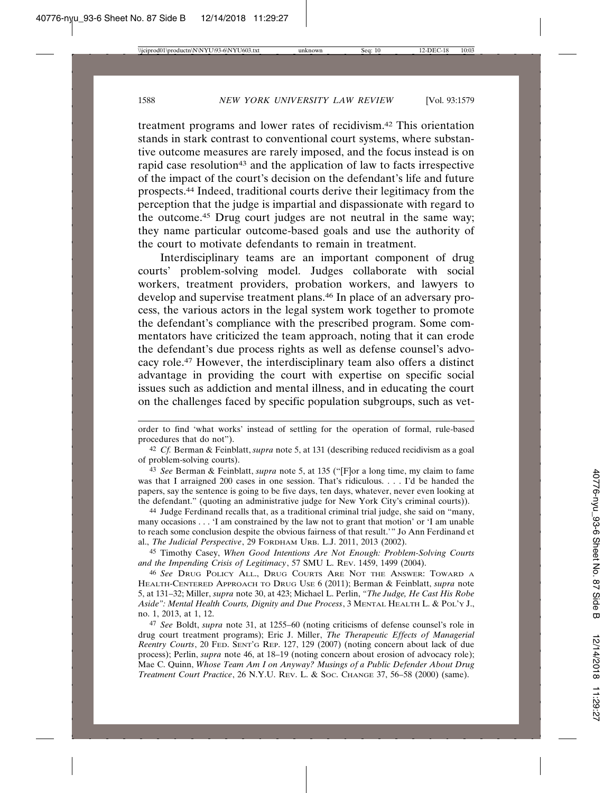treatment programs and lower rates of recidivism.42 This orientation stands in stark contrast to conventional court systems, where substantive outcome measures are rarely imposed, and the focus instead is on rapid case resolution<sup>43</sup> and the application of law to facts irrespective of the impact of the court's decision on the defendant's life and future prospects.44 Indeed, traditional courts derive their legitimacy from the perception that the judge is impartial and dispassionate with regard to the outcome.45 Drug court judges are not neutral in the same way; they name particular outcome-based goals and use the authority of the court to motivate defendants to remain in treatment.

Interdisciplinary teams are an important component of drug courts' problem-solving model. Judges collaborate with social workers, treatment providers, probation workers, and lawyers to develop and supervise treatment plans.46 In place of an adversary process, the various actors in the legal system work together to promote the defendant's compliance with the prescribed program. Some commentators have criticized the team approach, noting that it can erode the defendant's due process rights as well as defense counsel's advocacy role.47 However, the interdisciplinary team also offers a distinct advantage in providing the court with expertise on specific social issues such as addiction and mental illness, and in educating the court on the challenges faced by specific population subgroups, such as vet-

44 Judge Ferdinand recalls that, as a traditional criminal trial judge, she said on "many, many occasions . . . 'I am constrained by the law not to grant that motion' or 'I am unable to reach some conclusion despite the obvious fairness of that result.'" Jo Ann Ferdinand et al., *The Judicial Perspective*, 29 FORDHAM URB. L.J. 2011, 2013 (2002).

45 Timothy Casey, *When Good Intentions Are Not Enough: Problem-Solving Courts and the Impending Crisis of Legitimacy*, 57 SMU L. REV. 1459, 1499 (2004).

46 *See* DRUG POLICY ALL., DRUG COURTS ARE NOT THE ANSWER: TOWARD A HEALTH-CENTERED APPROACH TO DRUG USE 6 (2011); Berman & Feinblatt, *supra* note 5, at 131–32; Miller, *supra* note 30, at 423; Michael L. Perlin, *"The Judge, He Cast His Robe Aside": Mental Health Courts, Dignity and Due Process*, 3 MENTAL HEALTH L. & POL'Y J., no. 1, 2013, at 1, 12.

47 *See* Boldt, *supra* note 31, at 1255–60 (noting criticisms of defense counsel's role in drug court treatment programs); Eric J. Miller, *The Therapeutic Effects of Managerial Reentry Courts*, 20 FED. SENT'G REP. 127, 129 (2007) (noting concern about lack of due process); Perlin, *supra* note 46, at 18–19 (noting concern about erosion of advocacy role); Mae C. Quinn, *Whose Team Am I on Anyway? Musings of a Public Defender About Drug Treatment Court Practice*, 26 N.Y.U. REV. L. & SOC. CHANGE 37, 56–58 (2000) (same).

order to find 'what works' instead of settling for the operation of formal, rule-based procedures that do not").

<sup>42</sup> *Cf.* Berman & Feinblatt, *supra* note 5, at 131 (describing reduced recidivism as a goal of problem-solving courts).

<sup>43</sup> *See* Berman & Feinblatt, *supra* note 5, at 135 ("[F]or a long time, my claim to fame was that I arraigned 200 cases in one session. That's ridiculous. . . . I'd be handed the papers, say the sentence is going to be five days, ten days, whatever, never even looking at the defendant." (quoting an administrative judge for New York City's criminal courts)).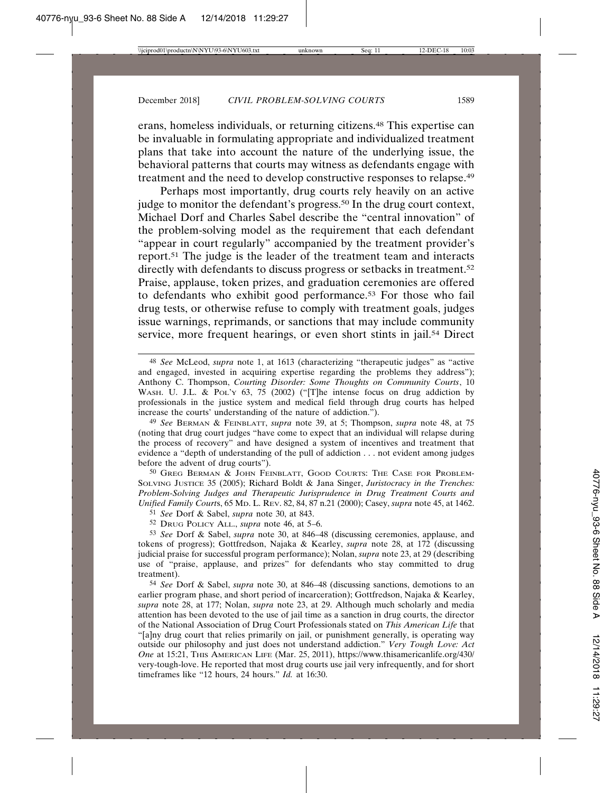erans, homeless individuals, or returning citizens.48 This expertise can be invaluable in formulating appropriate and individualized treatment plans that take into account the nature of the underlying issue, the behavioral patterns that courts may witness as defendants engage with treatment and the need to develop constructive responses to relapse.49

Perhaps most importantly, drug courts rely heavily on an active judge to monitor the defendant's progress.<sup>50</sup> In the drug court context, Michael Dorf and Charles Sabel describe the "central innovation" of the problem-solving model as the requirement that each defendant "appear in court regularly" accompanied by the treatment provider's report.51 The judge is the leader of the treatment team and interacts directly with defendants to discuss progress or setbacks in treatment.52 Praise, applause, token prizes, and graduation ceremonies are offered to defendants who exhibit good performance.53 For those who fail drug tests, or otherwise refuse to comply with treatment goals, judges issue warnings, reprimands, or sanctions that may include community service, more frequent hearings, or even short stints in jail.<sup>54</sup> Direct

50 GREG BERMAN & JOHN FEINBLATT, GOOD COURTS: THE CASE FOR PROBLEM-SOLVING JUSTICE 35 (2005); Richard Boldt & Jana Singer, *Juristocracy in the Trenches: Problem-Solving Judges and Therapeutic Jurisprudence in Drug Treatment Courts and Unified Family Court*s, 65 MD. L. REV. 82, 84, 87 n.21 (2000); Casey, *supra* note 45, at 1462.

51 *See* Dorf & Sabel, *supra* note 30, at 843.

52 DRUG POLICY ALL., *supra* note 46, at 5–6.

53 *See* Dorf & Sabel, *supra* note 30, at 846–48 (discussing ceremonies, applause, and tokens of progress); Gottfredson, Najaka & Kearley, *supra* note 28, at 172 (discussing judicial praise for successful program performance); Nolan, *supra* note 23, at 29 (describing use of "praise, applause, and prizes" for defendants who stay committed to drug treatment).

54 *See* Dorf & Sabel, *supra* note 30, at 846–48 (discussing sanctions, demotions to an earlier program phase, and short period of incarceration); Gottfredson, Najaka & Kearley, *supra* note 28, at 177; Nolan, *supra* note 23, at 29. Although much scholarly and media attention has been devoted to the use of jail time as a sanction in drug courts, the director of the National Association of Drug Court Professionals stated on *This American Life* that "[a]ny drug court that relies primarily on jail, or punishment generally, is operating way outside our philosophy and just does not understand addiction." *Very Tough Love: Act One* at 15:21, THIS AMERICAN LIFE (Mar. 25, 2011), https://www.thisamericanlife.org/430/ very-tough-love. He reported that most drug courts use jail very infrequently, and for short timeframes like "12 hours, 24 hours." *Id.* at 16:30.

<sup>48</sup> *See* McLeod, *supra* note 1, at 1613 (characterizing "therapeutic judges" as "active and engaged, invested in acquiring expertise regarding the problems they address"); Anthony C. Thompson, *Courting Disorder: Some Thoughts on Community Courts*, 10 WASH. U. J.L. & POL'Y 63, 75 (2002) ("[T]he intense focus on drug addiction by professionals in the justice system and medical field through drug courts has helped increase the courts' understanding of the nature of addiction.").

<sup>49</sup> *See* BERMAN & FEINBLATT, *supra* note 39, at 5; Thompson, *supra* note 48, at 75 (noting that drug court judges "have come to expect that an individual will relapse during the process of recovery" and have designed a system of incentives and treatment that evidence a "depth of understanding of the pull of addiction . . . not evident among judges before the advent of drug courts").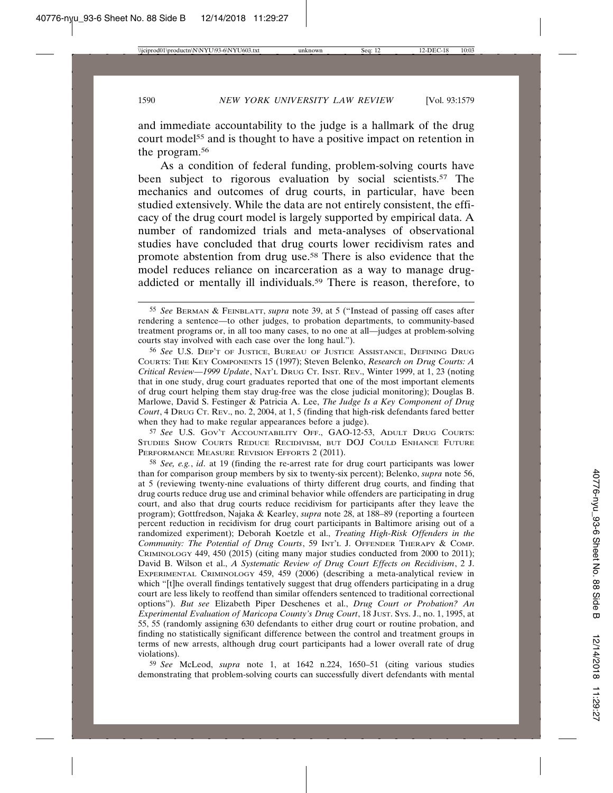and immediate accountability to the judge is a hallmark of the drug court model<sup>55</sup> and is thought to have a positive impact on retention in the program.56

As a condition of federal funding, problem-solving courts have been subject to rigorous evaluation by social scientists.<sup>57</sup> The mechanics and outcomes of drug courts, in particular, have been studied extensively. While the data are not entirely consistent, the efficacy of the drug court model is largely supported by empirical data. A number of randomized trials and meta-analyses of observational studies have concluded that drug courts lower recidivism rates and promote abstention from drug use.58 There is also evidence that the model reduces reliance on incarceration as a way to manage drugaddicted or mentally ill individuals.59 There is reason, therefore, to

56 *See* U.S. DEP'T OF JUSTICE, BUREAU OF JUSTICE ASSISTANCE, DEFINING DRUG COURTS: THE KEY COMPONENTS 15 (1997); Steven Belenko, *Research on Drug Courts: A Critical Review—1999 Update*, NAT'L DRUG CT. INST. REV., Winter 1999, at 1, 23 (noting that in one study, drug court graduates reported that one of the most important elements of drug court helping them stay drug-free was the close judicial monitoring); Douglas B. Marlowe, David S. Festinger & Patricia A. Lee, *The Judge Is a Key Component of Drug Court*, 4 DRUG CT. REV., no. 2, 2004, at 1, 5 (finding that high-risk defendants fared better when they had to make regular appearances before a judge).

57 *See* U.S. GOV'T ACCOUNTABILITY OFF., GAO-12-53, ADULT DRUG COURTS: STUDIES SHOW COURTS REDUCE RECIDIVISM, BUT DOJ COULD ENHANCE FUTURE PERFORMANCE MEASURE REVISION EFFORTS 2 (2011).

58 *See, e.g.*, *id*. at 19 (finding the re-arrest rate for drug court participants was lower than for comparison group members by six to twenty-six percent); Belenko, *supra* note 56, at 5 (reviewing twenty-nine evaluations of thirty different drug courts, and finding that drug courts reduce drug use and criminal behavior while offenders are participating in drug court, and also that drug courts reduce recidivism for participants after they leave the program); Gottfredson, Najaka & Kearley, *supra* note 28, at 188–89 (reporting a fourteen percent reduction in recidivism for drug court participants in Baltimore arising out of a randomized experiment); Deborah Koetzle et al., *Treating High-Risk Offenders in the Community: The Potential of Drug Courts*, 59 INT'L J. OFFENDER THERAPY & COMP. CRIMINOLOGY 449, 450 (2015) (citing many major studies conducted from 2000 to 2011); David B. Wilson et al., *A Systematic Review of Drug Court Effects on Recidivism*, 2 J. EXPERIMENTAL CRIMINOLOGY 459, 459 (2006) (describing a meta-analytical review in which "[t]he overall findings tentatively suggest that drug offenders participating in a drug court are less likely to reoffend than similar offenders sentenced to traditional correctional options"). *But see* Elizabeth Piper Deschenes et al., *Drug Court or Probation? An Experimental Evaluation of Maricopa County's Drug Court*, 18 JUST. SYS. J., no. 1, 1995, at 55, 55 (randomly assigning 630 defendants to either drug court or routine probation, and finding no statistically significant difference between the control and treatment groups in terms of new arrests, although drug court participants had a lower overall rate of drug violations).

59 *See* McLeod, *supra* note 1, at 1642 n.224, 1650–51 (citing various studies demonstrating that problem-solving courts can successfully divert defendants with mental

<sup>55</sup> *See* BERMAN & FEINBLATT, *supra* note 39, at 5 ("Instead of passing off cases after rendering a sentence—to other judges, to probation departments, to community-based treatment programs or, in all too many cases, to no one at all—judges at problem-solving courts stay involved with each case over the long haul.").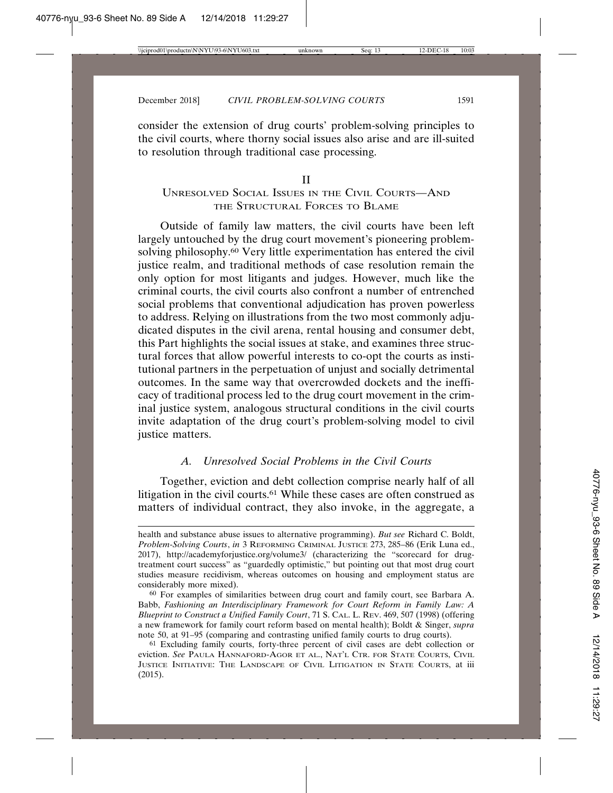consider the extension of drug courts' problem-solving principles to the civil courts, where thorny social issues also arise and are ill-suited to resolution through traditional case processing.

II

# UNRESOLVED SOCIAL ISSUES IN THE CIVIL COURTS—AND THE STRUCTURAL FORCES TO BLAME

Outside of family law matters, the civil courts have been left largely untouched by the drug court movement's pioneering problemsolving philosophy.<sup>60</sup> Very little experimentation has entered the civil justice realm, and traditional methods of case resolution remain the only option for most litigants and judges. However, much like the criminal courts, the civil courts also confront a number of entrenched social problems that conventional adjudication has proven powerless to address. Relying on illustrations from the two most commonly adjudicated disputes in the civil arena, rental housing and consumer debt, this Part highlights the social issues at stake, and examines three structural forces that allow powerful interests to co-opt the courts as institutional partners in the perpetuation of unjust and socially detrimental outcomes. In the same way that overcrowded dockets and the inefficacy of traditional process led to the drug court movement in the criminal justice system, analogous structural conditions in the civil courts invite adaptation of the drug court's problem-solving model to civil justice matters.

# *A. Unresolved Social Problems in the Civil Courts*

Together, eviction and debt collection comprise nearly half of all litigation in the civil courts.<sup>61</sup> While these cases are often construed as matters of individual contract, they also invoke, in the aggregate, a

health and substance abuse issues to alternative programming). *But see* Richard C. Boldt, *Problem-Solving Courts*, *in* 3 REFORMING CRIMINAL JUSTICE 273, 285–86 (Erik Luna ed., 2017), http://academyforjustice.org/volume3/ (characterizing the "scorecard for drugtreatment court success" as "guardedly optimistic," but pointing out that most drug court studies measure recidivism, whereas outcomes on housing and employment status are considerably more mixed).

<sup>60</sup> For examples of similarities between drug court and family court, see Barbara A. Babb, *Fashioning an Interdisciplinary Framework for Court Reform in Family Law: A Blueprint to Construct a Unified Family Court*, 71 S. CAL. L. REV. 469, 507 (1998) (offering a new framework for family court reform based on mental health); Boldt & Singer, *supra* note 50, at 91–95 (comparing and contrasting unified family courts to drug courts).

<sup>61</sup> Excluding family courts, forty-three percent of civil cases are debt collection or eviction. *See* PAULA HANNAFORD-AGOR ET AL., NAT'L CTR. FOR STATE COURTS, CIVIL JUSTICE INITIATIVE: THE LANDSCAPE OF CIVIL LITIGATION IN STATE COURTS, at iii (2015).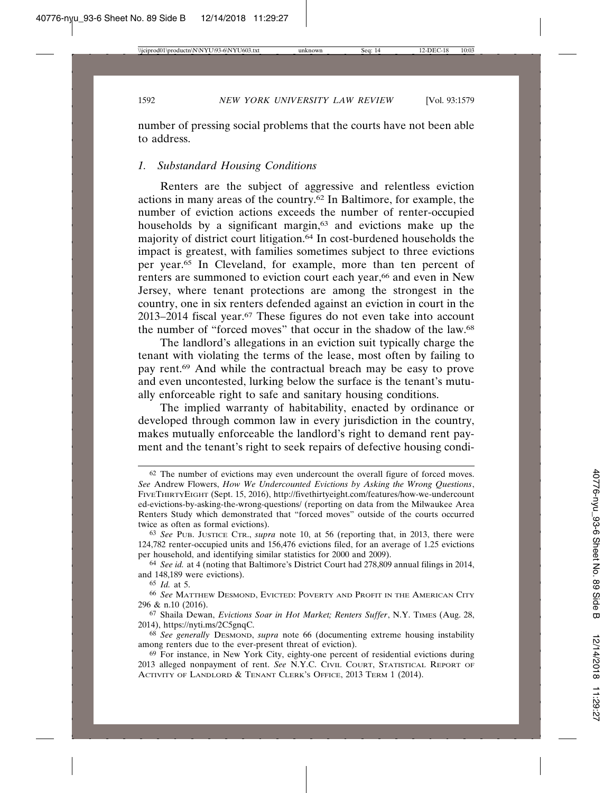number of pressing social problems that the courts have not been able to address.

#### *1. Substandard Housing Conditions*

Renters are the subject of aggressive and relentless eviction actions in many areas of the country.62 In Baltimore, for example, the number of eviction actions exceeds the number of renter-occupied households by a significant margin,<sup>63</sup> and evictions make up the majority of district court litigation.64 In cost-burdened households the impact is greatest, with families sometimes subject to three evictions per year.65 In Cleveland, for example, more than ten percent of renters are summoned to eviction court each year,<sup>66</sup> and even in New Jersey, where tenant protections are among the strongest in the country, one in six renters defended against an eviction in court in the 2013–2014 fiscal year.67 These figures do not even take into account the number of "forced moves" that occur in the shadow of the law.68

The landlord's allegations in an eviction suit typically charge the tenant with violating the terms of the lease, most often by failing to pay rent.69 And while the contractual breach may be easy to prove and even uncontested, lurking below the surface is the tenant's mutually enforceable right to safe and sanitary housing conditions.

The implied warranty of habitability, enacted by ordinance or developed through common law in every jurisdiction in the country, makes mutually enforceable the landlord's right to demand rent payment and the tenant's right to seek repairs of defective housing condi-

<sup>62</sup> The number of evictions may even undercount the overall figure of forced moves. *See* Andrew Flowers, *How We Undercounted Evictions by Asking the Wrong Questions*, FIVETHIRTYEIGHT (Sept. 15, 2016), http://fivethirtyeight.com/features/how-we-undercount ed-evictions-by-asking-the-wrong-questions/ (reporting on data from the Milwaukee Area Renters Study which demonstrated that "forced moves" outside of the courts occurred twice as often as formal evictions).

<sup>63</sup> *See* PUB. JUSTICE CTR., *supra* note 10, at 56 (reporting that, in 2013, there were 124,782 renter-occupied units and 156,476 evictions filed, for an average of 1.25 evictions per household, and identifying similar statistics for 2000 and 2009).

<sup>64</sup> *See id.* at 4 (noting that Baltimore's District Court had 278,809 annual filings in 2014, and 148,189 were evictions).

<sup>65</sup> *Id.* at 5.

<sup>66</sup> *See* MATTHEW DESMOND, EVICTED: POVERTY AND PROFIT IN THE AMERICAN CITY 296 & n.10 (2016).

<sup>67</sup> Shaila Dewan, *Evictions Soar in Hot Market; Renters Suffer*, N.Y. TIMES (Aug. 28, 2014), https://nyti.ms/2C5gnqC.

<sup>68</sup> *See generally* DESMOND, *supra* note 66 (documenting extreme housing instability among renters due to the ever-present threat of eviction).

<sup>69</sup> For instance, in New York City, eighty-one percent of residential evictions during 2013 alleged nonpayment of rent. *See* N.Y.C. CIVIL COURT, STATISTICAL REPORT OF ACTIVITY OF LANDLORD & TENANT CLERK'S OFFICE, 2013 TERM 1 (2014).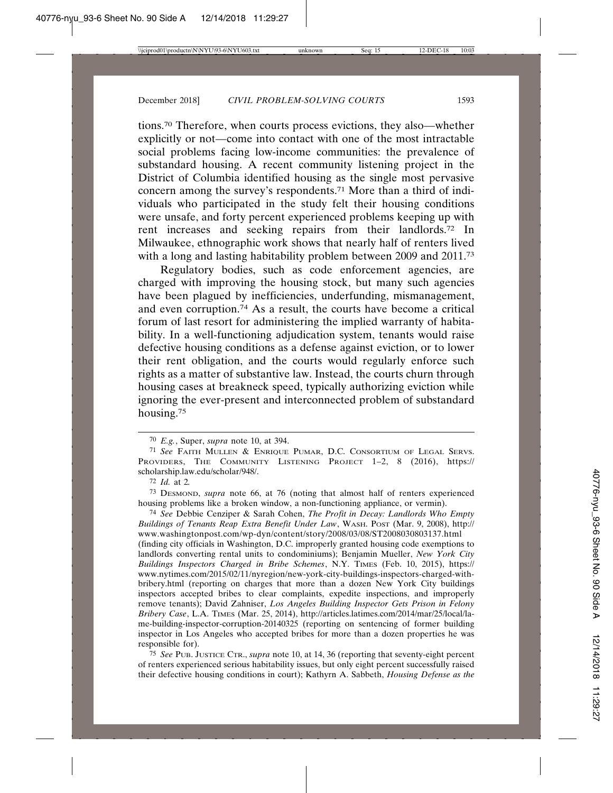tions.70 Therefore, when courts process evictions, they also—whether explicitly or not—come into contact with one of the most intractable social problems facing low-income communities: the prevalence of substandard housing. A recent community listening project in the District of Columbia identified housing as the single most pervasive concern among the survey's respondents.71 More than a third of individuals who participated in the study felt their housing conditions were unsafe, and forty percent experienced problems keeping up with rent increases and seeking repairs from their landlords.72 In Milwaukee, ethnographic work shows that nearly half of renters lived with a long and lasting habitability problem between 2009 and 2011.<sup>73</sup>

Regulatory bodies, such as code enforcement agencies, are charged with improving the housing stock, but many such agencies have been plagued by inefficiencies, underfunding, mismanagement, and even corruption.74 As a result, the courts have become a critical forum of last resort for administering the implied warranty of habitability. In a well-functioning adjudication system, tenants would raise defective housing conditions as a defense against eviction, or to lower their rent obligation, and the courts would regularly enforce such rights as a matter of substantive law. Instead, the courts churn through housing cases at breakneck speed, typically authorizing eviction while ignoring the ever-present and interconnected problem of substandard housing.75

73 DESMOND, *supra* note 66, at 76 (noting that almost half of renters experienced housing problems like a broken window, a non-functioning appliance, or vermin).

74 *See* Debbie Cenziper & Sarah Cohen, *The Profit in Decay: Landlords Who Empty Buildings of Tenants Reap Extra Benefit Under Law*, WASH. POST (Mar. 9, 2008), http:// www.washingtonpost.com/wp-dyn/content/story/2008/03/08/ST2008030803137.html (finding city officials in Washington, D.C. improperly granted housing code exemptions to landlords converting rental units to condominiums); Benjamin Mueller, *New York City Buildings Inspectors Charged in Bribe Schemes*, N.Y. TIMES (Feb. 10, 2015), https:// www.nytimes.com/2015/02/11/nyregion/new-york-city-buildings-inspectors-charged-withbribery.html (reporting on charges that more than a dozen New York City buildings inspectors accepted bribes to clear complaints, expedite inspections, and improperly remove tenants); David Zahniser, *Los Angeles Building Inspector Gets Prison in Felony Bribery Case*, L.A. TIMES (Mar. 25, 2014), http://articles.latimes.com/2014/mar/25/local/lame-building-inspector-corruption-20140325 (reporting on sentencing of former building inspector in Los Angeles who accepted bribes for more than a dozen properties he was responsible for).

75 *See* PUB. JUSTICE CTR., *supra* note 10, at 14, 36 (reporting that seventy-eight percent of renters experienced serious habitability issues, but only eight percent successfully raised their defective housing conditions in court); Kathyrn A. Sabbeth, *Housing Defense as the*

<sup>70</sup> *E.g.*, Super, *supra* note 10, at 394.

<sup>71</sup> *See* FAITH MULLEN & ENRIQUE PUMAR, D.C. CONSORTIUM OF LEGAL SERVS. PROVIDERS, THE COMMUNITY LISTENING PROJECT 1–2, 8 (2016), https:// scholarship.law.edu/scholar/948/.

<sup>72</sup> *Id.* at 2*.*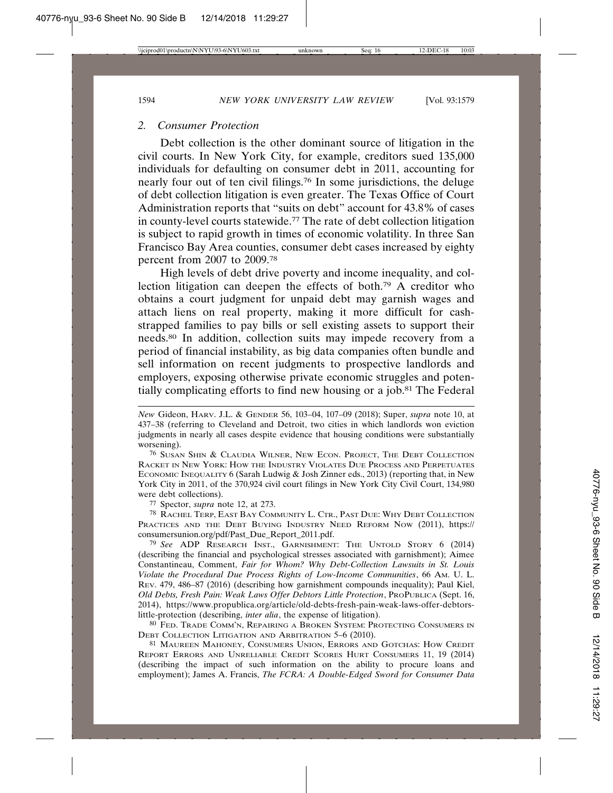#### *2. Consumer Protection*

Debt collection is the other dominant source of litigation in the civil courts. In New York City, for example, creditors sued 135,000 individuals for defaulting on consumer debt in 2011, accounting for nearly four out of ten civil filings.76 In some jurisdictions, the deluge of debt collection litigation is even greater. The Texas Office of Court Administration reports that "suits on debt" account for 43.8% of cases in county-level courts statewide.77 The rate of debt collection litigation is subject to rapid growth in times of economic volatility. In three San Francisco Bay Area counties, consumer debt cases increased by eighty percent from 2007 to 2009.78

High levels of debt drive poverty and income inequality, and collection litigation can deepen the effects of both.79 A creditor who obtains a court judgment for unpaid debt may garnish wages and attach liens on real property, making it more difficult for cashstrapped families to pay bills or sell existing assets to support their needs.80 In addition, collection suits may impede recovery from a period of financial instability, as big data companies often bundle and sell information on recent judgments to prospective landlords and employers, exposing otherwise private economic struggles and potentially complicating efforts to find new housing or a job.81 The Federal

76 SUSAN SHIN & CLAUDIA WILNER, NEW ECON. PROJECT, THE DEBT COLLECTION RACKET IN NEW YORK: HOW THE INDUSTRY VIOLATES DUE PROCESS AND PERPETUATES ECONOMIC INEQUALITY 6 (Sarah Ludwig & Josh Zinner eds., 2013) (reporting that, in New York City in 2011, of the 370,924 civil court filings in New York City Civil Court, 134,980 were debt collections).

77 Spector, *supra* note 12, at 273.

78 RACHEL TERP, EAST BAY COMMUNITY L. CTR., PAST DUE: WHY DEBT COLLECTION PRACTICES AND THE DEBT BUYING INDUSTRY NEED REFORM NOW (2011), https:// consumersunion.org/pdf/Past\_Due\_Report\_2011.pdf.

79 *See* ADP RESEARCH INST., GARNISHMENT: THE UNTOLD STORY 6 (2014) (describing the financial and psychological stresses associated with garnishment); Aimee Constantineau, Comment, *Fair for Whom? Why Debt-Collection Lawsuits in St. Louis Violate the Procedural Due Process Rights of Low-Income Communities*, 66 AM. U. L. REV. 479, 486–87 (2016) (describing how garnishment compounds inequality); Paul Kiel, *Old Debts, Fresh Pain: Weak Laws Offer Debtors Little Protection*, PROPUBLICA (Sept. 16, 2014), https://www.propublica.org/article/old-debts-fresh-pain-weak-laws-offer-debtorslittle-protection (describing, *inter alia*, the expense of litigation).

80 FED. TRADE COMM'N, REPAIRING A BROKEN SYSTEM: PROTECTING CONSUMERS IN DEBT COLLECTION LITIGATION AND ARBITRATION 5–6 (2010).

81 MAUREEN MAHONEY, CONSUMERS UNION, ERRORS AND GOTCHAS: HOW CREDIT REPORT ERRORS AND UNRELIABLE CREDIT SCORES HURT CONSUMERS 11, 19 (2014) (describing the impact of such information on the ability to procure loans and employment); James A. Francis, *The FCRA: A Double-Edged Sword for Consumer Data*

*New* Gideon, HARV. J.L. & GENDER 56, 103–04, 107–09 (2018); Super, *supra* note 10, at 437–38 (referring to Cleveland and Detroit, two cities in which landlords won eviction judgments in nearly all cases despite evidence that housing conditions were substantially worsening).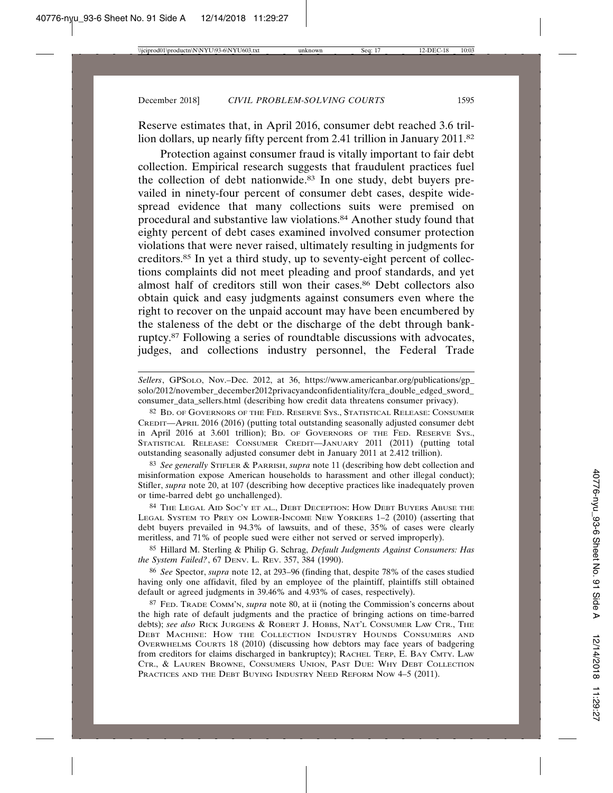Reserve estimates that, in April 2016, consumer debt reached 3.6 trillion dollars, up nearly fifty percent from 2.41 trillion in January 2011.82

Protection against consumer fraud is vitally important to fair debt collection. Empirical research suggests that fraudulent practices fuel the collection of debt nationwide.83 In one study, debt buyers prevailed in ninety-four percent of consumer debt cases, despite widespread evidence that many collections suits were premised on procedural and substantive law violations.84 Another study found that eighty percent of debt cases examined involved consumer protection violations that were never raised, ultimately resulting in judgments for creditors.85 In yet a third study, up to seventy-eight percent of collections complaints did not meet pleading and proof standards, and yet almost half of creditors still won their cases.<sup>86</sup> Debt collectors also obtain quick and easy judgments against consumers even where the right to recover on the unpaid account may have been encumbered by the staleness of the debt or the discharge of the debt through bankruptcy.87 Following a series of roundtable discussions with advocates, judges, and collections industry personnel, the Federal Trade

*Sellers*, GPSOLO, Nov.–Dec. 2012, at 36, https://www.americanbar.org/publications/gp\_ solo/2012/november\_december2012privacyandconfidentiality/fcra\_double\_edged\_sword consumer\_data\_sellers.html (describing how credit data threatens consumer privacy).

82 BD. OF GOVERNORS OF THE FED. RESERVE SYS., STATISTICAL RELEASE: CONSUMER CREDIT—APRIL 2016 (2016) (putting total outstanding seasonally adjusted consumer debt in April 2016 at 3.601 trillion); BD. OF GOVERNORS OF THE FED. RESERVE SYS., STATISTICAL RELEASE: CONSUMER CREDIT—JANUARY 2011 (2011) (putting total outstanding seasonally adjusted consumer debt in January 2011 at 2.412 trillion).

83 *See generally* STIFLER & PARRISH, *supra* note 11 (describing how debt collection and misinformation expose American households to harassment and other illegal conduct); Stifler, *supra* note 20, at 107 (describing how deceptive practices like inadequately proven or time-barred debt go unchallenged).

84 THE LEGAL AID SOC'Y ET AL., DEBT DECEPTION: HOW DEBT BUYERS ABUSE THE LEGAL SYSTEM TO PREY ON LOWER-INCOME NEW YORKERS 1–2 (2010) (asserting that debt buyers prevailed in 94.3% of lawsuits, and of these, 35% of cases were clearly meritless, and 71% of people sued were either not served or served improperly).

85 Hillard M. Sterling & Philip G. Schrag, *Default Judgments Against Consumers: Has the System Failed?*, 67 DENV. L. REV. 357, 384 (1990).

86 *See* Spector, *supra* note 12, at 293–96 (finding that, despite 78% of the cases studied having only one affidavit, filed by an employee of the plaintiff, plaintiffs still obtained default or agreed judgments in 39.46% and 4.93% of cases, respectively).

87 FED. TRADE COMM'N, *supra* note 80, at ii (noting the Commission's concerns about the high rate of default judgments and the practice of bringing actions on time-barred debts); *see also* RICK JURGENS & ROBERT J. HOBBS, NAT'L CONSUMER LAW CTR., THE DEBT MACHINE: HOW THE COLLECTION INDUSTRY HOUNDS CONSUMERS AND OVERWHELMS COURTS 18 (2010) (discussing how debtors may face years of badgering from creditors for claims discharged in bankruptcy); RACHEL TERP, E. BAY CMTY. LAW CTR., & LAUREN BROWNE, CONSUMERS UNION, PAST DUE: WHY DEBT COLLECTION PRACTICES AND THE DEBT BUYING INDUSTRY NEED REFORM NOW 4-5 (2011).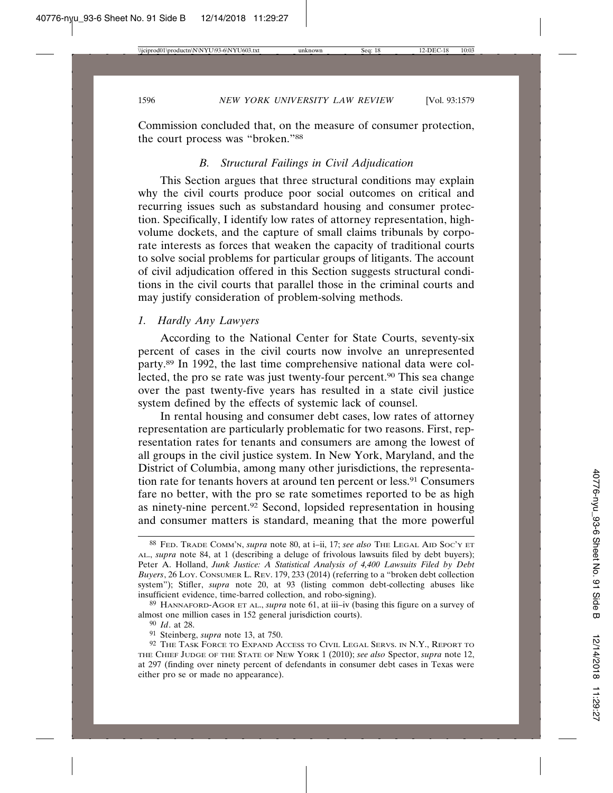Commission concluded that, on the measure of consumer protection, the court process was "broken."88

### *B. Structural Failings in Civil Adjudication*

This Section argues that three structural conditions may explain why the civil courts produce poor social outcomes on critical and recurring issues such as substandard housing and consumer protection. Specifically, I identify low rates of attorney representation, highvolume dockets, and the capture of small claims tribunals by corporate interests as forces that weaken the capacity of traditional courts to solve social problems for particular groups of litigants. The account of civil adjudication offered in this Section suggests structural conditions in the civil courts that parallel those in the criminal courts and may justify consideration of problem-solving methods.

#### *1. Hardly Any Lawyers*

According to the National Center for State Courts, seventy-six percent of cases in the civil courts now involve an unrepresented party.89 In 1992, the last time comprehensive national data were collected, the pro se rate was just twenty-four percent.90 This sea change over the past twenty-five years has resulted in a state civil justice system defined by the effects of systemic lack of counsel.

In rental housing and consumer debt cases, low rates of attorney representation are particularly problematic for two reasons. First, representation rates for tenants and consumers are among the lowest of all groups in the civil justice system. In New York, Maryland, and the District of Columbia, among many other jurisdictions, the representation rate for tenants hovers at around ten percent or less.91 Consumers fare no better, with the pro se rate sometimes reported to be as high as ninety-nine percent.92 Second, lopsided representation in housing and consumer matters is standard, meaning that the more powerful

<sup>88</sup> FED. TRADE COMM'N, *supra* note 80, at i–ii, 17; *see also* THE LEGAL AID SOC'Y ET AL., *supra* note 84, at 1 (describing a deluge of frivolous lawsuits filed by debt buyers); Peter A. Holland, *Junk Justice: A Statistical Analysis of 4,400 Lawsuits Filed by Debt Buyers*, 26 LOY. CONSUMER L. REV. 179, 233 (2014) (referring to a "broken debt collection system"); Stifler, *supra* note 20, at 93 (listing common debt-collecting abuses like insufficient evidence, time-barred collection, and robo-signing).

<sup>89</sup> HANNAFORD-AGOR ET AL., *supra* note 61, at iii–iv (basing this figure on a survey of almost one million cases in 152 general jurisdiction courts).

<sup>90</sup> *Id*. at 28.

<sup>91</sup> Steinberg, *supra* note 13, at 750.

<sup>92</sup> THE TASK FORCE TO EXPAND ACCESS TO CIVIL LEGAL SERVS. IN N.Y., REPORT TO THE CHIEF JUDGE OF THE STATE OF NEW YORK 1 (2010); *see also* Spector, *supra* note 12, at 297 (finding over ninety percent of defendants in consumer debt cases in Texas were either pro se or made no appearance).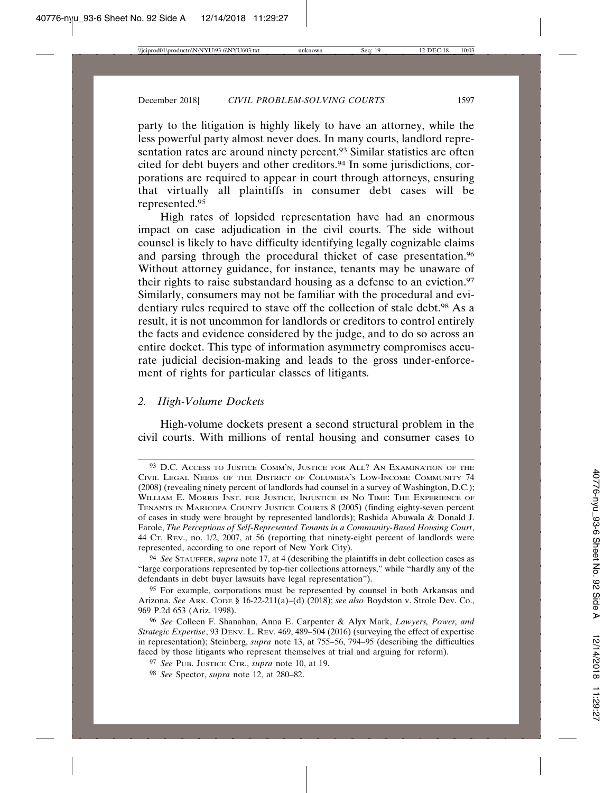party to the litigation is highly likely to have an attorney, while the less powerful party almost never does. In many courts, landlord representation rates are around ninety percent.<sup>93</sup> Similar statistics are often cited for debt buyers and other creditors.<sup>94</sup> In some jurisdictions, corporations are required to appear in court through attorneys, ensuring that virtually all plaintiffs in consumer debt cases will be represented.95

High rates of lopsided representation have had an enormous impact on case adjudication in the civil courts. The side without counsel is likely to have difficulty identifying legally cognizable claims and parsing through the procedural thicket of case presentation.96 Without attorney guidance, for instance, tenants may be unaware of their rights to raise substandard housing as a defense to an eviction.<sup>97</sup> Similarly, consumers may not be familiar with the procedural and evidentiary rules required to stave off the collection of stale debt.<sup>98</sup> As a result, it is not uncommon for landlords or creditors to control entirely the facts and evidence considered by the judge, and to do so across an entire docket. This type of information asymmetry compromises accurate judicial decision-making and leads to the gross under-enforcement of rights for particular classes of litigants.

### *2. High-Volume Dockets*

High-volume dockets present a second structural problem in the civil courts. With millions of rental housing and consumer cases to

<sup>93</sup> D.C. ACCESS TO JUSTICE COMM'N, JUSTICE FOR ALL? AN EXAMINATION OF THE CIVIL LEGAL NEEDS OF THE DISTRICT OF COLUMBIA'S LOW-INCOME COMMUNITY 74 (2008) (revealing ninety percent of landlords had counsel in a survey of Washington, D.C.); WILLIAM E. MORRIS INST. FOR JUSTICE, INJUSTICE IN NO TIME: THE EXPERIENCE OF TENANTS IN MARICOPA COUNTY JUSTICE COURTS 8 (2005) (finding eighty-seven percent of cases in study were brought by represented landlords); Rashida Abuwala & Donald J. Farole, *The Perceptions of Self-Represented Tenants in a Community-Based Housing Court*, 44 CT. REV., no. 1/2, 2007, at 56 (reporting that ninety-eight percent of landlords were represented, according to one report of New York City).

<sup>94</sup> *See* STAUFFER, *supra* note 17, at 4 (describing the plaintiffs in debt collection cases as "large corporations represented by top-tier collections attorneys," while "hardly any of the defendants in debt buyer lawsuits have legal representation").

<sup>95</sup> For example, corporations must be represented by counsel in both Arkansas and Arizona. *See* ARK. CODE § 16-22-211(a)–(d) (2018); *see also* Boydston v. Strole Dev. Co., 969 P.2d 653 (Ariz. 1998).

<sup>96</sup> *See* Colleen F. Shanahan, Anna E. Carpenter & Alyx Mark, *Lawyers, Power, and Strategic Expertise*, 93 DENV. L. REV. 469, 489–504 (2016) (surveying the effect of expertise in representation); Steinberg, *supra* note 13, at 755–56, 794–95 (describing the difficulties faced by those litigants who represent themselves at trial and arguing for reform).

<sup>97</sup> *See* PUB. JUSTICE CTR., *supra* note 10, at 19.

<sup>98</sup> *See* Spector, *supra* note 12, at 280–82.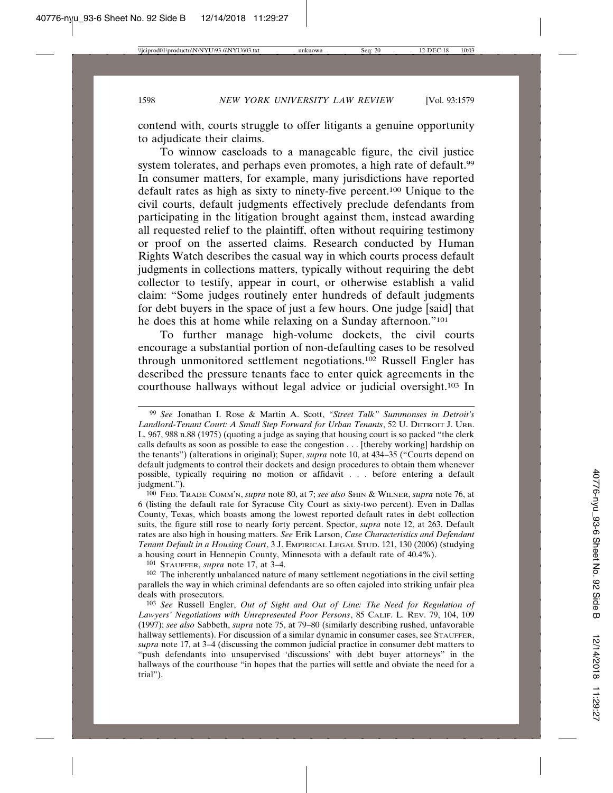contend with, courts struggle to offer litigants a genuine opportunity to adjudicate their claims.

To winnow caseloads to a manageable figure, the civil justice system tolerates, and perhaps even promotes, a high rate of default.<sup>99</sup> In consumer matters, for example, many jurisdictions have reported default rates as high as sixty to ninety-five percent.100 Unique to the civil courts, default judgments effectively preclude defendants from participating in the litigation brought against them, instead awarding all requested relief to the plaintiff, often without requiring testimony or proof on the asserted claims. Research conducted by Human Rights Watch describes the casual way in which courts process default judgments in collections matters, typically without requiring the debt collector to testify, appear in court, or otherwise establish a valid claim: "Some judges routinely enter hundreds of default judgments for debt buyers in the space of just a few hours. One judge [said] that he does this at home while relaxing on a Sunday afternoon."101

To further manage high-volume dockets, the civil courts encourage a substantial portion of non-defaulting cases to be resolved through unmonitored settlement negotiations.102 Russell Engler has described the pressure tenants face to enter quick agreements in the courthouse hallways without legal advice or judicial oversight.103 In

101 STAUFFER, *supra* note 17, at 3–4.

<sup>102</sup> The inherently unbalanced nature of many settlement negotiations in the civil setting parallels the way in which criminal defendants are so often cajoled into striking unfair plea deals with prosecutors.

<sup>99</sup> *See* Jonathan I. Rose & Martin A. Scott, *"Street Talk" Summonses in Detroit's Landlord-Tenant Court: A Small Step Forward for Urban Tenants*, 52 U. DETROIT J. URB. L. 967, 988 n.88 (1975) (quoting a judge as saying that housing court is so packed "the clerk calls defaults as soon as possible to ease the congestion . . . [thereby working] hardship on the tenants") (alterations in original); Super, *supra* note 10, at 434–35 ("Courts depend on default judgments to control their dockets and design procedures to obtain them whenever possible, typically requiring no motion or affidavit . . . before entering a default judgment.").

<sup>100</sup> FED. TRADE COMM'N, *supra* note 80, at 7; *see also* SHIN & WILNER, *supra* note 76, at 6 (listing the default rate for Syracuse City Court as sixty-two percent). Even in Dallas County, Texas, which boasts among the lowest reported default rates in debt collection suits, the figure still rose to nearly forty percent. Spector, *supra* note 12, at 263. Default rates are also high in housing matters. *See* Erik Larson, *Case Characteristics and Defendant Tenant Default in a Housing Court*, 3 J. EMPIRICAL LEGAL STUD. 121, 130 (2006) (studying a housing court in Hennepin County, Minnesota with a default rate of 40.4%).

<sup>103</sup> *See* Russell Engler, *Out of Sight and Out of Line: The Need for Regulation of Lawyers' Negotiations with Unrepresented Poor Persons*, 85 CALIF. L. REV. 79, 104, 109 (1997); *see also* Sabbeth, *supra* note 75, at 79–80 (similarly describing rushed, unfavorable hallway settlements). For discussion of a similar dynamic in consumer cases, see STAUFFER, *supra* note 17, at 3–4 (discussing the common judicial practice in consumer debt matters to "push defendants into unsupervised 'discussions' with debt buyer attorneys" in the hallways of the courthouse "in hopes that the parties will settle and obviate the need for a trial").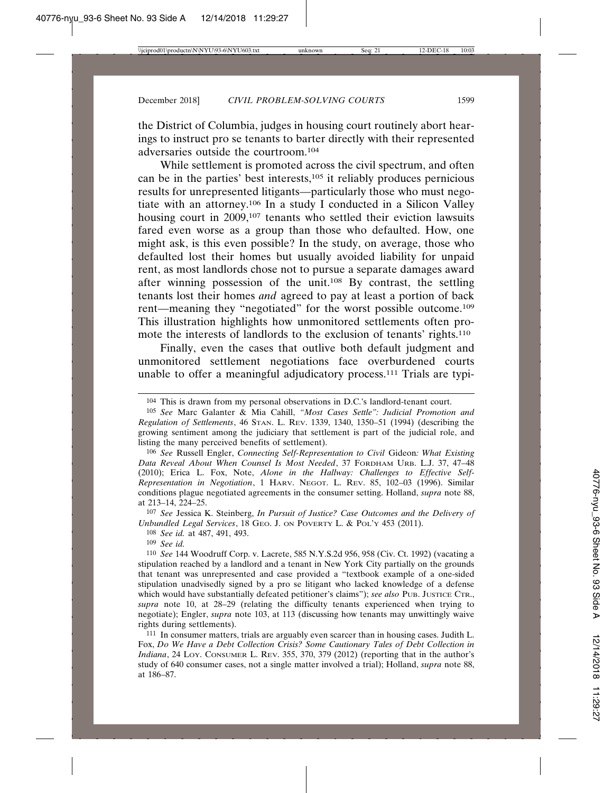the District of Columbia, judges in housing court routinely abort hearings to instruct pro se tenants to barter directly with their represented adversaries outside the courtroom.104

While settlement is promoted across the civil spectrum, and often can be in the parties' best interests,105 it reliably produces pernicious results for unrepresented litigants—particularly those who must negotiate with an attorney.106 In a study I conducted in a Silicon Valley housing court in 2009,<sup>107</sup> tenants who settled their eviction lawsuits fared even worse as a group than those who defaulted. How, one might ask, is this even possible? In the study, on average, those who defaulted lost their homes but usually avoided liability for unpaid rent, as most landlords chose not to pursue a separate damages award after winning possession of the unit.108 By contrast, the settling tenants lost their homes *and* agreed to pay at least a portion of back rent—meaning they "negotiated" for the worst possible outcome.109 This illustration highlights how unmonitored settlements often promote the interests of landlords to the exclusion of tenants' rights.110

Finally, even the cases that outlive both default judgment and unmonitored settlement negotiations face overburdened courts unable to offer a meaningful adjudicatory process.111 Trials are typi-

106 *See* Russell Engler, *Connecting Self-Representation to Civil* Gideon*: What Existing Data Reveal About When Counsel Is Most Needed*, 37 FORDHAM URB. L.J. 37, 47–48 (2010); Erica L. Fox, Note, *Alone in the Hallway: Challenges to Effective Self-Representation in Negotiation*, 1 HARV. NEGOT. L. REV. 85, 102–03 (1996). Similar conditions plague negotiated agreements in the consumer setting. Holland, *supra* note 88, at 213–14, 224–25.

107 *See* Jessica K. Steinberg, *In Pursuit of Justice? Case Outcomes and the Delivery of Unbundled Legal Services*, 18 GEO. J. ON POVERTY L. & POL'Y 453 (2011).

108 *See id.* at 487, 491, 493.

109 *See id.*

110 *See* 144 Woodruff Corp. v. Lacrete, 585 N.Y.S.2d 956, 958 (Civ. Ct. 1992) (vacating a stipulation reached by a landlord and a tenant in New York City partially on the grounds that tenant was unrepresented and case provided a "textbook example of a one-sided stipulation unadvisedly signed by a pro se litigant who lacked knowledge of a defense which would have substantially defeated petitioner's claims"); *see also* PUB. JUSTICE CTR., *supra* note 10, at 28–29 (relating the difficulty tenants experienced when trying to negotiate); Engler, *supra* note 103, at 113 (discussing how tenants may unwittingly waive rights during settlements).

111 In consumer matters, trials are arguably even scarcer than in housing cases. Judith L. Fox, *Do We Have a Debt Collection Crisis? Some Cautionary Tales of Debt Collection in Indiana*, 24 LOY. CONSUMER L. REV. 355, 370, 379 (2012) (reporting that in the author's study of 640 consumer cases, not a single matter involved a trial); Holland, *supra* note 88, at 186–87.

<sup>104</sup> This is drawn from my personal observations in D.C.'s landlord-tenant court.

<sup>105</sup> *See* Marc Galanter & Mia Cahill, *"Most Cases Settle": Judicial Promotion and Regulation of Settlements*, 46 STAN. L. REV. 1339, 1340, 1350–51 (1994) (describing the growing sentiment among the judiciary that settlement is part of the judicial role, and listing the many perceived benefits of settlement).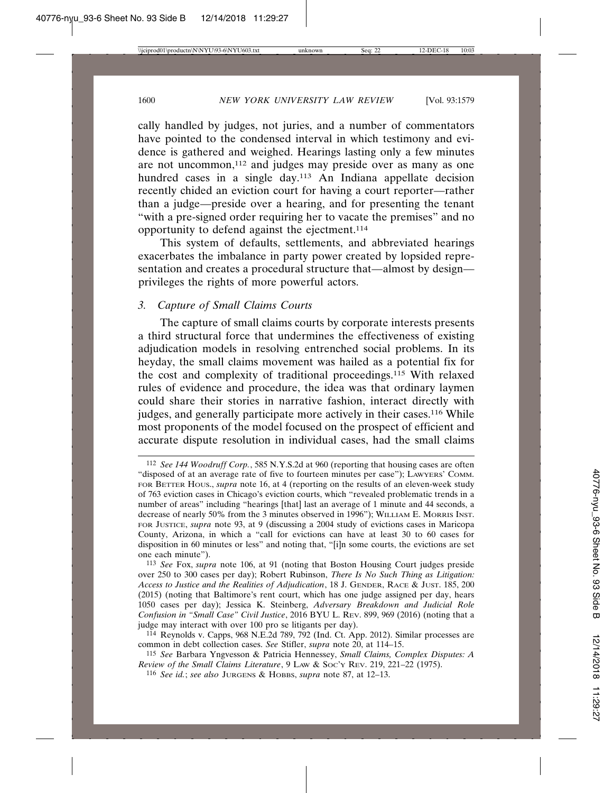cally handled by judges, not juries, and a number of commentators have pointed to the condensed interval in which testimony and evidence is gathered and weighed. Hearings lasting only a few minutes are not uncommon,112 and judges may preside over as many as one hundred cases in a single day.113 An Indiana appellate decision recently chided an eviction court for having a court reporter—rather than a judge—preside over a hearing, and for presenting the tenant "with a pre-signed order requiring her to vacate the premises" and no opportunity to defend against the ejectment.114

This system of defaults, settlements, and abbreviated hearings exacerbates the imbalance in party power created by lopsided representation and creates a procedural structure that—almost by design privileges the rights of more powerful actors.

### *3. Capture of Small Claims Courts*

The capture of small claims courts by corporate interests presents a third structural force that undermines the effectiveness of existing adjudication models in resolving entrenched social problems. In its heyday, the small claims movement was hailed as a potential fix for the cost and complexity of traditional proceedings.115 With relaxed rules of evidence and procedure, the idea was that ordinary laymen could share their stories in narrative fashion, interact directly with judges, and generally participate more actively in their cases.<sup>116</sup> While most proponents of the model focused on the prospect of efficient and accurate dispute resolution in individual cases, had the small claims

113 *See* Fox, *supra* note 106, at 91 (noting that Boston Housing Court judges preside over 250 to 300 cases per day); Robert Rubinson, *There Is No Such Thing as Litigation: Access to Justice and the Realities of Adjudication*, 18 J. GENDER, RACE & JUST. 185, 200 (2015) (noting that Baltimore's rent court, which has one judge assigned per day, hears 1050 cases per day); Jessica K. Steinberg, *Adversary Breakdown and Judicial Role Confusion in "Small Case" Civil Justice*, 2016 BYU L. REV. 899, 969 (2016) (noting that a judge may interact with over 100 pro se litigants per day).

114 Reynolds v. Capps, 968 N.E.2d 789, 792 (Ind. Ct. App. 2012). Similar processes are common in debt collection cases. *See* Stifler, *supra* note 20, at 114–15.

115 *See* Barbara Yngvesson & Patricia Hennessey, *Small Claims, Complex Disputes: A Review of the Small Claims Literature*, 9 LAW & Soc'y REV. 219, 221-22 (1975).

<sup>112</sup> *See 144 Woodruff Corp.*, 585 N.Y.S.2d at 960 (reporting that housing cases are often "disposed of at an average rate of five to fourteen minutes per case"); LAWYERS' COMM. FOR BETTER HOUS., *supra* note 16, at 4 (reporting on the results of an eleven-week study of 763 eviction cases in Chicago's eviction courts, which "revealed problematic trends in a number of areas" including "hearings [that] last an average of 1 minute and 44 seconds, a decrease of nearly 50% from the 3 minutes observed in 1996"); WILLIAM E. MORRIS INST. FOR JUSTICE, *supra* note 93, at 9 (discussing a 2004 study of evictions cases in Maricopa County, Arizona, in which a "call for evictions can have at least 30 to 60 cases for disposition in 60 minutes or less" and noting that, "[i]n some courts, the evictions are set one each minute").

<sup>116</sup> *See id.*; *see also* JURGENS & HOBBS, *supra* note 87, at 12–13.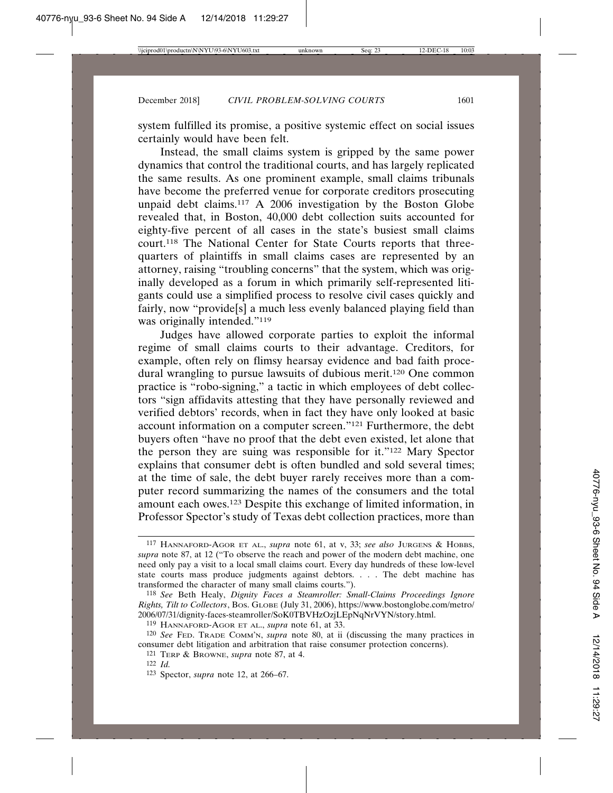system fulfilled its promise, a positive systemic effect on social issues certainly would have been felt.

Instead, the small claims system is gripped by the same power dynamics that control the traditional courts, and has largely replicated the same results. As one prominent example, small claims tribunals have become the preferred venue for corporate creditors prosecuting unpaid debt claims.<sup>117</sup> A 2006 investigation by the Boston Globe revealed that, in Boston, 40,000 debt collection suits accounted for eighty-five percent of all cases in the state's busiest small claims court.118 The National Center for State Courts reports that threequarters of plaintiffs in small claims cases are represented by an attorney, raising "troubling concerns" that the system, which was originally developed as a forum in which primarily self-represented litigants could use a simplified process to resolve civil cases quickly and fairly, now "provide[s] a much less evenly balanced playing field than was originally intended."<sup>119</sup>

Judges have allowed corporate parties to exploit the informal regime of small claims courts to their advantage. Creditors, for example, often rely on flimsy hearsay evidence and bad faith procedural wrangling to pursue lawsuits of dubious merit.120 One common practice is "robo-signing," a tactic in which employees of debt collectors "sign affidavits attesting that they have personally reviewed and verified debtors' records, when in fact they have only looked at basic account information on a computer screen."121 Furthermore, the debt buyers often "have no proof that the debt even existed, let alone that the person they are suing was responsible for it."122 Mary Spector explains that consumer debt is often bundled and sold several times; at the time of sale, the debt buyer rarely receives more than a computer record summarizing the names of the consumers and the total amount each owes.123 Despite this exchange of limited information, in Professor Spector's study of Texas debt collection practices, more than

121 TERP & BROWNE, *supra* note 87, at 4.

<sup>117</sup> HANNAFORD-AGOR ET AL., *supra* note 61, at v, 33; *see also* JURGENS & HOBBS, *supra* note 87, at 12 ("To observe the reach and power of the modern debt machine, one need only pay a visit to a local small claims court. Every day hundreds of these low-level state courts mass produce judgments against debtors. . . . The debt machine has transformed the character of many small claims courts.").

<sup>118</sup> *See* Beth Healy, *Dignity Faces a Steamroller: Small-Claims Proceedings Ignore Rights, Tilt to Collectors*, BOS. GLOBE (July 31, 2006), https://www.bostonglobe.com/metro/ 2006/07/31/dignity-faces-steamroller/SoK0TBVHzOzjLEpNqNrVYN/story.html.

<sup>119</sup> HANNAFORD-AGOR ET AL., *supra* note 61, at 33.

<sup>120</sup> *See* FED. TRADE COMM'N, *supra* note 80, at ii (discussing the many practices in consumer debt litigation and arbitration that raise consumer protection concerns).

<sup>122</sup> *Id.*

<sup>123</sup> Spector, *supra* note 12, at 266–67.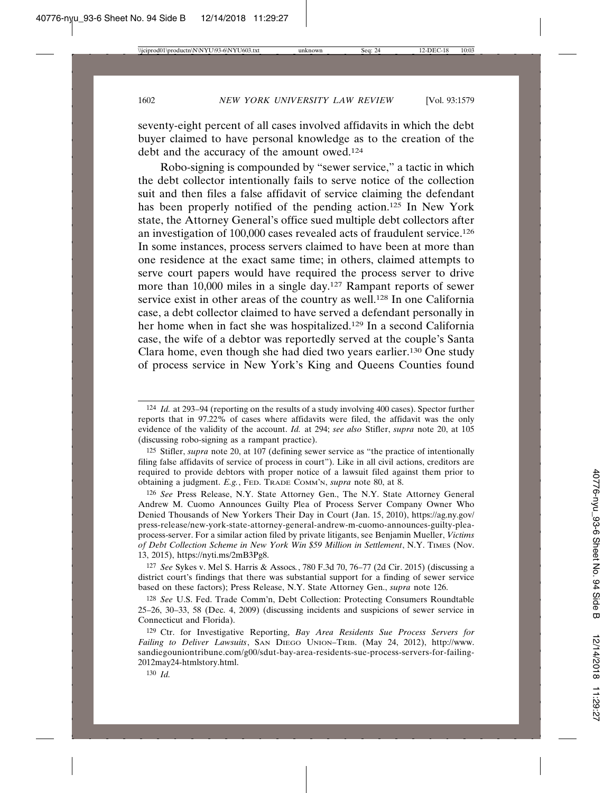seventy-eight percent of all cases involved affidavits in which the debt buyer claimed to have personal knowledge as to the creation of the debt and the accuracy of the amount owed.124

Robo-signing is compounded by "sewer service," a tactic in which the debt collector intentionally fails to serve notice of the collection suit and then files a false affidavit of service claiming the defendant has been properly notified of the pending action.125 In New York state, the Attorney General's office sued multiple debt collectors after an investigation of 100,000 cases revealed acts of fraudulent service.126 In some instances, process servers claimed to have been at more than one residence at the exact same time; in others, claimed attempts to serve court papers would have required the process server to drive more than 10,000 miles in a single day.127 Rampant reports of sewer service exist in other areas of the country as well.<sup>128</sup> In one California case, a debt collector claimed to have served a defendant personally in her home when in fact she was hospitalized.129 In a second California case, the wife of a debtor was reportedly served at the couple's Santa Clara home, even though she had died two years earlier.130 One study of process service in New York's King and Queens Counties found

125 Stifler, *supra* note 20, at 107 (defining sewer service as "the practice of intentionally filing false affidavits of service of process in court"). Like in all civil actions, creditors are required to provide debtors with proper notice of a lawsuit filed against them prior to obtaining a judgment. *E.g.*, FED. TRADE COMM'N, *supra* note 80, at 8.

126 *See* Press Release, N.Y. State Attorney Gen., The N.Y. State Attorney General Andrew M. Cuomo Announces Guilty Plea of Process Server Company Owner Who Denied Thousands of New Yorkers Their Day in Court (Jan. 15, 2010), https://ag.ny.gov/ press-release/new-york-state-attorney-general-andrew-m-cuomo-announces-guilty-pleaprocess-server. For a similar action filed by private litigants, see Benjamin Mueller, *Victims of Debt Collection Scheme in New York Win \$59 Million in Settlement*, N.Y. TIMES (Nov. 13, 2015), https://nyti.ms/2mB3Pg8.

127 *See* Sykes v. Mel S. Harris & Assocs*.*, 780 F.3d 70, 76–77 (2d Cir. 2015) (discussing a district court's findings that there was substantial support for a finding of sewer service based on these factors); Press Release, N.Y. State Attorney Gen., *supra* note 126.

128 *See* U.S. Fed. Trade Comm'n, Debt Collection: Protecting Consumers Roundtable 25–26, 30–33, 58 (Dec. 4, 2009) (discussing incidents and suspicions of sewer service in Connecticut and Florida).

129 Ctr. for Investigative Reporting, *Bay Area Residents Sue Process Servers for Failing to Deliver Lawsuits*, SAN DIEGO UNION–TRIB. (May 24, 2012), http://www. sandiegouniontribune.com/g00/sdut-bay-area-residents-sue-process-servers-for-failing-2012may24-htmlstory.html.

130 *Id.*

<sup>124</sup> *Id.* at 293–94 (reporting on the results of a study involving 400 cases). Spector further reports that in 97.22% of cases where affidavits were filed, the affidavit was the only evidence of the validity of the account. *Id.* at 294; *see also* Stifler, *supra* note 20, at 105 (discussing robo-signing as a rampant practice).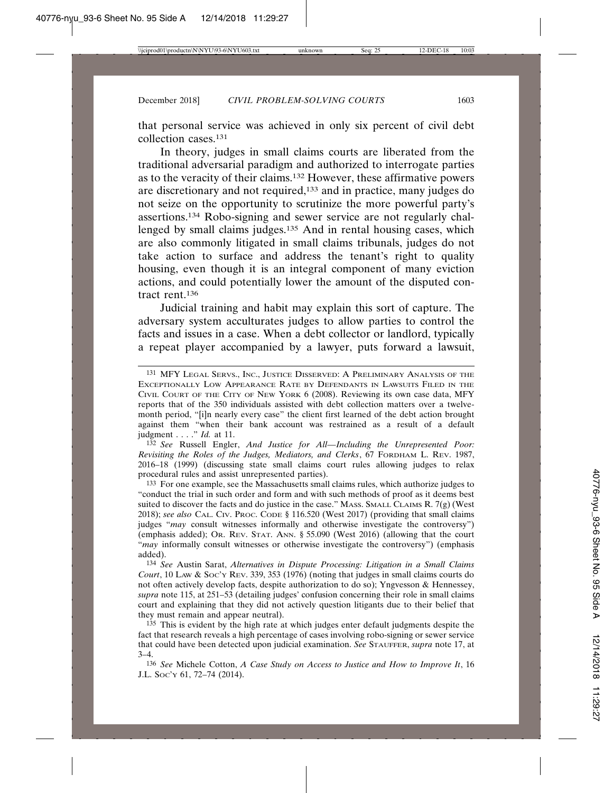that personal service was achieved in only six percent of civil debt collection cases.131

In theory, judges in small claims courts are liberated from the traditional adversarial paradigm and authorized to interrogate parties as to the veracity of their claims.132 However, these affirmative powers are discretionary and not required,133 and in practice, many judges do not seize on the opportunity to scrutinize the more powerful party's assertions.134 Robo-signing and sewer service are not regularly challenged by small claims judges.135 And in rental housing cases, which are also commonly litigated in small claims tribunals, judges do not take action to surface and address the tenant's right to quality housing, even though it is an integral component of many eviction actions, and could potentially lower the amount of the disputed contract rent.136

Judicial training and habit may explain this sort of capture. The adversary system acculturates judges to allow parties to control the facts and issues in a case. When a debt collector or landlord, typically a repeat player accompanied by a lawyer, puts forward a lawsuit,

132 *See* Russell Engler, *And Justice for All—Including the Unrepresented Poor: Revisiting the Roles of the Judges, Mediators, and Clerks*, 67 FORDHAM L. REV. 1987, 2016–18 (1999) (discussing state small claims court rules allowing judges to relax procedural rules and assist unrepresented parties).

133 For one example, see the Massachusetts small claims rules, which authorize judges to "conduct the trial in such order and form and with such methods of proof as it deems best suited to discover the facts and do justice in the case." MASS. SMALL CLAIMS R. 7(g) (West 2018); *see also* CAL. CIV. PROC. CODE § 116.520 (West 2017) (providing that small claims judges "*may* consult witnesses informally and otherwise investigate the controversy") (emphasis added); OR. REV. STAT. ANN. § 55.090 (West 2016) (allowing that the court "*may* informally consult witnesses or otherwise investigate the controversy") (emphasis added).

134 *See* Austin Sarat, *Alternatives in Dispute Processing: Litigation in a Small Claims Court*, 10 LAW & Soc'y REV. 339, 353 (1976) (noting that judges in small claims courts do not often actively develop facts, despite authorization to do so); Yngvesson & Hennessey, *supra* note 115, at 251–53 (detailing judges' confusion concerning their role in small claims court and explaining that they did not actively question litigants due to their belief that they must remain and appear neutral).

135 This is evident by the high rate at which judges enter default judgments despite the fact that research reveals a high percentage of cases involving robo-signing or sewer service that could have been detected upon judicial examination. *See* STAUFFER, *supra* note 17, at  $3-4.$ 

136 *See* Michele Cotton, *A Case Study on Access to Justice and How to Improve It*, 16 J.L. SOC'Y 61, 72–74 (2014).

<sup>131</sup> MFY LEGAL SERVS., INC., JUSTICE DISSERVED: A PRELIMINARY ANALYSIS OF THE EXCEPTIONALLY LOW APPEARANCE RATE BY DEFENDANTS IN LAWSUITS FILED IN THE CIVIL COURT OF THE CITY OF NEW YORK 6 (2008). Reviewing its own case data, MFY reports that of the 350 individuals assisted with debt collection matters over a twelvemonth period, "[i]n nearly every case" the client first learned of the debt action brought against them "when their bank account was restrained as a result of a default judgment . . . ." *Id.* at 11.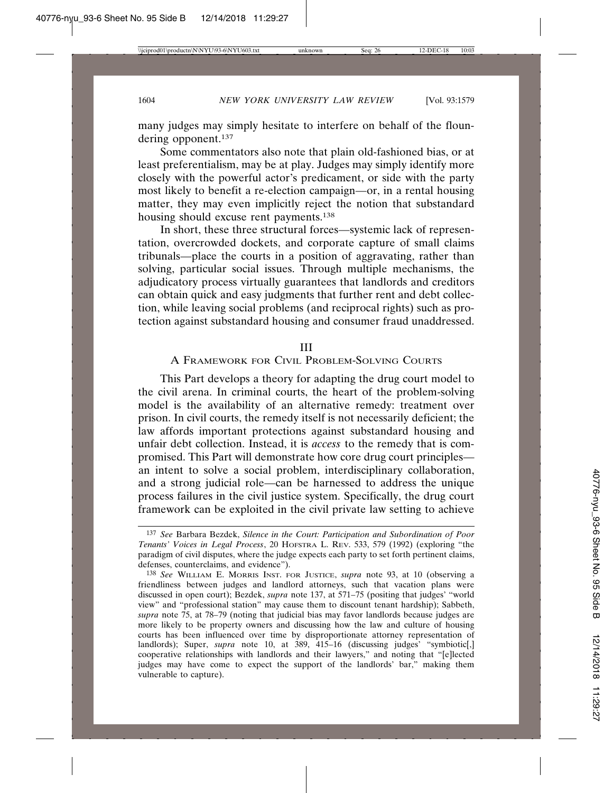many judges may simply hesitate to interfere on behalf of the floundering opponent.137

Some commentators also note that plain old-fashioned bias, or at least preferentialism, may be at play. Judges may simply identify more closely with the powerful actor's predicament, or side with the party most likely to benefit a re-election campaign—or, in a rental housing matter, they may even implicitly reject the notion that substandard housing should excuse rent payments.138

In short, these three structural forces—systemic lack of representation, overcrowded dockets, and corporate capture of small claims tribunals—place the courts in a position of aggravating, rather than solving, particular social issues. Through multiple mechanisms, the adjudicatory process virtually guarantees that landlords and creditors can obtain quick and easy judgments that further rent and debt collection, while leaving social problems (and reciprocal rights) such as protection against substandard housing and consumer fraud unaddressed.

#### III

### A FRAMEWORK FOR CIVIL PROBLEM-SOLVING COURTS

This Part develops a theory for adapting the drug court model to the civil arena. In criminal courts, the heart of the problem-solving model is the availability of an alternative remedy: treatment over prison. In civil courts, the remedy itself is not necessarily deficient; the law affords important protections against substandard housing and unfair debt collection. Instead, it is *access* to the remedy that is compromised. This Part will demonstrate how core drug court principles an intent to solve a social problem, interdisciplinary collaboration, and a strong judicial role—can be harnessed to address the unique process failures in the civil justice system. Specifically, the drug court framework can be exploited in the civil private law setting to achieve

<sup>137</sup> *See* Barbara Bezdek, *Silence in the Court: Participation and Subordination of Poor Tenants' Voices in Legal Process*, 20 HOFSTRA L. REV. 533, 579 (1992) (exploring "the paradigm of civil disputes, where the judge expects each party to set forth pertinent claims, defenses, counterclaims, and evidence").

<sup>138</sup> *See* WILLIAM E. MORRIS INST. FOR JUSTICE, *supra* note 93, at 10 (observing a friendliness between judges and landlord attorneys, such that vacation plans were discussed in open court); Bezdek, *supra* note 137, at 571–75 (positing that judges' "world view" and "professional station" may cause them to discount tenant hardship); Sabbeth, *supra* note 75, at 78–79 (noting that judicial bias may favor landlords because judges are more likely to be property owners and discussing how the law and culture of housing courts has been influenced over time by disproportionate attorney representation of landlords); Super, *supra* note 10, at 389, 415–16 (discussing judges' "symbiotic[,] cooperative relationships with landlords and their lawyers," and noting that "[e]lected judges may have come to expect the support of the landlords' bar," making them vulnerable to capture).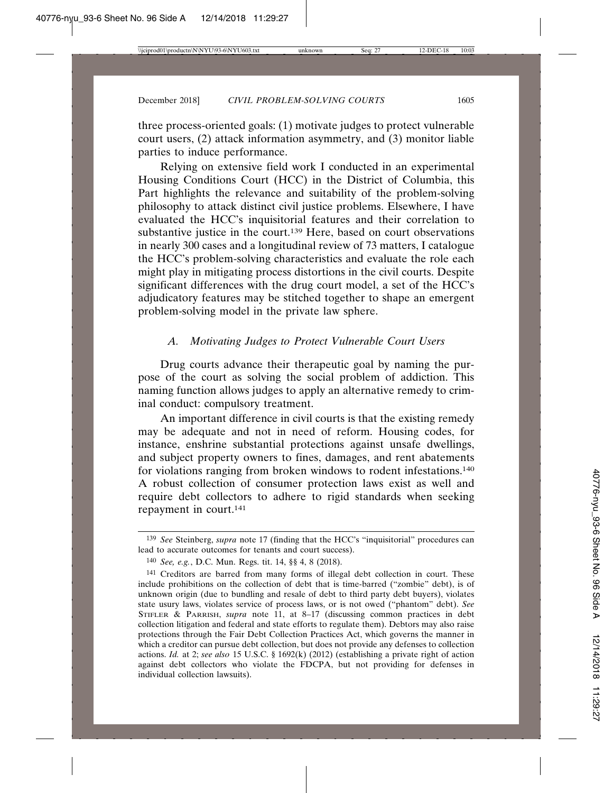three process-oriented goals: (1) motivate judges to protect vulnerable court users, (2) attack information asymmetry, and (3) monitor liable parties to induce performance.

Relying on extensive field work I conducted in an experimental Housing Conditions Court (HCC) in the District of Columbia, this Part highlights the relevance and suitability of the problem-solving philosophy to attack distinct civil justice problems. Elsewhere, I have evaluated the HCC's inquisitorial features and their correlation to substantive justice in the court.<sup>139</sup> Here, based on court observations in nearly 300 cases and a longitudinal review of 73 matters, I catalogue the HCC's problem-solving characteristics and evaluate the role each might play in mitigating process distortions in the civil courts. Despite significant differences with the drug court model, a set of the HCC's adjudicatory features may be stitched together to shape an emergent problem-solving model in the private law sphere.

## *A. Motivating Judges to Protect Vulnerable Court Users*

Drug courts advance their therapeutic goal by naming the purpose of the court as solving the social problem of addiction. This naming function allows judges to apply an alternative remedy to criminal conduct: compulsory treatment.

An important difference in civil courts is that the existing remedy may be adequate and not in need of reform. Housing codes, for instance, enshrine substantial protections against unsafe dwellings, and subject property owners to fines, damages, and rent abatements for violations ranging from broken windows to rodent infestations.140 A robust collection of consumer protection laws exist as well and require debt collectors to adhere to rigid standards when seeking repayment in court.141

<sup>139</sup> *See* Steinberg, *supra* note 17 (finding that the HCC's "inquisitorial" procedures can lead to accurate outcomes for tenants and court success).

<sup>140</sup> *See, e.g.*, D.C. Mun. Regs. tit. 14, §§ 4, 8 (2018).

<sup>141</sup> Creditors are barred from many forms of illegal debt collection in court. These include prohibitions on the collection of debt that is time-barred ("zombie" debt), is of unknown origin (due to bundling and resale of debt to third party debt buyers), violates state usury laws, violates service of process laws, or is not owed ("phantom" debt). *See* STIFLER & PARRISH, *supra* note 11, at 8–17 (discussing common practices in debt collection litigation and federal and state efforts to regulate them). Debtors may also raise protections through the Fair Debt Collection Practices Act, which governs the manner in which a creditor can pursue debt collection, but does not provide any defenses to collection actions. *Id.* at 2; *see also* 15 U.S.C. § 1692(k) (2012) (establishing a private right of action against debt collectors who violate the FDCPA, but not providing for defenses in individual collection lawsuits).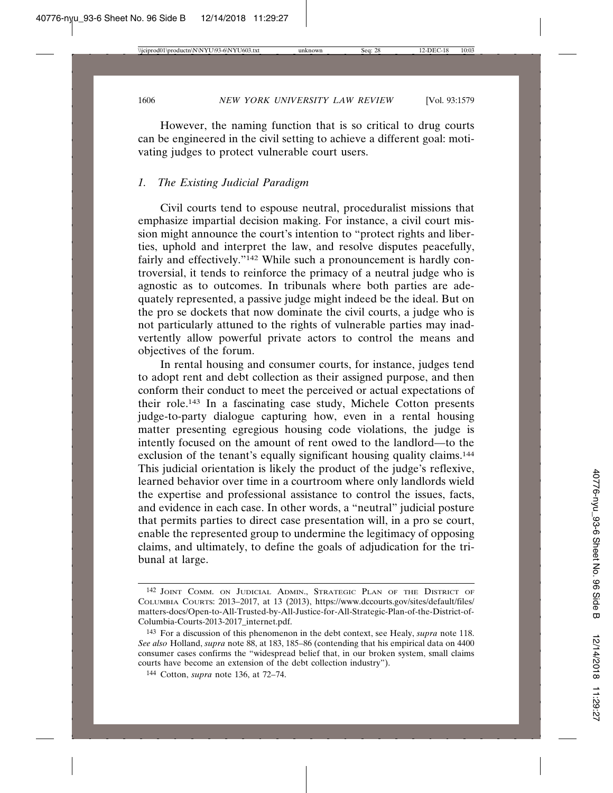However, the naming function that is so critical to drug courts can be engineered in the civil setting to achieve a different goal: motivating judges to protect vulnerable court users.

#### *1. The Existing Judicial Paradigm*

Civil courts tend to espouse neutral, proceduralist missions that emphasize impartial decision making. For instance, a civil court mission might announce the court's intention to "protect rights and liberties, uphold and interpret the law, and resolve disputes peacefully, fairly and effectively."<sup>142</sup> While such a pronouncement is hardly controversial, it tends to reinforce the primacy of a neutral judge who is agnostic as to outcomes. In tribunals where both parties are adequately represented, a passive judge might indeed be the ideal. But on the pro se dockets that now dominate the civil courts, a judge who is not particularly attuned to the rights of vulnerable parties may inadvertently allow powerful private actors to control the means and objectives of the forum.

In rental housing and consumer courts, for instance, judges tend to adopt rent and debt collection as their assigned purpose, and then conform their conduct to meet the perceived or actual expectations of their role.143 In a fascinating case study, Michele Cotton presents judge-to-party dialogue capturing how, even in a rental housing matter presenting egregious housing code violations, the judge is intently focused on the amount of rent owed to the landlord—to the exclusion of the tenant's equally significant housing quality claims.<sup>144</sup> This judicial orientation is likely the product of the judge's reflexive, learned behavior over time in a courtroom where only landlords wield the expertise and professional assistance to control the issues, facts, and evidence in each case. In other words, a "neutral" judicial posture that permits parties to direct case presentation will, in a pro se court, enable the represented group to undermine the legitimacy of opposing claims, and ultimately, to define the goals of adjudication for the tribunal at large.

<sup>142</sup> JOINT COMM. ON JUDICIAL ADMIN., STRATEGIC PLAN OF THE DISTRICT OF COLUMBIA COURTS: 2013–2017, at 13 (2013), https://www.dccourts.gov/sites/default/files/ matters-docs/Open-to-All-Trusted-by-All-Justice-for-All-Strategic-Plan-of-the-District-of-Columbia-Courts-2013-2017\_internet.pdf.

<sup>143</sup> For a discussion of this phenomenon in the debt context, see Healy, *supra* note 118. *See also* Holland, *supra* note 88, at 183, 185–86 (contending that his empirical data on 4400 consumer cases confirms the "widespread belief that, in our broken system, small claims courts have become an extension of the debt collection industry").

<sup>144</sup> Cotton, *supra* note 136, at 72–74.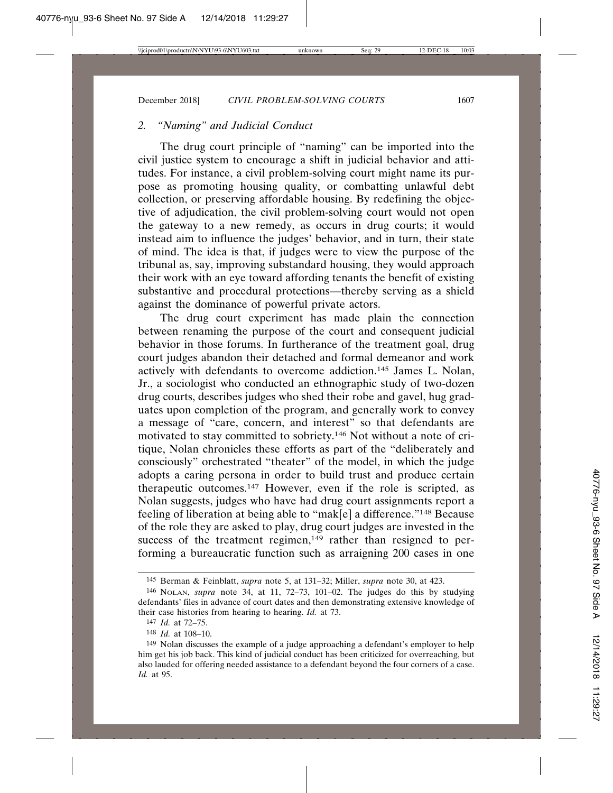#### *2. "Naming" and Judicial Conduct*

The drug court principle of "naming" can be imported into the civil justice system to encourage a shift in judicial behavior and attitudes. For instance, a civil problem-solving court might name its purpose as promoting housing quality, or combatting unlawful debt collection, or preserving affordable housing. By redefining the objective of adjudication, the civil problem-solving court would not open the gateway to a new remedy, as occurs in drug courts; it would instead aim to influence the judges' behavior, and in turn, their state of mind. The idea is that, if judges were to view the purpose of the tribunal as, say, improving substandard housing, they would approach their work with an eye toward affording tenants the benefit of existing substantive and procedural protections—thereby serving as a shield against the dominance of powerful private actors.

The drug court experiment has made plain the connection between renaming the purpose of the court and consequent judicial behavior in those forums. In furtherance of the treatment goal, drug court judges abandon their detached and formal demeanor and work actively with defendants to overcome addiction.145 James L. Nolan, Jr., a sociologist who conducted an ethnographic study of two-dozen drug courts, describes judges who shed their robe and gavel, hug graduates upon completion of the program, and generally work to convey a message of "care, concern, and interest" so that defendants are motivated to stay committed to sobriety.146 Not without a note of critique, Nolan chronicles these efforts as part of the "deliberately and consciously" orchestrated "theater" of the model, in which the judge adopts a caring persona in order to build trust and produce certain therapeutic outcomes.147 However, even if the role is scripted, as Nolan suggests, judges who have had drug court assignments report a feeling of liberation at being able to "mak[e] a difference."148 Because of the role they are asked to play, drug court judges are invested in the success of the treatment regimen,<sup>149</sup> rather than resigned to performing a bureaucratic function such as arraigning 200 cases in one

<sup>145</sup> Berman & Feinblatt, *supra* note 5, at 131–32; Miller, *supra* note 30, at 423.

<sup>146</sup> NOLAN, *supra* note 34, at 11, 72–73, 101–02. The judges do this by studying defendants' files in advance of court dates and then demonstrating extensive knowledge of their case histories from hearing to hearing. *Id.* at 73.

<sup>147</sup> *Id.* at 72–75.

<sup>148</sup> *Id.* at 108–10.

<sup>149</sup> Nolan discusses the example of a judge approaching a defendant's employer to help him get his job back. This kind of judicial conduct has been criticized for overreaching, but also lauded for offering needed assistance to a defendant beyond the four corners of a case. *Id.* at 95.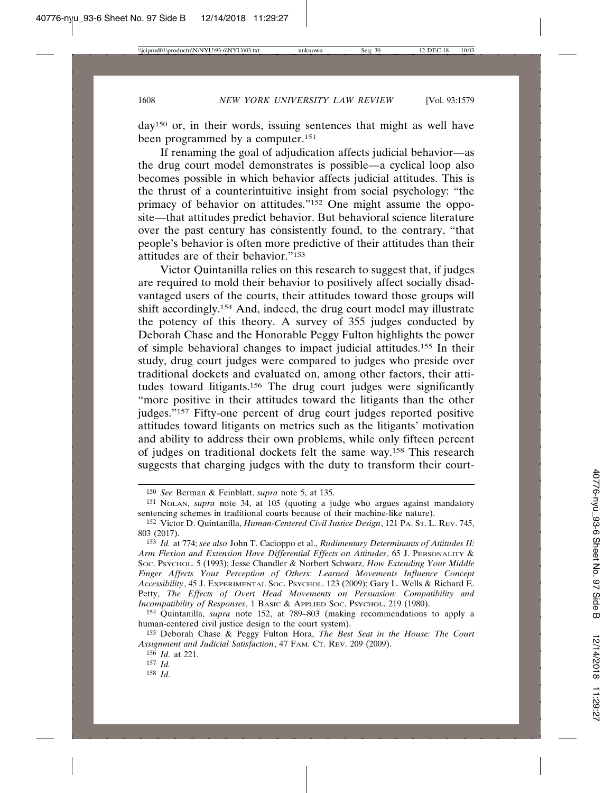day150 or, in their words, issuing sentences that might as well have been programmed by a computer.151

If renaming the goal of adjudication affects judicial behavior—as the drug court model demonstrates is possible—a cyclical loop also becomes possible in which behavior affects judicial attitudes. This is the thrust of a counterintuitive insight from social psychology: "the primacy of behavior on attitudes."152 One might assume the opposite—that attitudes predict behavior. But behavioral science literature over the past century has consistently found, to the contrary, "that people's behavior is often more predictive of their attitudes than their attitudes are of their behavior."153

Victor Quintanilla relies on this research to suggest that, if judges are required to mold their behavior to positively affect socially disadvantaged users of the courts, their attitudes toward those groups will shift accordingly.154 And, indeed, the drug court model may illustrate the potency of this theory. A survey of 355 judges conducted by Deborah Chase and the Honorable Peggy Fulton highlights the power of simple behavioral changes to impact judicial attitudes.155 In their study, drug court judges were compared to judges who preside over traditional dockets and evaluated on, among other factors, their attitudes toward litigants.156 The drug court judges were significantly "more positive in their attitudes toward the litigants than the other judges."157 Fifty-one percent of drug court judges reported positive attitudes toward litigants on metrics such as the litigants' motivation and ability to address their own problems, while only fifteen percent of judges on traditional dockets felt the same way.158 This research suggests that charging judges with the duty to transform their court-

<sup>150</sup> *See* Berman & Feinblatt, *supra* note 5, at 135.

<sup>151</sup> NOLAN, *supra* note 34, at 105 (quoting a judge who argues against mandatory sentencing schemes in traditional courts because of their machine-like nature).

<sup>152</sup> Victor D. Quintanilla, *Human-Centered Civil Justice Design*, 121 PA. ST. L. REV. 745, 803 (2017).

<sup>153</sup> *Id.* at 774; *see also* John T. Cacioppo et al., *Rudimentary Determinants of Attitudes II: Arm Flexion and Extension Have Differential Effects on Attitudes*, 65 J. PERSONALITY & SOC. PSYCHOL. 5 (1993); Jesse Chandler & Norbert Schwarz, *How Extending Your Middle Finger Affects Your Perception of Others: Learned Movements Influence Concept Accessibility*, 45 J. EXPERIMENTAL SOC. PSYCHOL. 123 (2009); Gary L. Wells & Richard E. Petty, *The Effects of Overt Head Movements on Persuasion: Compatibility and Incompatibility of Responses*, 1 BASIC & APPLIED SOC. PSYCHOL. 219 (1980).

<sup>154</sup> Quintanilla, *supra* note 152, at 789–803 (making recommendations to apply a human-centered civil justice design to the court system).

<sup>155</sup> Deborah Chase & Peggy Fulton Hora, *The Best Seat in the House: The Court Assignment and Judicial Satisfaction*, 47 FAM. CT. REV. 209 (2009).

<sup>156</sup> *Id.* at 221.

<sup>157</sup> *Id.*

<sup>158</sup> *Id.*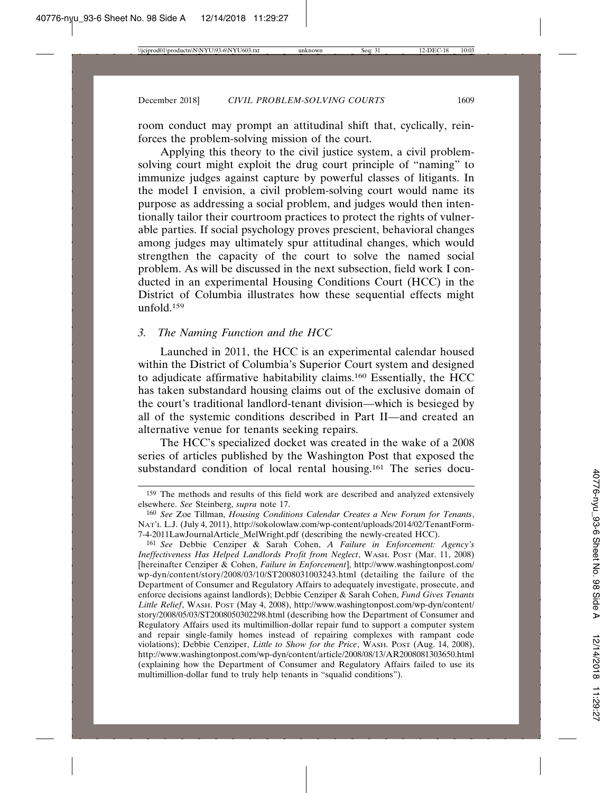room conduct may prompt an attitudinal shift that, cyclically, reinforces the problem-solving mission of the court.

Applying this theory to the civil justice system, a civil problemsolving court might exploit the drug court principle of "naming" to immunize judges against capture by powerful classes of litigants. In the model I envision, a civil problem-solving court would name its purpose as addressing a social problem, and judges would then intentionally tailor their courtroom practices to protect the rights of vulnerable parties. If social psychology proves prescient, behavioral changes among judges may ultimately spur attitudinal changes, which would strengthen the capacity of the court to solve the named social problem. As will be discussed in the next subsection, field work I conducted in an experimental Housing Conditions Court (HCC) in the District of Columbia illustrates how these sequential effects might unfold.159

#### *3. The Naming Function and the HCC*

Launched in 2011, the HCC is an experimental calendar housed within the District of Columbia's Superior Court system and designed to adjudicate affirmative habitability claims.160 Essentially, the HCC has taken substandard housing claims out of the exclusive domain of the court's traditional landlord-tenant division—which is besieged by all of the systemic conditions described in Part II—and created an alternative venue for tenants seeking repairs.

The HCC's specialized docket was created in the wake of a 2008 series of articles published by the Washington Post that exposed the substandard condition of local rental housing.161 The series docu-

<sup>159</sup> The methods and results of this field work are described and analyzed extensively elsewhere. *See* Steinberg, *supra* note 17.

<sup>160</sup> *See* Zoe Tillman, *Housing Conditions Calendar Creates a New Forum for Tenants*, NAT'L L.J. (July 4, 2011), http://sokolowlaw.com/wp-content/uploads/2014/02/TenantForm-7-4-2011LawJournalArticle\_MelWright.pdf (describing the newly-created HCC).

<sup>161</sup> *See* Debbie Cenziper & Sarah Cohen, *A Failure in Enforcement: Agency's Ineffectiveness Has Helped Landlords Profit from Neglect*, WASH. POST (Mar. 11, 2008) [hereinafter Cenziper & Cohen, *Failure in Enforcement*], http://www.washingtonpost.com/ wp-dyn/content/story/2008/03/10/ST2008031003243.html (detailing the failure of the Department of Consumer and Regulatory Affairs to adequately investigate, prosecute, and enforce decisions against landlords); Debbie Cenziper & Sarah Cohen, *Fund Gives Tenants Little Relief*, WASH. POST (May 4, 2008), http://www.washingtonpost.com/wp-dyn/content/ story/2008/05/03/ST2008050302298.html (describing how the Department of Consumer and Regulatory Affairs used its multimillion-dollar repair fund to support a computer system and repair single-family homes instead of repairing complexes with rampant code violations); Debbie Cenziper, *Little to Show for the Price*, WASH. POST (Aug. 14, 2008), http://www.washingtonpost.com/wp-dyn/content/article/2008/08/13/AR2008081303650.html (explaining how the Department of Consumer and Regulatory Affairs failed to use its multimillion-dollar fund to truly help tenants in "squalid conditions").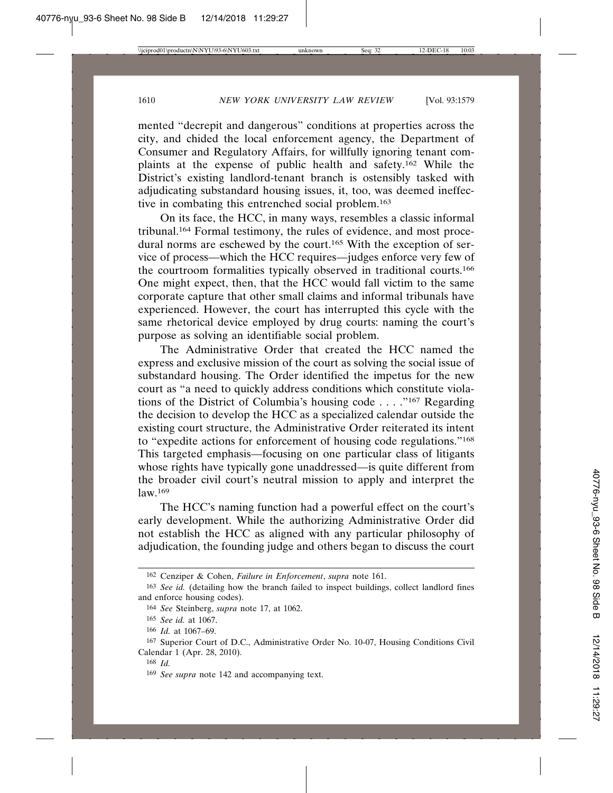mented "decrepit and dangerous" conditions at properties across the city, and chided the local enforcement agency, the Department of Consumer and Regulatory Affairs, for willfully ignoring tenant complaints at the expense of public health and safety.162 While the District's existing landlord-tenant branch is ostensibly tasked with adjudicating substandard housing issues, it, too, was deemed ineffective in combating this entrenched social problem.163

On its face, the HCC, in many ways, resembles a classic informal tribunal.164 Formal testimony, the rules of evidence, and most procedural norms are eschewed by the court.<sup>165</sup> With the exception of service of process—which the HCC requires—judges enforce very few of the courtroom formalities typically observed in traditional courts.166 One might expect, then, that the HCC would fall victim to the same corporate capture that other small claims and informal tribunals have experienced. However, the court has interrupted this cycle with the same rhetorical device employed by drug courts: naming the court's purpose as solving an identifiable social problem.

The Administrative Order that created the HCC named the express and exclusive mission of the court as solving the social issue of substandard housing. The Order identified the impetus for the new court as "a need to quickly address conditions which constitute violations of the District of Columbia's housing code . . . ."167 Regarding the decision to develop the HCC as a specialized calendar outside the existing court structure, the Administrative Order reiterated its intent to "expedite actions for enforcement of housing code regulations."168 This targeted emphasis—focusing on one particular class of litigants whose rights have typically gone unaddressed—is quite different from the broader civil court's neutral mission to apply and interpret the law.169

The HCC's naming function had a powerful effect on the court's early development. While the authorizing Administrative Order did not establish the HCC as aligned with any particular philosophy of adjudication, the founding judge and others began to discuss the court

<sup>162</sup> Cenziper & Cohen, *Failure in Enforcement*, *supra* note 161.

<sup>163</sup> *See id.* (detailing how the branch failed to inspect buildings, collect landlord fines and enforce housing codes).

<sup>164</sup> *See* Steinberg, *supra* note 17, at 1062.

<sup>165</sup> *See id.* at 1067.

<sup>166</sup> *Id.* at 1067–69.

<sup>167</sup> Superior Court of D.C., Administrative Order No. 10-07, Housing Conditions Civil Calendar 1 (Apr. 28, 2010).

<sup>168</sup> *Id.*

<sup>169</sup> *See supra* note 142 and accompanying text.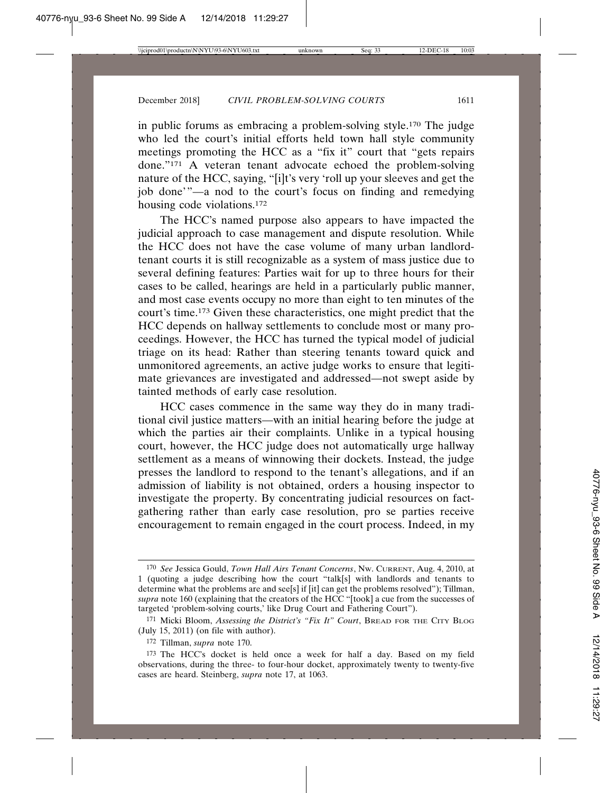in public forums as embracing a problem-solving style.170 The judge who led the court's initial efforts held town hall style community meetings promoting the HCC as a "fix it" court that "gets repairs done."171 A veteran tenant advocate echoed the problem-solving nature of the HCC, saying, "[i]t's very 'roll up your sleeves and get the job done'"—a nod to the court's focus on finding and remedying housing code violations.172

The HCC's named purpose also appears to have impacted the judicial approach to case management and dispute resolution. While the HCC does not have the case volume of many urban landlordtenant courts it is still recognizable as a system of mass justice due to several defining features: Parties wait for up to three hours for their cases to be called, hearings are held in a particularly public manner, and most case events occupy no more than eight to ten minutes of the court's time.173 Given these characteristics, one might predict that the HCC depends on hallway settlements to conclude most or many proceedings. However, the HCC has turned the typical model of judicial triage on its head: Rather than steering tenants toward quick and unmonitored agreements, an active judge works to ensure that legitimate grievances are investigated and addressed—not swept aside by tainted methods of early case resolution.

HCC cases commence in the same way they do in many traditional civil justice matters—with an initial hearing before the judge at which the parties air their complaints. Unlike in a typical housing court, however, the HCC judge does not automatically urge hallway settlement as a means of winnowing their dockets. Instead, the judge presses the landlord to respond to the tenant's allegations, and if an admission of liability is not obtained, orders a housing inspector to investigate the property. By concentrating judicial resources on factgathering rather than early case resolution, pro se parties receive encouragement to remain engaged in the court process. Indeed, in my

<sup>170</sup> *See* Jessica Gould, *Town Hall Airs Tenant Concerns*, NW. CURRENT, Aug. 4, 2010, at 1 (quoting a judge describing how the court "talk[s] with landlords and tenants to determine what the problems are and see[s] if [it] can get the problems resolved"); Tillman, *supra* note 160 (explaining that the creators of the HCC "[took] a cue from the successes of targeted 'problem-solving courts,' like Drug Court and Fathering Court").

<sup>171</sup> Micki Bloom, *Assessing the District's "Fix It" Court*, BREAD FOR THE CITY BLOG (July 15, 2011) (on file with author).

<sup>172</sup> Tillman, *supra* note 170.

<sup>173</sup> The HCC's docket is held once a week for half a day. Based on my field observations, during the three- to four-hour docket, approximately twenty to twenty-five cases are heard. Steinberg, *supra* note 17, at 1063.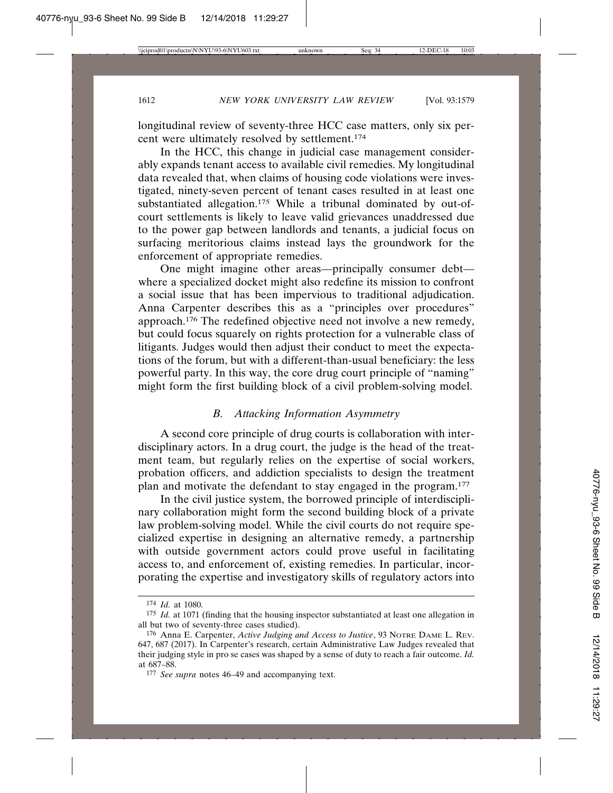longitudinal review of seventy-three HCC case matters, only six percent were ultimately resolved by settlement.174

In the HCC, this change in judicial case management considerably expands tenant access to available civil remedies. My longitudinal data revealed that, when claims of housing code violations were investigated, ninety-seven percent of tenant cases resulted in at least one substantiated allegation.<sup>175</sup> While a tribunal dominated by out-ofcourt settlements is likely to leave valid grievances unaddressed due to the power gap between landlords and tenants, a judicial focus on surfacing meritorious claims instead lays the groundwork for the enforcement of appropriate remedies.

One might imagine other areas—principally consumer debt where a specialized docket might also redefine its mission to confront a social issue that has been impervious to traditional adjudication. Anna Carpenter describes this as a "principles over procedures" approach.176 The redefined objective need not involve a new remedy, but could focus squarely on rights protection for a vulnerable class of litigants. Judges would then adjust their conduct to meet the expectations of the forum, but with a different-than-usual beneficiary: the less powerful party. In this way, the core drug court principle of "naming" might form the first building block of a civil problem-solving model.

#### *B. Attacking Information Asymmetry*

A second core principle of drug courts is collaboration with interdisciplinary actors. In a drug court, the judge is the head of the treatment team, but regularly relies on the expertise of social workers, probation officers, and addiction specialists to design the treatment plan and motivate the defendant to stay engaged in the program.177

In the civil justice system, the borrowed principle of interdisciplinary collaboration might form the second building block of a private law problem-solving model. While the civil courts do not require specialized expertise in designing an alternative remedy, a partnership with outside government actors could prove useful in facilitating access to, and enforcement of, existing remedies. In particular, incorporating the expertise and investigatory skills of regulatory actors into

<sup>174</sup> *Id.* at 1080.

<sup>175</sup> *Id.* at 1071 (finding that the housing inspector substantiated at least one allegation in all but two of seventy-three cases studied).

<sup>176</sup> Anna E. Carpenter, *Active Judging and Access to Justice*, 93 NOTRE DAME L. REV. 647, 687 (2017). In Carpenter's research, certain Administrative Law Judges revealed that their judging style in pro se cases was shaped by a sense of duty to reach a fair outcome. *Id.* at 687–88.

<sup>177</sup> *See supra* notes 46–49 and accompanying text.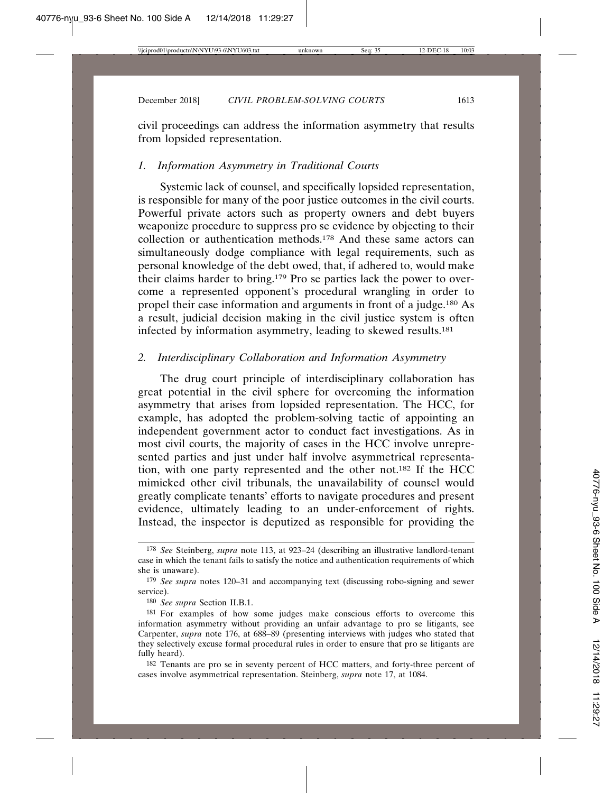civil proceedings can address the information asymmetry that results from lopsided representation.

### *1. Information Asymmetry in Traditional Courts*

Systemic lack of counsel, and specifically lopsided representation, is responsible for many of the poor justice outcomes in the civil courts. Powerful private actors such as property owners and debt buyers weaponize procedure to suppress pro se evidence by objecting to their collection or authentication methods.178 And these same actors can simultaneously dodge compliance with legal requirements, such as personal knowledge of the debt owed, that, if adhered to, would make their claims harder to bring.179 Pro se parties lack the power to overcome a represented opponent's procedural wrangling in order to propel their case information and arguments in front of a judge.180 As a result, judicial decision making in the civil justice system is often infected by information asymmetry, leading to skewed results.181

### *2. Interdisciplinary Collaboration and Information Asymmetry*

The drug court principle of interdisciplinary collaboration has great potential in the civil sphere for overcoming the information asymmetry that arises from lopsided representation. The HCC, for example, has adopted the problem-solving tactic of appointing an independent government actor to conduct fact investigations. As in most civil courts, the majority of cases in the HCC involve unrepresented parties and just under half involve asymmetrical representation, with one party represented and the other not.182 If the HCC mimicked other civil tribunals, the unavailability of counsel would greatly complicate tenants' efforts to navigate procedures and present evidence, ultimately leading to an under-enforcement of rights. Instead, the inspector is deputized as responsible for providing the

<sup>178</sup> *See* Steinberg, *supra* note 113, at 923–24 (describing an illustrative landlord-tenant case in which the tenant fails to satisfy the notice and authentication requirements of which she is unaware).

<sup>179</sup> *See supra* notes 120–31 and accompanying text (discussing robo-signing and sewer service).

<sup>180</sup> *See supra* Section II.B.1.

<sup>181</sup> For examples of how some judges make conscious efforts to overcome this information asymmetry without providing an unfair advantage to pro se litigants, see Carpenter, *supra* note 176, at 688–89 (presenting interviews with judges who stated that they selectively excuse formal procedural rules in order to ensure that pro se litigants are fully heard).

<sup>182</sup> Tenants are pro se in seventy percent of HCC matters, and forty-three percent of cases involve asymmetrical representation. Steinberg, *supra* note 17, at 1084.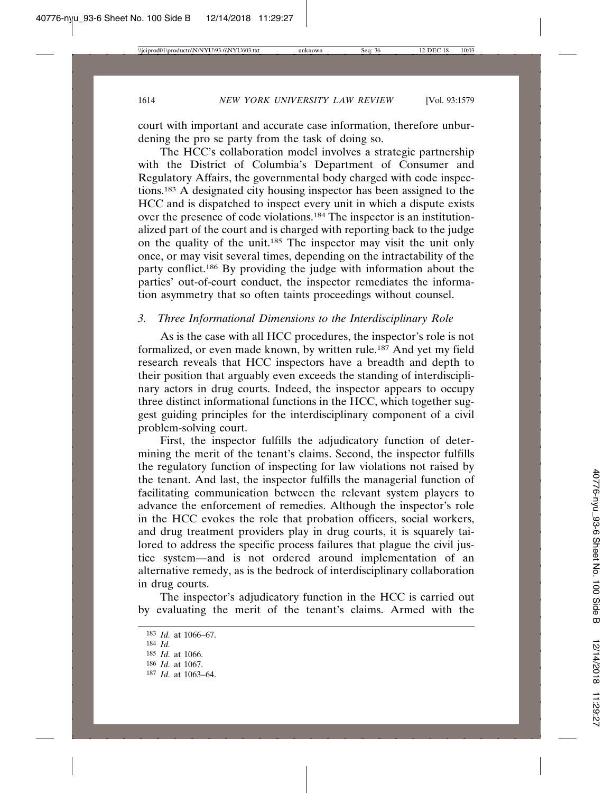court with important and accurate case information, therefore unburdening the pro se party from the task of doing so.

The HCC's collaboration model involves a strategic partnership with the District of Columbia's Department of Consumer and Regulatory Affairs, the governmental body charged with code inspections.183 A designated city housing inspector has been assigned to the HCC and is dispatched to inspect every unit in which a dispute exists over the presence of code violations.<sup>184</sup> The inspector is an institutionalized part of the court and is charged with reporting back to the judge on the quality of the unit.<sup>185</sup> The inspector may visit the unit only once, or may visit several times, depending on the intractability of the party conflict.<sup>186</sup> By providing the judge with information about the parties' out-of-court conduct, the inspector remediates the information asymmetry that so often taints proceedings without counsel.

# *3. Three Informational Dimensions to the Interdisciplinary Role*

As is the case with all HCC procedures, the inspector's role is not formalized, or even made known, by written rule.187 And yet my field research reveals that HCC inspectors have a breadth and depth to their position that arguably even exceeds the standing of interdisciplinary actors in drug courts. Indeed, the inspector appears to occupy three distinct informational functions in the HCC, which together suggest guiding principles for the interdisciplinary component of a civil problem-solving court.

First, the inspector fulfills the adjudicatory function of determining the merit of the tenant's claims. Second, the inspector fulfills the regulatory function of inspecting for law violations not raised by the tenant. And last, the inspector fulfills the managerial function of facilitating communication between the relevant system players to advance the enforcement of remedies. Although the inspector's role in the HCC evokes the role that probation officers, social workers, and drug treatment providers play in drug courts, it is squarely tailored to address the specific process failures that plague the civil justice system—and is not ordered around implementation of an alternative remedy, as is the bedrock of interdisciplinary collaboration in drug courts.

The inspector's adjudicatory function in the HCC is carried out by evaluating the merit of the tenant's claims. Armed with the

<sup>183</sup> *Id.* at 1066–67.

<sup>184</sup> *Id.*

<sup>185</sup> *Id.* at 1066.

<sup>186</sup> *Id.* at 1067.

<sup>187</sup> *Id.* at 1063–64.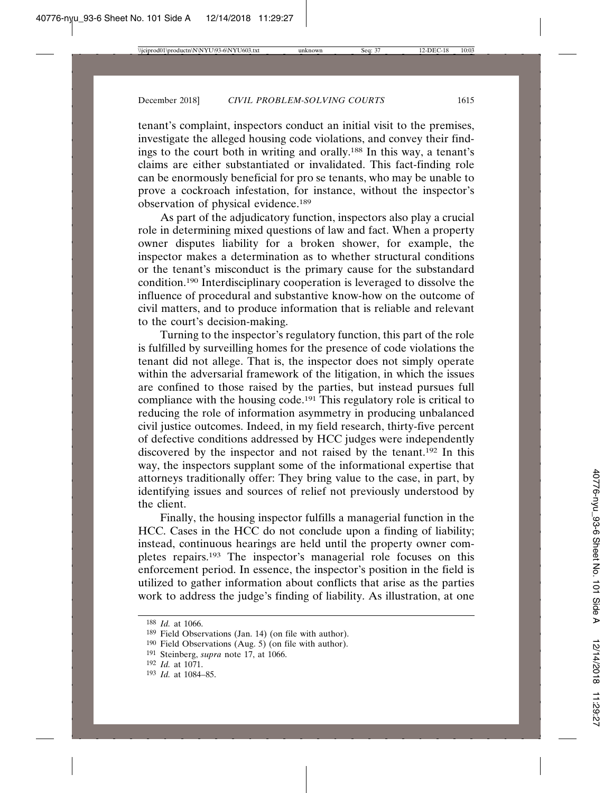tenant's complaint, inspectors conduct an initial visit to the premises, investigate the alleged housing code violations, and convey their findings to the court both in writing and orally.188 In this way, a tenant's claims are either substantiated or invalidated. This fact-finding role can be enormously beneficial for pro se tenants, who may be unable to prove a cockroach infestation, for instance, without the inspector's observation of physical evidence.189

As part of the adjudicatory function, inspectors also play a crucial role in determining mixed questions of law and fact. When a property owner disputes liability for a broken shower, for example, the inspector makes a determination as to whether structural conditions or the tenant's misconduct is the primary cause for the substandard condition.190 Interdisciplinary cooperation is leveraged to dissolve the influence of procedural and substantive know-how on the outcome of civil matters, and to produce information that is reliable and relevant to the court's decision-making.

Turning to the inspector's regulatory function, this part of the role is fulfilled by surveilling homes for the presence of code violations the tenant did not allege. That is, the inspector does not simply operate within the adversarial framework of the litigation, in which the issues are confined to those raised by the parties, but instead pursues full compliance with the housing code.<sup>191</sup> This regulatory role is critical to reducing the role of information asymmetry in producing unbalanced civil justice outcomes. Indeed, in my field research, thirty-five percent of defective conditions addressed by HCC judges were independently discovered by the inspector and not raised by the tenant.192 In this way, the inspectors supplant some of the informational expertise that attorneys traditionally offer: They bring value to the case, in part, by identifying issues and sources of relief not previously understood by the client.

Finally, the housing inspector fulfills a managerial function in the HCC. Cases in the HCC do not conclude upon a finding of liability; instead, continuous hearings are held until the property owner completes repairs.193 The inspector's managerial role focuses on this enforcement period. In essence, the inspector's position in the field is utilized to gather information about conflicts that arise as the parties work to address the judge's finding of liability. As illustration, at one

<sup>188</sup> *Id.* at 1066.

<sup>189</sup> Field Observations (Jan. 14) (on file with author).

<sup>&</sup>lt;sup>190</sup> Field Observations (Aug. 5) (on file with author).

<sup>191</sup> Steinberg, *supra* note 17, at 1066.

<sup>192</sup> *Id.* at 1071.

<sup>193</sup> *Id.* at 1084–85.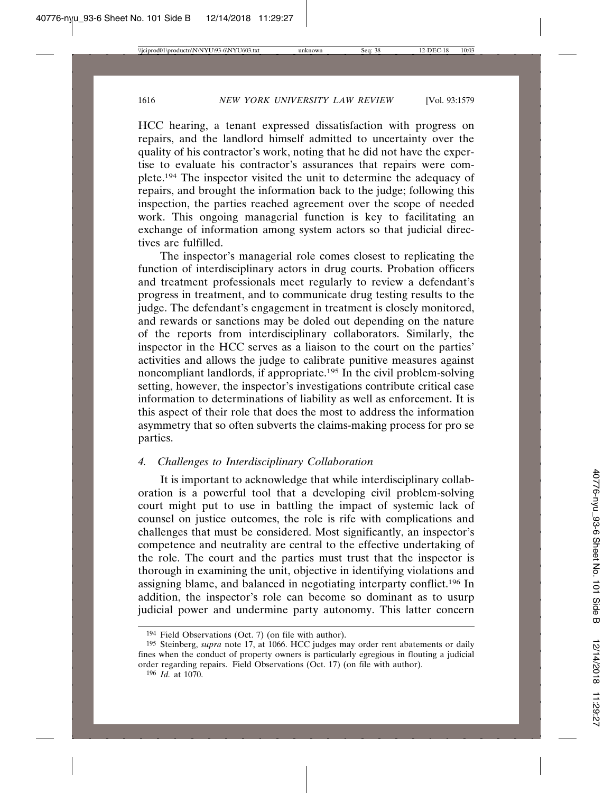HCC hearing, a tenant expressed dissatisfaction with progress on repairs, and the landlord himself admitted to uncertainty over the quality of his contractor's work, noting that he did not have the expertise to evaluate his contractor's assurances that repairs were complete.194 The inspector visited the unit to determine the adequacy of repairs, and brought the information back to the judge; following this inspection, the parties reached agreement over the scope of needed work. This ongoing managerial function is key to facilitating an exchange of information among system actors so that judicial directives are fulfilled.

The inspector's managerial role comes closest to replicating the function of interdisciplinary actors in drug courts. Probation officers and treatment professionals meet regularly to review a defendant's progress in treatment, and to communicate drug testing results to the judge. The defendant's engagement in treatment is closely monitored, and rewards or sanctions may be doled out depending on the nature. of the reports from interdisciplinary collaborators. Similarly, the inspector in the HCC serves as a liaison to the court on the parties' activities and allows the judge to calibrate punitive measures against noncompliant landlords, if appropriate.<sup>195</sup> In the civil problem-solving setting, however, the inspector's investigations contribute critical case information to determinations of liability as well as enforcement. It is this aspect of their role that does the most to address the information asymmetry that so often subverts the claims-making process for pro se parties.

# *4. Challenges to Interdisciplinary Collaboration*

It is important to acknowledge that while interdisciplinary collaboration is a powerful tool that a developing civil problem-solving court might put to use in battling the impact of systemic lack of counsel on justice outcomes, the role is rife with complications and challenges that must be considered. Most significantly, an inspector's competence and neutrality are central to the effective undertaking of the role. The court and the parties must trust that the inspector is thorough in examining the unit, objective in identifying violations and assigning blame, and balanced in negotiating interparty conflict.196 In addition, the inspector's role can become so dominant as to usurp judicial power and undermine party autonomy. This latter concern

<sup>194</sup> Field Observations (Oct. 7) (on file with author).

<sup>195</sup> Steinberg, *supra* note 17, at 1066. HCC judges may order rent abatements or daily fines when the conduct of property owners is particularly egregious in flouting a judicial order regarding repairs. Field Observations (Oct. 17) (on file with author).

<sup>196</sup> *Id.* at 1070.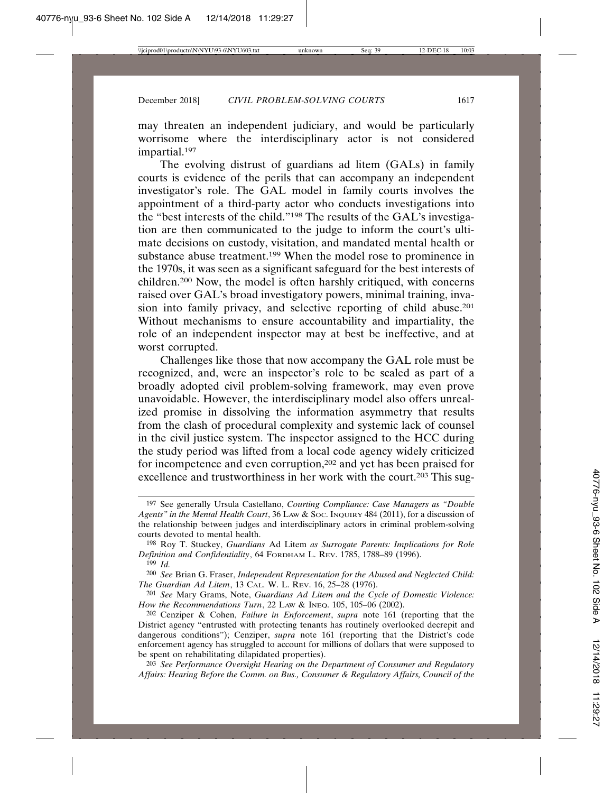may threaten an independent judiciary, and would be particularly worrisome where the interdisciplinary actor is not considered impartial.197

The evolving distrust of guardians ad litem (GALs) in family courts is evidence of the perils that can accompany an independent investigator's role. The GAL model in family courts involves the appointment of a third-party actor who conducts investigations into the "best interests of the child."198 The results of the GAL's investigation are then communicated to the judge to inform the court's ultimate decisions on custody, visitation, and mandated mental health or substance abuse treatment.199 When the model rose to prominence in the 1970s, it was seen as a significant safeguard for the best interests of children.200 Now, the model is often harshly critiqued, with concerns raised over GAL's broad investigatory powers, minimal training, invasion into family privacy, and selective reporting of child abuse.201 Without mechanisms to ensure accountability and impartiality, the role of an independent inspector may at best be ineffective, and at worst corrupted.

Challenges like those that now accompany the GAL role must be recognized, and, were an inspector's role to be scaled as part of a broadly adopted civil problem-solving framework, may even prove unavoidable. However, the interdisciplinary model also offers unrealized promise in dissolving the information asymmetry that results from the clash of procedural complexity and systemic lack of counsel in the civil justice system. The inspector assigned to the HCC during the study period was lifted from a local code agency widely criticized for incompetence and even corruption,<sup>202</sup> and yet has been praised for excellence and trustworthiness in her work with the court.<sup>203</sup> This sug-

203 *See Performance Oversight Hearing on the Department of Consumer and Regulatory Affairs: Hearing Before the Comm. on Bus., Consumer & Regulatory Affairs, Council of the*

<sup>197</sup> See generally Ursula Castellano, *Courting Compliance: Case Managers as "Double* Agents" in the Mental Health Court, 36 Law & Soc. InQUIRY 484 (2011), for a discussion of the relationship between judges and interdisciplinary actors in criminal problem-solving courts devoted to mental health.

<sup>198</sup> Roy T. Stuckey, *Guardians* Ad Litem *as Surrogate Parents: Implications for Role Definition and Confidentiality*, 64 FORDHAM L. REV. 1785, 1788–89 (1996).

<sup>199</sup> *Id.*

<sup>200</sup> *See* Brian G. Fraser, *Independent Representation for the Abused and Neglected Child: The Guardian Ad Litem*, 13 CAL. W. L. REV. 16, 25–28 (1976).

<sup>201</sup> *See* Mary Grams, Note, *Guardians Ad Litem and the Cycle of Domestic Violence: How the Recommendations Turn*, 22 LAW & INEQ. 105, 105–06 (2002).

<sup>202</sup> Cenziper & Cohen, *Failure in Enforcement*, *supra* note 161 (reporting that the District agency "entrusted with protecting tenants has routinely overlooked decrepit and dangerous conditions"); Cenziper, *supra* note 161 (reporting that the District's code enforcement agency has struggled to account for millions of dollars that were supposed to be spent on rehabilitating dilapidated properties).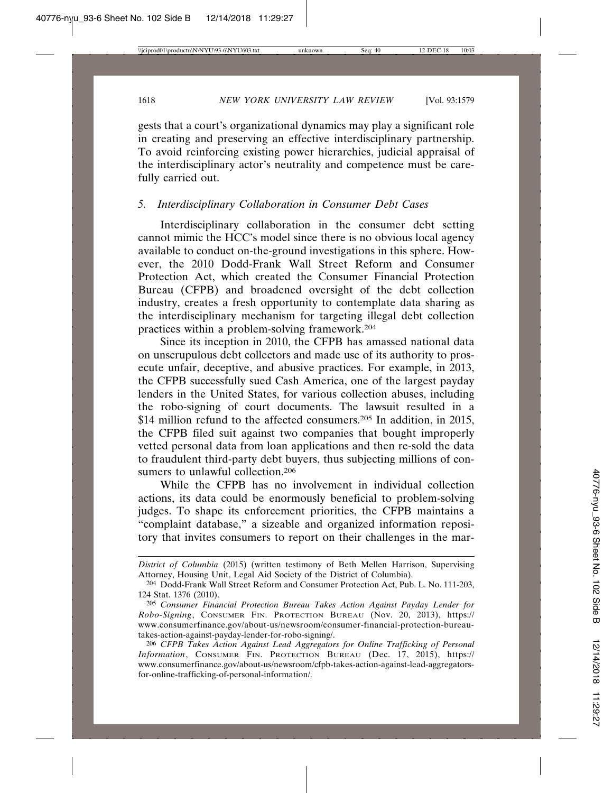gests that a court's organizational dynamics may play a significant role in creating and preserving an effective interdisciplinary partnership. To avoid reinforcing existing power hierarchies, judicial appraisal of the interdisciplinary actor's neutrality and competence must be carefully carried out.

### *5. Interdisciplinary Collaboration in Consumer Debt Cases*

Interdisciplinary collaboration in the consumer debt setting cannot mimic the HCC's model since there is no obvious local agency available to conduct on-the-ground investigations in this sphere. However, the 2010 Dodd-Frank Wall Street Reform and Consumer Protection Act, which created the Consumer Financial Protection Bureau (CFPB) and broadened oversight of the debt collection industry, creates a fresh opportunity to contemplate data sharing as the interdisciplinary mechanism for targeting illegal debt collection practices within a problem-solving framework.204

Since its inception in 2010, the CFPB has amassed national data on unscrupulous debt collectors and made use of its authority to prosecute unfair, deceptive, and abusive practices. For example, in 2013, the CFPB successfully sued Cash America, one of the largest payday lenders in the United States, for various collection abuses, including the robo-signing of court documents. The lawsuit resulted in a \$14 million refund to the affected consumers.<sup>205</sup> In addition, in 2015, the CFPB filed suit against two companies that bought improperly vetted personal data from loan applications and then re-sold the data to fraudulent third-party debt buyers, thus subjecting millions of consumers to unlawful collection.<sup>206</sup>

While the CFPB has no involvement in individual collection actions, its data could be enormously beneficial to problem-solving judges. To shape its enforcement priorities, the CFPB maintains a "complaint database," a sizeable and organized information repository that invites consumers to report on their challenges in the mar-

*District of Columbia* (2015) (written testimony of Beth Mellen Harrison, Supervising Attorney, Housing Unit, Legal Aid Society of the District of Columbia).

<sup>204</sup> Dodd-Frank Wall Street Reform and Consumer Protection Act, Pub. L. No. 111-203, 124 Stat. 1376 (2010).

<sup>205</sup> *Consumer Financial Protection Bureau Takes Action Against Payday Lender for Robo-Signing*, CONSUMER FIN. PROTECTION BUREAU (Nov. 20, 2013), https:// www.consumerfinance.gov/about-us/newsroom/consumer-financial-protection-bureautakes-action-against-payday-lender-for-robo-signing/.

<sup>206</sup> *CFPB Takes Action Against Lead Aggregators for Online Trafficking of Personal Information*, CONSUMER FIN. PROTECTION BUREAU (Dec. 17, 2015), https:// www.consumerfinance.gov/about-us/newsroom/cfpb-takes-action-against-lead-aggregatorsfor-online-trafficking-of-personal-information/.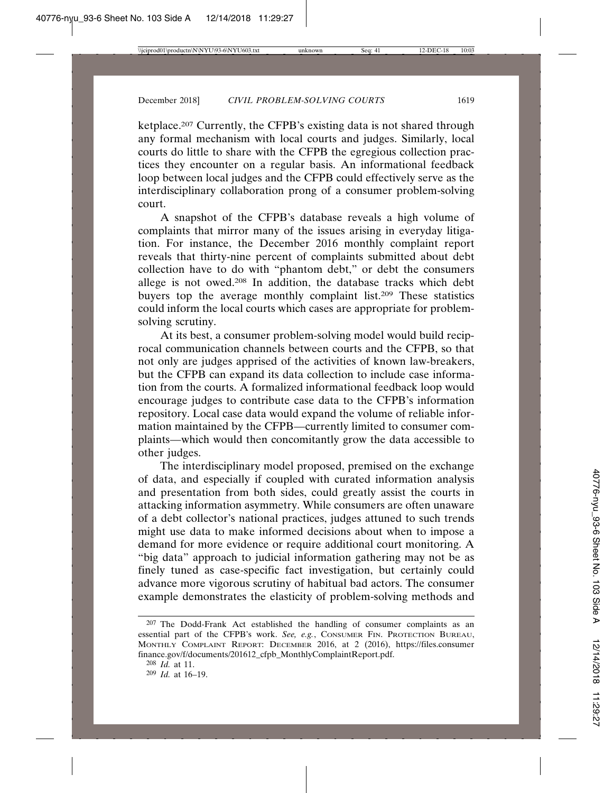ketplace.207 Currently, the CFPB's existing data is not shared through any formal mechanism with local courts and judges. Similarly, local courts do little to share with the CFPB the egregious collection practices they encounter on a regular basis. An informational feedback loop between local judges and the CFPB could effectively serve as the interdisciplinary collaboration prong of a consumer problem-solving court.

A snapshot of the CFPB's database reveals a high volume of complaints that mirror many of the issues arising in everyday litigation. For instance, the December 2016 monthly complaint report reveals that thirty-nine percent of complaints submitted about debt collection have to do with "phantom debt," or debt the consumers allege is not owed.208 In addition, the database tracks which debt buyers top the average monthly complaint list.209 These statistics could inform the local courts which cases are appropriate for problemsolving scrutiny.

At its best, a consumer problem-solving model would build reciprocal communication channels between courts and the CFPB, so that not only are judges apprised of the activities of known law-breakers, but the CFPB can expand its data collection to include case information from the courts. A formalized informational feedback loop would encourage judges to contribute case data to the CFPB's information repository. Local case data would expand the volume of reliable information maintained by the CFPB—currently limited to consumer complaints—which would then concomitantly grow the data accessible to other judges.

The interdisciplinary model proposed, premised on the exchange of data, and especially if coupled with curated information analysis and presentation from both sides, could greatly assist the courts in attacking information asymmetry. While consumers are often unaware of a debt collector's national practices, judges attuned to such trends might use data to make informed decisions about when to impose a demand for more evidence or require additional court monitoring. A "big data" approach to judicial information gathering may not be as finely tuned as case-specific fact investigation, but certainly could advance more vigorous scrutiny of habitual bad actors. The consumer example demonstrates the elasticity of problem-solving methods and

<sup>&</sup>lt;sup>207</sup> The Dodd-Frank Act established the handling of consumer complaints as an essential part of the CFPB's work. *See, e.g.*, CONSUMER FIN. PROTECTION BUREAU, MONTHLY COMPLAINT REPORT: DECEMBER 2016, at 2 (2016), https://files.consumer finance.gov/f/documents/201612\_cfpb\_MonthlyComplaintReport.pdf.

<sup>208</sup> *Id.* at 11.

<sup>209</sup> *Id.* at 16–19.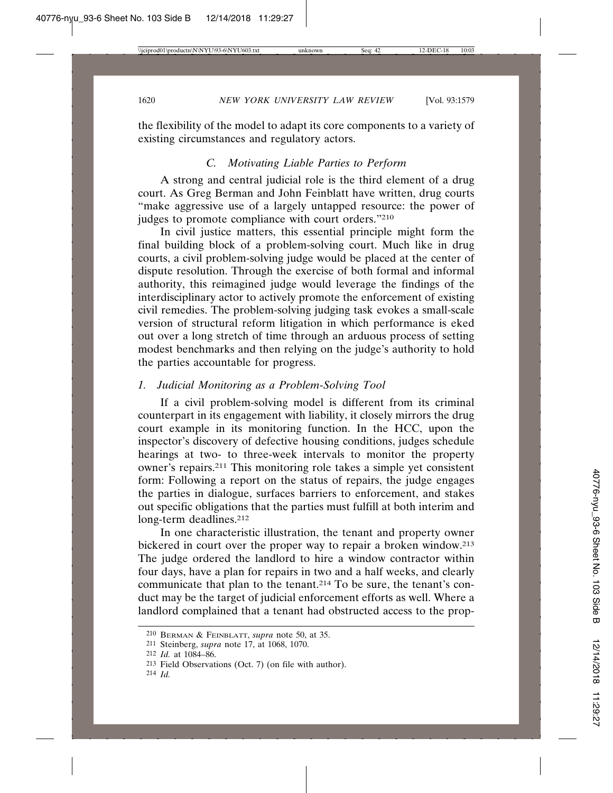the flexibility of the model to adapt its core components to a variety of existing circumstances and regulatory actors.

# *C. Motivating Liable Parties to Perform*

A strong and central judicial role is the third element of a drug court. As Greg Berman and John Feinblatt have written, drug courts "make aggressive use of a largely untapped resource: the power of judges to promote compliance with court orders."210

In civil justice matters, this essential principle might form the final building block of a problem-solving court. Much like in drug courts, a civil problem-solving judge would be placed at the center of dispute resolution. Through the exercise of both formal and informal authority, this reimagined judge would leverage the findings of the interdisciplinary actor to actively promote the enforcement of existing civil remedies. The problem-solving judging task evokes a small-scale version of structural reform litigation in which performance is eked out over a long stretch of time through an arduous process of setting modest benchmarks and then relying on the judge's authority to hold the parties accountable for progress.

#### *1. Judicial Monitoring as a Problem-Solving Tool*

If a civil problem-solving model is different from its criminal counterpart in its engagement with liability, it closely mirrors the drug court example in its monitoring function. In the HCC, upon the inspector's discovery of defective housing conditions, judges schedule hearings at two- to three-week intervals to monitor the property owner's repairs.211 This monitoring role takes a simple yet consistent form: Following a report on the status of repairs, the judge engages the parties in dialogue, surfaces barriers to enforcement, and stakes out specific obligations that the parties must fulfill at both interim and long-term deadlines.<sup>212</sup>

In one characteristic illustration, the tenant and property owner bickered in court over the proper way to repair a broken window.213 The judge ordered the landlord to hire a window contractor within four days, have a plan for repairs in two and a half weeks, and clearly communicate that plan to the tenant.<sup>214</sup> To be sure, the tenant's conduct may be the target of judicial enforcement efforts as well. Where a landlord complained that a tenant had obstructed access to the prop-

<sup>210</sup> BERMAN & FEINBLATT, *supra* note 50, at 35.

<sup>211</sup> Steinberg, *supra* note 17, at 1068, 1070.

<sup>212</sup> *Id.* at 1084–86.

<sup>213</sup> Field Observations (Oct. 7) (on file with author).

<sup>214</sup> *Id.*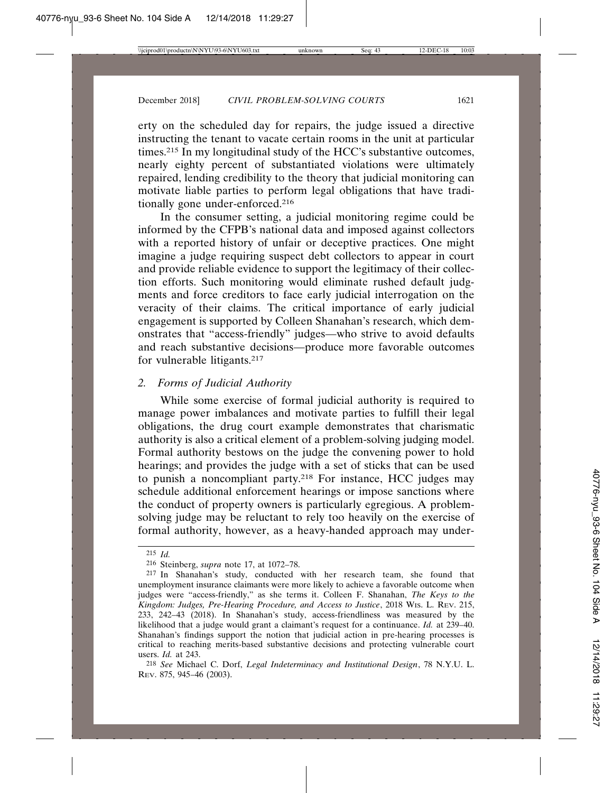erty on the scheduled day for repairs, the judge issued a directive instructing the tenant to vacate certain rooms in the unit at particular times.215 In my longitudinal study of the HCC's substantive outcomes, nearly eighty percent of substantiated violations were ultimately repaired, lending credibility to the theory that judicial monitoring can motivate liable parties to perform legal obligations that have traditionally gone under-enforced.216

In the consumer setting, a judicial monitoring regime could be informed by the CFPB's national data and imposed against collectors with a reported history of unfair or deceptive practices. One might imagine a judge requiring suspect debt collectors to appear in court and provide reliable evidence to support the legitimacy of their collection efforts. Such monitoring would eliminate rushed default judgments and force creditors to face early judicial interrogation on the veracity of their claims. The critical importance of early judicial engagement is supported by Colleen Shanahan's research, which demonstrates that "access-friendly" judges—who strive to avoid defaults and reach substantive decisions—produce more favorable outcomes for vulnerable litigants.217

#### *2. Forms of Judicial Authority*

While some exercise of formal judicial authority is required to manage power imbalances and motivate parties to fulfill their legal obligations, the drug court example demonstrates that charismatic authority is also a critical element of a problem-solving judging model. Formal authority bestows on the judge the convening power to hold hearings; and provides the judge with a set of sticks that can be used to punish a noncompliant party.218 For instance, HCC judges may schedule additional enforcement hearings or impose sanctions where the conduct of property owners is particularly egregious. A problemsolving judge may be reluctant to rely too heavily on the exercise of formal authority, however, as a heavy-handed approach may under-

<sup>215</sup> *Id.*

<sup>216</sup> Steinberg, *supra* note 17, at 1072–78.

<sup>217</sup> In Shanahan's study, conducted with her research team, she found that unemployment insurance claimants were more likely to achieve a favorable outcome when judges were "access-friendly," as she terms it. Colleen F. Shanahan, *The Keys to the Kingdom: Judges, Pre-Hearing Procedure, and Access to Justice*, 2018 WIS. L. REV. 215, 233, 242–43 (2018). In Shanahan's study, access-friendliness was measured by the likelihood that a judge would grant a claimant's request for a continuance. *Id.* at 239–40. Shanahan's findings support the notion that judicial action in pre-hearing processes is critical to reaching merits-based substantive decisions and protecting vulnerable court users. *Id.* at 243.

<sup>218</sup> *See* Michael C. Dorf, *Legal Indeterminacy and Institutional Design*, 78 N.Y.U. L. REV. 875, 945–46 (2003).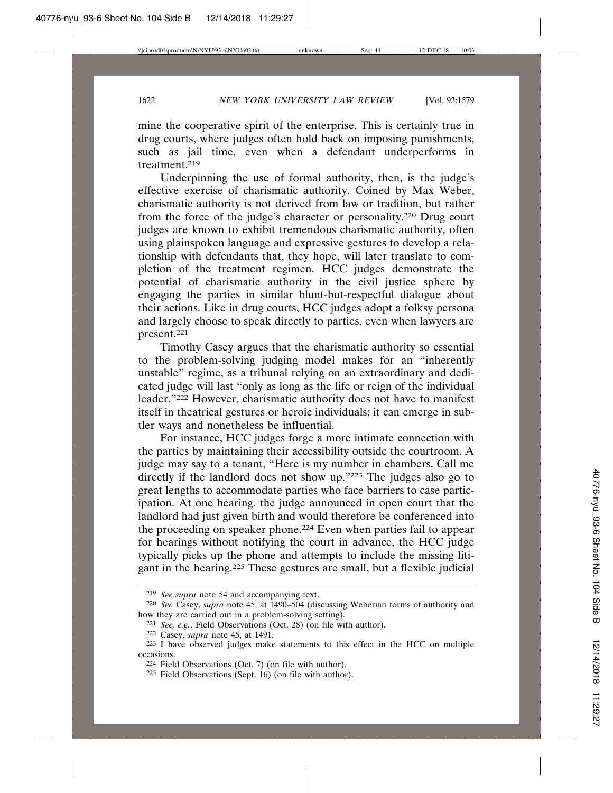mine the cooperative spirit of the enterprise. This is certainly true in drug courts, where judges often hold back on imposing punishments, such as jail time, even when a defendant underperforms in treatment.219

Underpinning the use of formal authority, then, is the judge's effective exercise of charismatic authority. Coined by Max Weber, charismatic authority is not derived from law or tradition, but rather from the force of the judge's character or personality.220 Drug court judges are known to exhibit tremendous charismatic authority, often using plainspoken language and expressive gestures to develop a relationship with defendants that, they hope, will later translate to completion of the treatment regimen. HCC judges demonstrate the potential of charismatic authority in the civil justice sphere by engaging the parties in similar blunt-but-respectful dialogue about their actions. Like in drug courts, HCC judges adopt a folksy persona and largely choose to speak directly to parties, even when lawyers are present.221

Timothy Casey argues that the charismatic authority so essential to the problem-solving judging model makes for an "inherently unstable" regime, as a tribunal relying on an extraordinary and dedicated judge will last "only as long as the life or reign of the individual leader."222 However, charismatic authority does not have to manifest itself in theatrical gestures or heroic individuals; it can emerge in subtler ways and nonetheless be influential.

For instance, HCC judges forge a more intimate connection with the parties by maintaining their accessibility outside the courtroom. A judge may say to a tenant, "Here is my number in chambers. Call me directly if the landlord does not show up."223 The judges also go to great lengths to accommodate parties who face barriers to case participation. At one hearing, the judge announced in open court that the landlord had just given birth and would therefore be conferenced into the proceeding on speaker phone.224 Even when parties fail to appear for hearings without notifying the court in advance, the HCC judge typically picks up the phone and attempts to include the missing litigant in the hearing.225 These gestures are small, but a flexible judicial

<sup>219</sup> *See supra* note 54 and accompanying text.

<sup>220</sup> *See* Casey, *supra* note 45, at 1490–504 (discussing Weberian forms of authority and how they are carried out in a problem-solving setting).

<sup>221</sup> *See, e.g.*, Field Observations (Oct. 28) (on file with author).

<sup>222</sup> Casey, *supra* note 45, at 1491.

<sup>223</sup> I have observed judges make statements to this effect in the HCC on multiple occasions.

<sup>224</sup> Field Observations (Oct. 7) (on file with author).

<sup>225</sup> Field Observations (Sept. 16) (on file with author).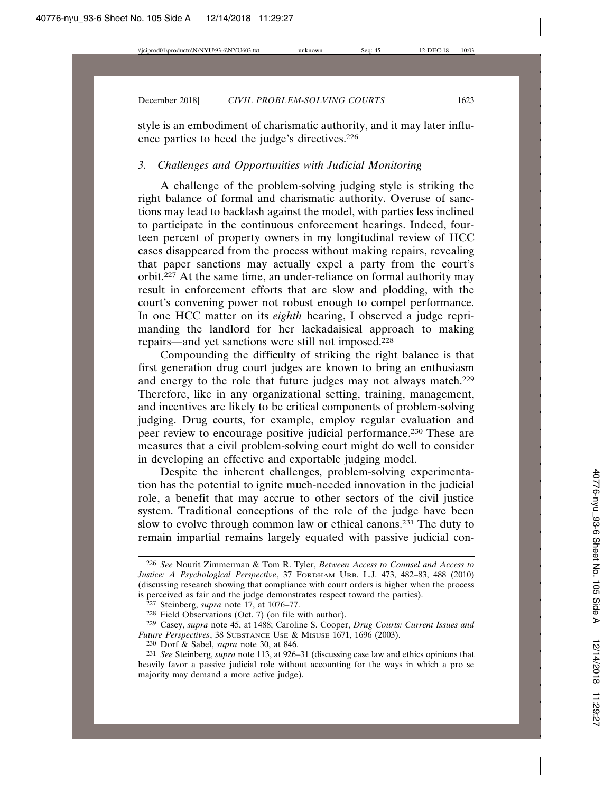style is an embodiment of charismatic authority, and it may later influence parties to heed the judge's directives.226

# *3. Challenges and Opportunities with Judicial Monitoring*

A challenge of the problem-solving judging style is striking the right balance of formal and charismatic authority. Overuse of sanctions may lead to backlash against the model, with parties less inclined to participate in the continuous enforcement hearings. Indeed, fourteen percent of property owners in my longitudinal review of HCC cases disappeared from the process without making repairs, revealing that paper sanctions may actually expel a party from the court's orbit.227 At the same time, an under-reliance on formal authority may result in enforcement efforts that are slow and plodding, with the court's convening power not robust enough to compel performance. In one HCC matter on its *eighth* hearing, I observed a judge reprimanding the landlord for her lackadaisical approach to making repairs—and yet sanctions were still not imposed.228

Compounding the difficulty of striking the right balance is that first generation drug court judges are known to bring an enthusiasm and energy to the role that future judges may not always match.229 Therefore, like in any organizational setting, training, management, and incentives are likely to be critical components of problem-solving judging. Drug courts, for example, employ regular evaluation and peer review to encourage positive judicial performance.230 These are measures that a civil problem-solving court might do well to consider in developing an effective and exportable judging model.

Despite the inherent challenges, problem-solving experimentation has the potential to ignite much-needed innovation in the judicial role, a benefit that may accrue to other sectors of the civil justice system. Traditional conceptions of the role of the judge have been slow to evolve through common law or ethical canons.231 The duty to remain impartial remains largely equated with passive judicial con-

<sup>226</sup> *See* Nourit Zimmerman & Tom R. Tyler, *Between Access to Counsel and Access to Justice: A Psychological Perspective*, 37 FORDHAM URB. L.J. 473, 482–83, 488 (2010) (discussing research showing that compliance with court orders is higher when the process is perceived as fair and the judge demonstrates respect toward the parties).

<sup>227</sup> Steinberg, *supra* note 17, at 1076–77.

<sup>228</sup> Field Observations (Oct. 7) (on file with author).

<sup>229</sup> Casey, *supra* note 45, at 1488; Caroline S. Cooper, *Drug Courts: Current Issues and Future Perspectives*, 38 SUBSTANCE USE & MISUSE 1671, 1696 (2003).

<sup>230</sup> Dorf & Sabel, *supra* note 30, at 846.

<sup>231</sup> *See* Steinberg, *supra* note 113, at 926–31 (discussing case law and ethics opinions that heavily favor a passive judicial role without accounting for the ways in which a pro se majority may demand a more active judge).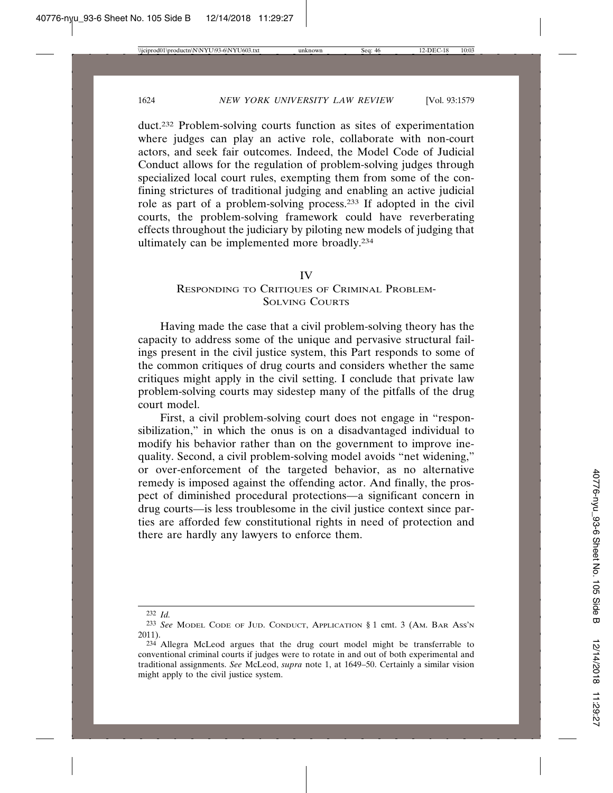duct.232 Problem-solving courts function as sites of experimentation where judges can play an active role, collaborate with non-court actors, and seek fair outcomes. Indeed, the Model Code of Judicial Conduct allows for the regulation of problem-solving judges through specialized local court rules, exempting them from some of the confining strictures of traditional judging and enabling an active judicial role as part of a problem-solving process.233 If adopted in the civil courts, the problem-solving framework could have reverberating effects throughout the judiciary by piloting new models of judging that ultimately can be implemented more broadly.234

#### IV

# RESPONDING TO CRITIQUES OF CRIMINAL PROBLEM-SOLVING COURTS

Having made the case that a civil problem-solving theory has the capacity to address some of the unique and pervasive structural failings present in the civil justice system, this Part responds to some of the common critiques of drug courts and considers whether the same critiques might apply in the civil setting. I conclude that private law problem-solving courts may sidestep many of the pitfalls of the drug court model.

First, a civil problem-solving court does not engage in "responsibilization," in which the onus is on a disadvantaged individual to modify his behavior rather than on the government to improve inequality. Second, a civil problem-solving model avoids "net widening," or over-enforcement of the targeted behavior, as no alternative remedy is imposed against the offending actor. And finally, the prospect of diminished procedural protections—a significant concern in drug courts—is less troublesome in the civil justice context since parties are afforded few constitutional rights in need of protection and there are hardly any lawyers to enforce them.

<sup>232</sup> *Id.*

<sup>233</sup> *See* MODEL CODE OF JUD. CONDUCT, APPLICATION § 1 cmt. 3 (AM. BAR ASS'N 2011).

<sup>234</sup> Allegra McLeod argues that the drug court model might be transferrable to conventional criminal courts if judges were to rotate in and out of both experimental and traditional assignments. *See* McLeod, *supra* note 1, at 1649–50. Certainly a similar vision might apply to the civil justice system.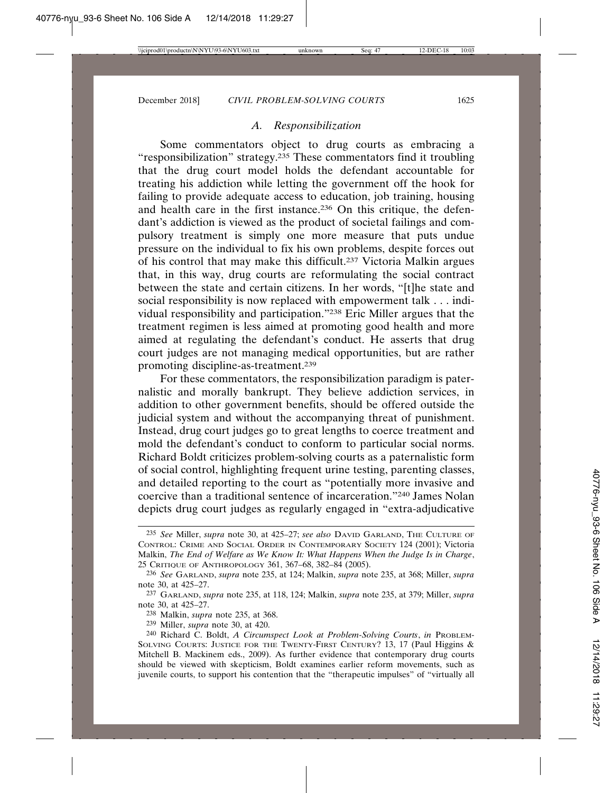#### *A. Responsibilization*

Some commentators object to drug courts as embracing a "responsibilization" strategy.235 These commentators find it troubling that the drug court model holds the defendant accountable for treating his addiction while letting the government off the hook for failing to provide adequate access to education, job training, housing and health care in the first instance.236 On this critique, the defendant's addiction is viewed as the product of societal failings and compulsory treatment is simply one more measure that puts undue pressure on the individual to fix his own problems, despite forces out of his control that may make this difficult.237 Victoria Malkin argues that, in this way, drug courts are reformulating the social contract between the state and certain citizens. In her words, "[t]he state and social responsibility is now replaced with empowerment talk . . . individual responsibility and participation."238 Eric Miller argues that the treatment regimen is less aimed at promoting good health and more aimed at regulating the defendant's conduct. He asserts that drug court judges are not managing medical opportunities, but are rather promoting discipline-as-treatment.239

For these commentators, the responsibilization paradigm is paternalistic and morally bankrupt. They believe addiction services, in addition to other government benefits, should be offered outside the judicial system and without the accompanying threat of punishment. Instead, drug court judges go to great lengths to coerce treatment and mold the defendant's conduct to conform to particular social norms. Richard Boldt criticizes problem-solving courts as a paternalistic form of social control, highlighting frequent urine testing, parenting classes, and detailed reporting to the court as "potentially more invasive and coercive than a traditional sentence of incarceration."240 James Nolan depicts drug court judges as regularly engaged in "extra-adjudicative

<sup>235</sup> *See* Miller, *supra* note 30, at 425–27; *see also* DAVID GARLAND, THE CULTURE OF CONTROL: CRIME AND SOCIAL ORDER IN CONTEMPORARY SOCIETY 124 (2001); Victoria Malkin, *The End of Welfare as We Know It: What Happens When the Judge Is in Charge*, 25 CRITIQUE OF ANTHROPOLOGY 361, 367–68, 382–84 (2005).

<sup>236</sup> *See* GARLAND, *supra* note 235, at 124; Malkin, *supra* note 235, at 368; Miller, *supra* note 30, at 425–27.

<sup>237</sup> GARLAND, *supra* note 235, at 118, 124; Malkin, *supra* note 235, at 379; Miller, *supra* note 30, at 425–27.

<sup>238</sup> Malkin, *supra* note 235, at 368.

<sup>239</sup> Miller, *supra* note 30, at 420.

<sup>240</sup> Richard C. Boldt, *A Circumspect Look at Problem-Solving Courts*, *in* PROBLEM-SOLVING COURTS: JUSTICE FOR THE TWENTY-FIRST CENTURY? 13, 17 (Paul Higgins & Mitchell B. Mackinem eds., 2009). As further evidence that contemporary drug courts should be viewed with skepticism, Boldt examines earlier reform movements, such as juvenile courts, to support his contention that the "therapeutic impulses" of "virtually all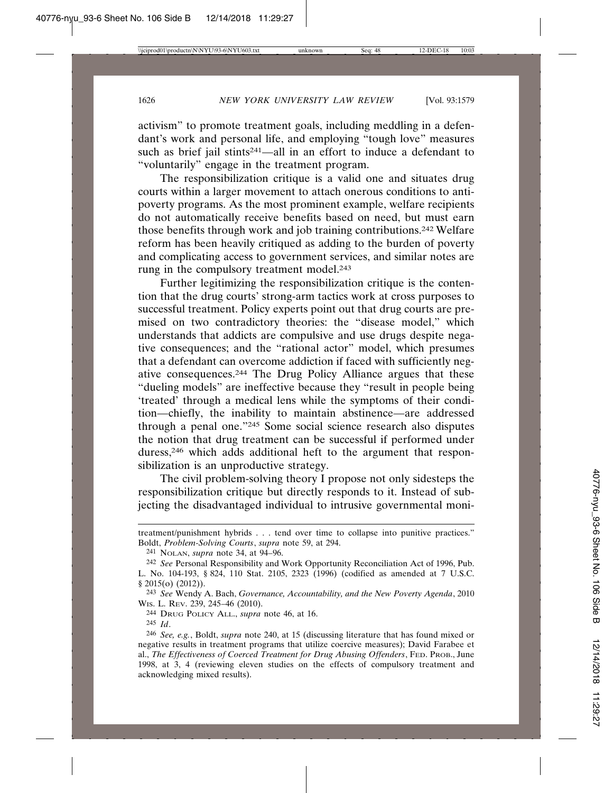activism" to promote treatment goals, including meddling in a defendant's work and personal life, and employing "tough love" measures such as brief jail stints<sup>241</sup>—all in an effort to induce a defendant to "voluntarily" engage in the treatment program.

The responsibilization critique is a valid one and situates drug courts within a larger movement to attach onerous conditions to antipoverty programs. As the most prominent example, welfare recipients do not automatically receive benefits based on need, but must earn those benefits through work and job training contributions.242 Welfare reform has been heavily critiqued as adding to the burden of poverty and complicating access to government services, and similar notes are rung in the compulsory treatment model.243

Further legitimizing the responsibilization critique is the contention that the drug courts' strong-arm tactics work at cross purposes to successful treatment. Policy experts point out that drug courts are premised on two contradictory theories: the "disease model," which understands that addicts are compulsive and use drugs despite negative consequences; and the "rational actor" model, which presumes that a defendant can overcome addiction if faced with sufficiently negative consequences.244 The Drug Policy Alliance argues that these "dueling models" are ineffective because they "result in people being 'treated' through a medical lens while the symptoms of their condition—chiefly, the inability to maintain abstinence—are addressed through a penal one."245 Some social science research also disputes the notion that drug treatment can be successful if performed under duress,<sup>246</sup> which adds additional heft to the argument that responsibilization is an unproductive strategy.

The civil problem-solving theory I propose not only sidesteps the responsibilization critique but directly responds to it. Instead of subjecting the disadvantaged individual to intrusive governmental moni-

treatment/punishment hybrids . . . tend over time to collapse into punitive practices." Boldt, *Problem-Solving Courts*, *supra* note 59, at 294.

<sup>241</sup> NOLAN, *supra* note 34, at 94–96.

<sup>242</sup> *See* Personal Responsibility and Work Opportunity Reconciliation Act of 1996, Pub. L. No. 104-193, § 824, 110 Stat. 2105, 2323 (1996) (codified as amended at 7 U.S.C. § 2015(o) (2012)).

<sup>243</sup> *See* Wendy A. Bach, *Governance, Accountability, and the New Poverty Agenda*, 2010 WIS. L. REV. 239, 245–46 (2010).

<sup>244</sup> DRUG POLICY ALL., *supra* note 46, at 16.

<sup>245</sup> *Id*.

<sup>246</sup> *See, e.g.*, Boldt, *supra* note 240, at 15 (discussing literature that has found mixed or negative results in treatment programs that utilize coercive measures); David Farabee et al., *The Effectiveness of Coerced Treatment for Drug Abusing Offenders*, FED. PROB., June 1998, at 3, 4 (reviewing eleven studies on the effects of compulsory treatment and acknowledging mixed results).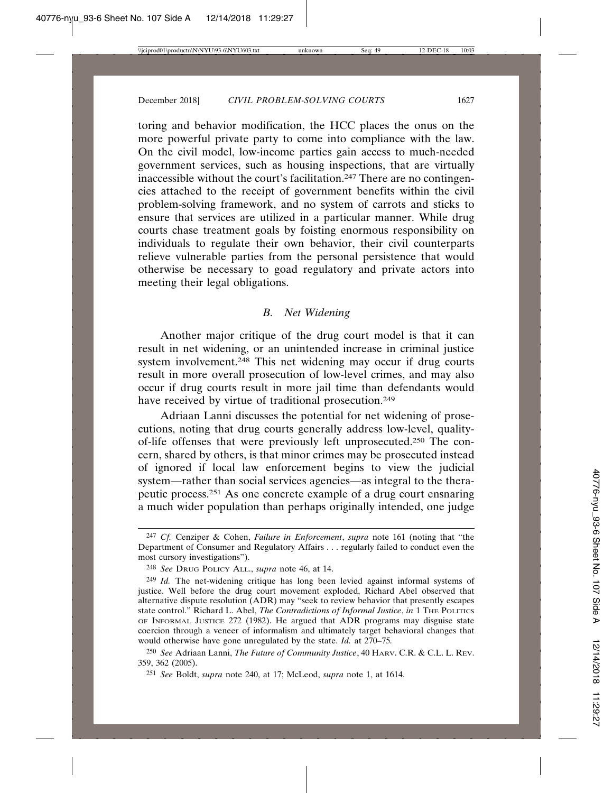toring and behavior modification, the HCC places the onus on the more powerful private party to come into compliance with the law. On the civil model, low-income parties gain access to much-needed government services, such as housing inspections, that are virtually inaccessible without the court's facilitation.247 There are no contingencies attached to the receipt of government benefits within the civil problem-solving framework, and no system of carrots and sticks to ensure that services are utilized in a particular manner. While drug courts chase treatment goals by foisting enormous responsibility on individuals to regulate their own behavior, their civil counterparts relieve vulnerable parties from the personal persistence that would otherwise be necessary to goad regulatory and private actors into meeting their legal obligations.

#### *B. Net Widening*

Another major critique of the drug court model is that it can result in net widening, or an unintended increase in criminal justice system involvement.248 This net widening may occur if drug courts result in more overall prosecution of low-level crimes, and may also occur if drug courts result in more jail time than defendants would have received by virtue of traditional prosecution.<sup>249</sup>

Adriaan Lanni discusses the potential for net widening of prosecutions, noting that drug courts generally address low-level, qualityof-life offenses that were previously left unprosecuted.250 The concern, shared by others, is that minor crimes may be prosecuted instead of ignored if local law enforcement begins to view the judicial system—rather than social services agencies—as integral to the therapeutic process.251 As one concrete example of a drug court ensnaring a much wider population than perhaps originally intended, one judge

<sup>247</sup> *Cf.* Cenziper & Cohen, *Failure in Enforcement*, *supra* note 161 (noting that "the Department of Consumer and Regulatory Affairs . . . regularly failed to conduct even the most cursory investigations").

<sup>248</sup> *See* DRUG POLICY ALL., *supra* note 46, at 14.

<sup>249</sup> *Id.* The net-widening critique has long been levied against informal systems of justice. Well before the drug court movement exploded, Richard Abel observed that alternative dispute resolution (ADR) may "seek to review behavior that presently escapes state control." Richard L. Abel, *The Contradictions of Informal Justice*, *in* 1 THE POLITICS OF INFORMAL JUSTICE 272 (1982). He argued that ADR programs may disguise state coercion through a veneer of informalism and ultimately target behavioral changes that would otherwise have gone unregulated by the state. *Id.* at 270–75*.*

<sup>250</sup> *See* Adriaan Lanni, *The Future of Community Justice*, 40 HARV. C.R. & C.L. L. REV. 359, 362 (2005).

<sup>251</sup> *See* Boldt, *supra* note 240, at 17; McLeod, *supra* note 1, at 1614.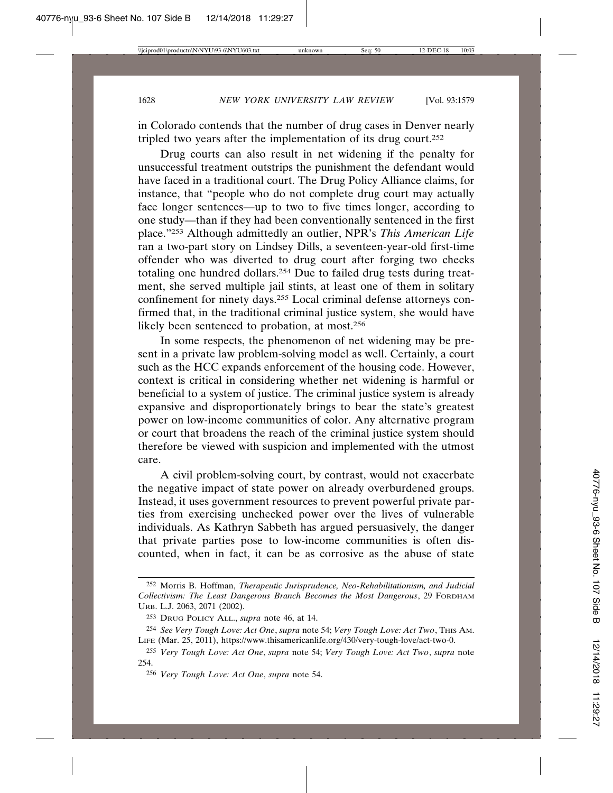in Colorado contends that the number of drug cases in Denver nearly tripled two years after the implementation of its drug court.252

Drug courts can also result in net widening if the penalty for unsuccessful treatment outstrips the punishment the defendant would have faced in a traditional court. The Drug Policy Alliance claims, for instance, that "people who do not complete drug court may actually face longer sentences—up to two to five times longer, according to one study—than if they had been conventionally sentenced in the first place."253 Although admittedly an outlier, NPR's *This American Life* ran a two-part story on Lindsey Dills, a seventeen-year-old first-time offender who was diverted to drug court after forging two checks totaling one hundred dollars.254 Due to failed drug tests during treatment, she served multiple jail stints, at least one of them in solitary confinement for ninety days.255 Local criminal defense attorneys confirmed that, in the traditional criminal justice system, she would have likely been sentenced to probation, at most.256

In some respects, the phenomenon of net widening may be present in a private law problem-solving model as well. Certainly, a court such as the HCC expands enforcement of the housing code. However, context is critical in considering whether net widening is harmful or beneficial to a system of justice. The criminal justice system is already expansive and disproportionately brings to bear the state's greatest power on low-income communities of color. Any alternative program or court that broadens the reach of the criminal justice system should therefore be viewed with suspicion and implemented with the utmost care.

A civil problem-solving court, by contrast, would not exacerbate the negative impact of state power on already overburdened groups. Instead, it uses government resources to prevent powerful private parties from exercising unchecked power over the lives of vulnerable individuals. As Kathryn Sabbeth has argued persuasively, the danger that private parties pose to low-income communities is often discounted, when in fact, it can be as corrosive as the abuse of state

<sup>252</sup> Morris B. Hoffman, *Therapeutic Jurisprudence, Neo-Rehabilitationism, and Judicial Collectivism: The Least Dangerous Branch Becomes the Most Dangerous*, 29 FORDHAM URB. L.J. 2063, 2071 (2002).

<sup>253</sup> DRUG POLICY ALL., *supra* note 46, at 14.

<sup>254</sup> *See Very Tough Love: Act One*, *supra* note 54; *Very Tough Love: Act Two*, THIS AM. LIFE (Mar. 25, 2011), https://www.thisamericanlife.org/430/very-tough-love/act-two-0.

<sup>255</sup> *Very Tough Love: Act One*, *supra* note 54; *Very Tough Love: Act Two*, *supra* note 254.

<sup>256</sup> *Very Tough Love: Act One*, *supra* note 54.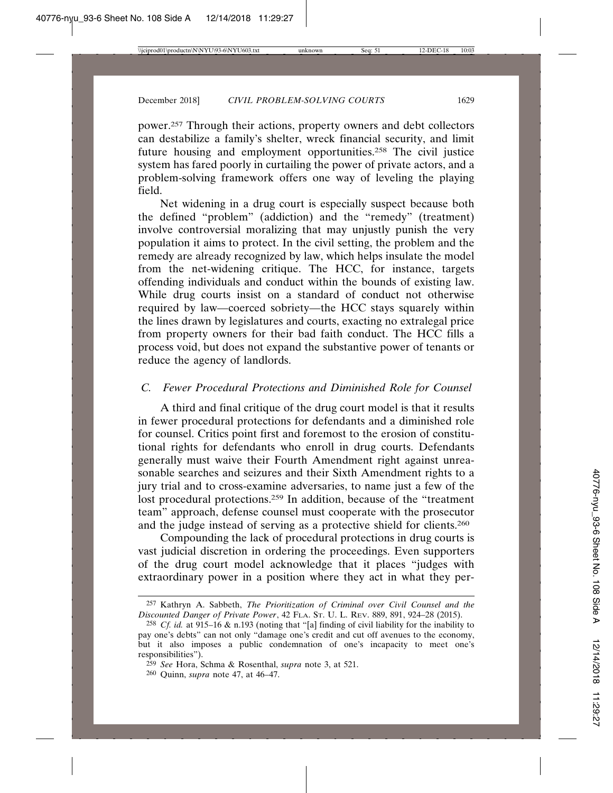power.257 Through their actions, property owners and debt collectors can destabilize a family's shelter, wreck financial security, and limit future housing and employment opportunities.258 The civil justice system has fared poorly in curtailing the power of private actors, and a problem-solving framework offers one way of leveling the playing field.

Net widening in a drug court is especially suspect because both the defined "problem" (addiction) and the "remedy" (treatment) involve controversial moralizing that may unjustly punish the very population it aims to protect. In the civil setting, the problem and the remedy are already recognized by law, which helps insulate the model from the net-widening critique. The HCC, for instance, targets offending individuals and conduct within the bounds of existing law. While drug courts insist on a standard of conduct not otherwise required by law—coerced sobriety—the HCC stays squarely within the lines drawn by legislatures and courts, exacting no extralegal price from property owners for their bad faith conduct. The HCC fills a process void, but does not expand the substantive power of tenants or reduce the agency of landlords.

## *C. Fewer Procedural Protections and Diminished Role for Counsel*

A third and final critique of the drug court model is that it results in fewer procedural protections for defendants and a diminished role for counsel. Critics point first and foremost to the erosion of constitutional rights for defendants who enroll in drug courts. Defendants generally must waive their Fourth Amendment right against unreasonable searches and seizures and their Sixth Amendment rights to a jury trial and to cross-examine adversaries, to name just a few of the lost procedural protections.<sup>259</sup> In addition, because of the "treatment" team" approach, defense counsel must cooperate with the prosecutor and the judge instead of serving as a protective shield for clients.260

Compounding the lack of procedural protections in drug courts is vast judicial discretion in ordering the proceedings. Even supporters of the drug court model acknowledge that it places "judges with extraordinary power in a position where they act in what they per-

<sup>257</sup> Kathryn A. Sabbeth, *The Prioritization of Criminal over Civil Counsel and the Discounted Danger of Private Power*, 42 FLA. ST. U. L. REV. 889, 891, 924–28 (2015).

<sup>258</sup> *Cf. id.* at 915–16 & n.193 (noting that "[a] finding of civil liability for the inability to pay one's debts" can not only "damage one's credit and cut off avenues to the economy, but it also imposes a public condemnation of one's incapacity to meet one's responsibilities").

<sup>259</sup> *See* Hora, Schma & Rosenthal, *supra* note 3, at 521.

<sup>260</sup> Quinn, *supra* note 47, at 46–47.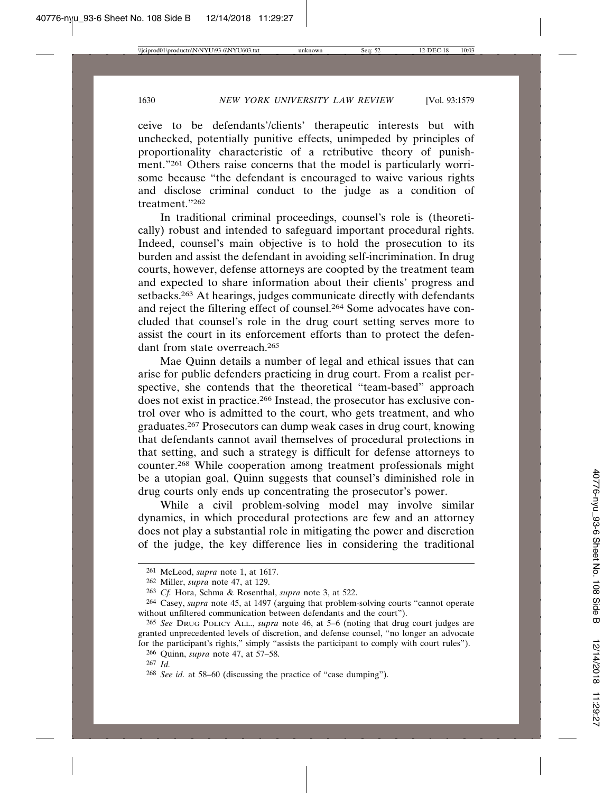ceive to be defendants'/clients' therapeutic interests but with unchecked, potentially punitive effects, unimpeded by principles of proportionality characteristic of a retributive theory of punishment."<sup>261</sup> Others raise concerns that the model is particularly worrisome because "the defendant is encouraged to waive various rights and disclose criminal conduct to the judge as a condition of treatment<sup>"262</sup>

In traditional criminal proceedings, counsel's role is (theoretically) robust and intended to safeguard important procedural rights. Indeed, counsel's main objective is to hold the prosecution to its burden and assist the defendant in avoiding self-incrimination. In drug courts, however, defense attorneys are coopted by the treatment team and expected to share information about their clients' progress and setbacks.<sup>263</sup> At hearings, judges communicate directly with defendants and reject the filtering effect of counsel.264 Some advocates have concluded that counsel's role in the drug court setting serves more to assist the court in its enforcement efforts than to protect the defendant from state overreach.265

Mae Quinn details a number of legal and ethical issues that can arise for public defenders practicing in drug court. From a realist perspective, she contends that the theoretical "team-based" approach does not exist in practice.266 Instead, the prosecutor has exclusive control over who is admitted to the court, who gets treatment, and who graduates.267 Prosecutors can dump weak cases in drug court, knowing that defendants cannot avail themselves of procedural protections in that setting, and such a strategy is difficult for defense attorneys to counter.268 While cooperation among treatment professionals might be a utopian goal, Quinn suggests that counsel's diminished role in drug courts only ends up concentrating the prosecutor's power.

While a civil problem-solving model may involve similar dynamics, in which procedural protections are few and an attorney does not play a substantial role in mitigating the power and discretion of the judge, the key difference lies in considering the traditional

<sup>261</sup> McLeod, *supra* note 1, at 1617.

<sup>262</sup> Miller, *supra* note 47, at 129.

<sup>263</sup> *Cf.* Hora, Schma & Rosenthal, *supra* note 3, at 522.

<sup>264</sup> Casey, *supra* note 45, at 1497 (arguing that problem-solving courts "cannot operate without unfiltered communication between defendants and the court").

<sup>265</sup> *See* DRUG POLICY ALL., *supra* note 46, at 5–6 (noting that drug court judges are granted unprecedented levels of discretion, and defense counsel, "no longer an advocate for the participant's rights," simply "assists the participant to comply with court rules").

<sup>266</sup> Quinn, *supra* note 47, at 57–58.

<sup>267</sup> *Id.*

<sup>268</sup> *See id.* at 58–60 (discussing the practice of "case dumping").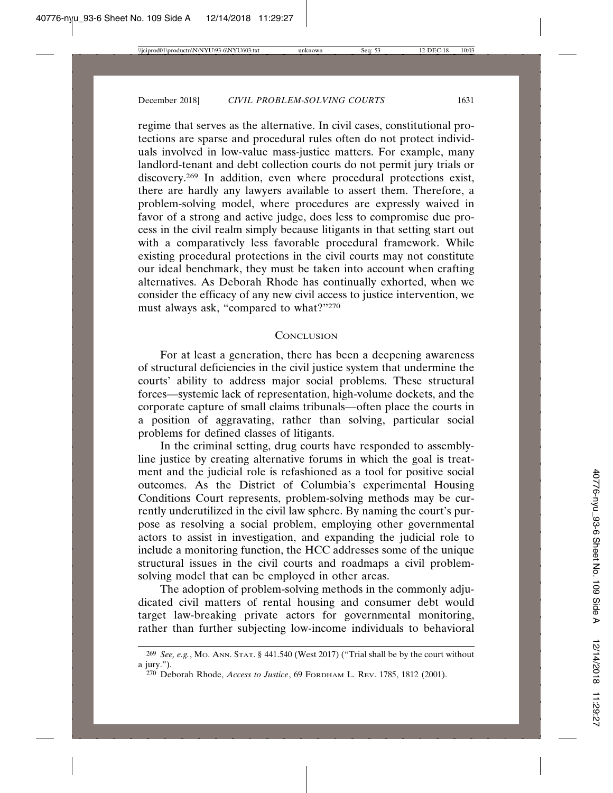regime that serves as the alternative. In civil cases, constitutional protections are sparse and procedural rules often do not protect individuals involved in low-value mass-justice matters. For example, many landlord-tenant and debt collection courts do not permit jury trials or discovery.<sup>269</sup> In addition, even where procedural protections exist, there are hardly any lawyers available to assert them. Therefore, a problem-solving model, where procedures are expressly waived in favor of a strong and active judge, does less to compromise due process in the civil realm simply because litigants in that setting start out with a comparatively less favorable procedural framework. While existing procedural protections in the civil courts may not constitute our ideal benchmark, they must be taken into account when crafting alternatives. As Deborah Rhode has continually exhorted, when we consider the efficacy of any new civil access to justice intervention, we must always ask, "compared to what?"270

#### **CONCLUSION**

For at least a generation, there has been a deepening awareness of structural deficiencies in the civil justice system that undermine the courts' ability to address major social problems. These structural forces—systemic lack of representation, high-volume dockets, and the corporate capture of small claims tribunals—often place the courts in a position of aggravating, rather than solving, particular social problems for defined classes of litigants.

In the criminal setting, drug courts have responded to assemblyline justice by creating alternative forums in which the goal is treatment and the judicial role is refashioned as a tool for positive social outcomes. As the District of Columbia's experimental Housing Conditions Court represents, problem-solving methods may be currently underutilized in the civil law sphere. By naming the court's purpose as resolving a social problem, employing other governmental actors to assist in investigation, and expanding the judicial role to include a monitoring function, the HCC addresses some of the unique structural issues in the civil courts and roadmaps a civil problemsolving model that can be employed in other areas.

The adoption of problem-solving methods in the commonly adjudicated civil matters of rental housing and consumer debt would target law-breaking private actors for governmental monitoring, rather than further subjecting low-income individuals to behavioral

<sup>269</sup> *See, e.g.*, MO. ANN. STAT. § 441.540 (West 2017) ("Trial shall be by the court without a jury.").

<sup>270</sup> Deborah Rhode, *Access to Justice*, 69 FORDHAM L. REV. 1785, 1812 (2001).